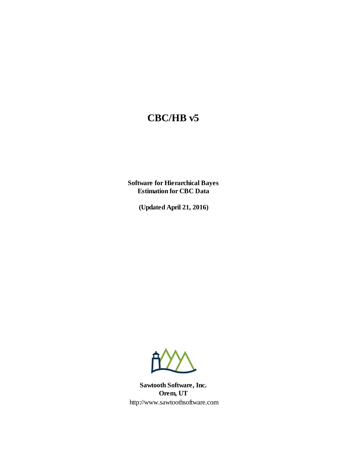# **CBC/HB v5**

**Software for Hierarchical Bayes Estimation for CBC Data**

**(Updated April 21, 2016)**



**Sawtooth Software, Inc. Orem, UT** http://www.sawtoothsoftware.com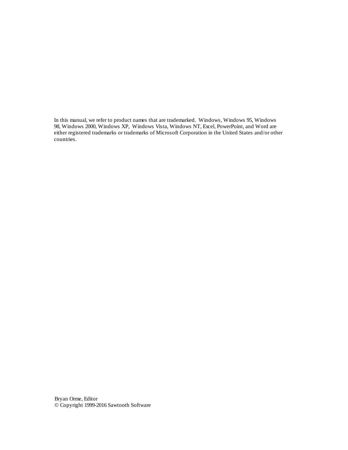In this manual, we refer to product names that are trademarked. Windows, Windows 95, Windows 98, Windows 2000, Windows XP, Windows Vista, Windows NT, Excel, PowerPoint, and Word are either registered trademarks or trademarks of Microsoft Corporation in the United States and/or other countries.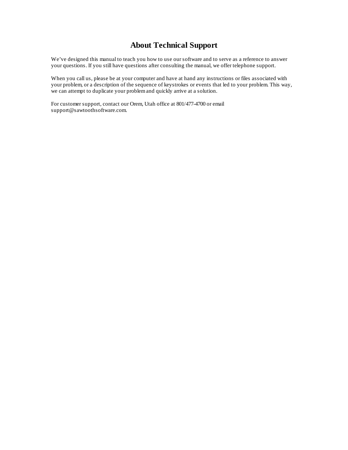### **About Technical Support**

We've designed this manual to teach you how to use our software and to serve as a reference to answer your questions. If you still have questions after consulting the manual, we offer telephone support.

When you call us, please be at your computer and have at hand any instructions or files associated with your problem, or a description of the sequence of keystrokes or events that led to your problem. This way, we can attempt to duplicate your problemand quickly arrive at a solution.

For customer support, contact our Orem, Utah office at 801/477-4700 or email support@sawtoothsoftware.com.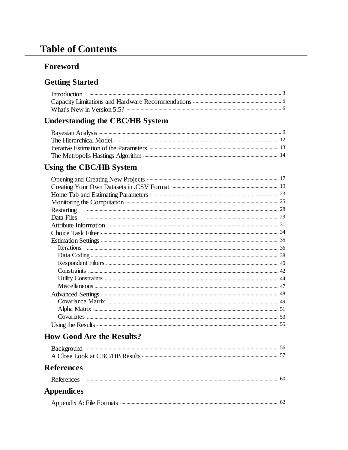# **Table of Contents**

### Foreword

### **Getting Started**

### **Understanding the CBC/HB System**

| The Metropolis Hastings Algorithm <b>With and Construct Construct</b> 14 |  |
|--------------------------------------------------------------------------|--|

### Using the CBC/HB System

| Opening and Creating New Projects <b>Manufacture 17</b> 17                 |
|----------------------------------------------------------------------------|
| Creating Your Own Datasets in .CSV Format <b>CONFIDENTIAL CONVERTER</b> 19 |
|                                                                            |
| Monitoring the Computation <b>Communities</b> 25                           |
| Restarting                                                                 |
|                                                                            |
|                                                                            |
|                                                                            |
|                                                                            |
|                                                                            |
|                                                                            |
|                                                                            |
|                                                                            |
|                                                                            |
|                                                                            |
|                                                                            |
|                                                                            |
|                                                                            |
|                                                                            |
| Using the Results <b>Election</b> 55                                       |
|                                                                            |

### **How Good Are the Results?**

### **References**

| <b>Appendices</b> |  |
|-------------------|--|
|                   |  |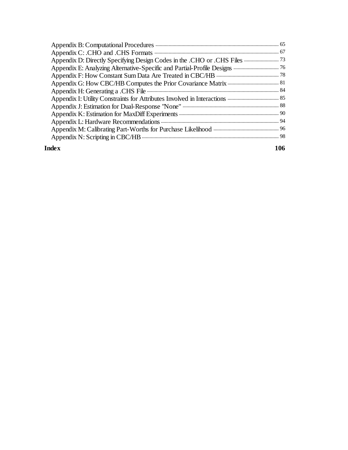| Appendix B: Computational Procedures <b>Exercise Constructs</b> 65                      |  |
|-----------------------------------------------------------------------------------------|--|
| Appendix C: .CHO and .CHS Formats manufactured and contract of the Second Letter and ST |  |
|                                                                                         |  |
|                                                                                         |  |
|                                                                                         |  |
|                                                                                         |  |
|                                                                                         |  |
|                                                                                         |  |
|                                                                                         |  |
|                                                                                         |  |
|                                                                                         |  |
|                                                                                         |  |
|                                                                                         |  |
|                                                                                         |  |

### **Index**

106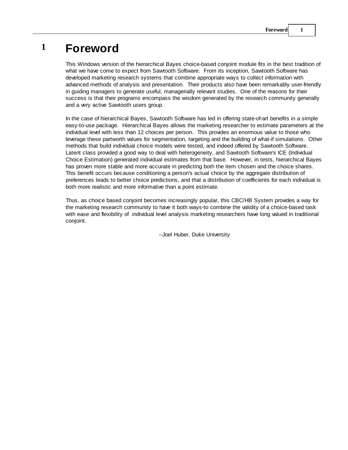# <span id="page-6-0"></span>**1 Foreword**

This Windows version of the hierarchical Bayes choice-based conjoint module fits in the best tradition of what we have come to expect from Sawtooth Software. From its inception, Sawtooth Software has developed marketing research systems that combine appropriate ways to collect information with advanced methods of analysis and presentation. Their products also have been remarkably user-friendly in guiding managers to generate useful, managerially relevant studies. One of the reasons for their success is that their programs encompass the wisdom generated by the research community generally and a very active Sawtooth users group.

In the case of hierarchical Bayes, Sawtooth Software has led in offering state-of-art benefits in a simple easy-to-use package. Hierarchical Bayes allows the marketing researcher to estimate parameters at the individual level with less than 12 choices per person. This provides an enormous value to those who leverage these partworth values for segmentation, targeting and the building of what-if simulations. Other methods that build individual choice models were tested, and indeed offered by Sawtooth Software. Latent class provided a good way to deal with heterogeneity, and Sawtooth Software's ICE (Individual Choice Estimation) generated individual estimates from that base. However, in tests, hierarchical Bayes has proven more stable and more accurate in predicting both the item chosen and the choice shares. This benefit occurs because conditioning a person's actual choice by the aggregate distribution of preferences leads to better choice predictions, and that a distribution of coefficients for each individual is both more realistic and more informative than a point estimate.

Thus, as choice based conjoint becomes increasingly popular, this CBC/HB System provides a way for the marketing research community to have it both ways-to combine the validity of a choice-based task with ease and flexibility of individual level analysis marketing researchers have long valued in traditional conjoint.

--Joel Huber, Duke University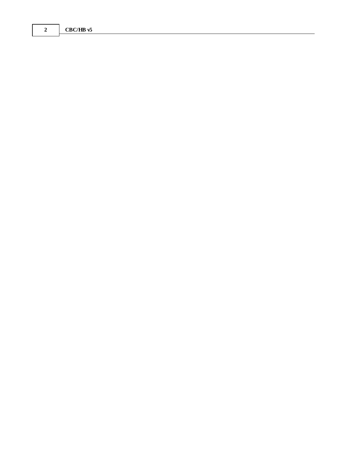| $CBC/HB$ v5 |
|-------------|
|             |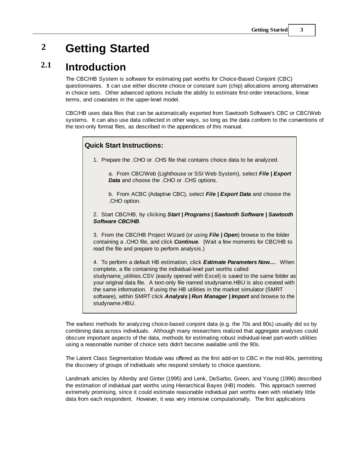# <span id="page-8-0"></span>**2 Getting Started**

studyname.HBU.

### **2.1 Introduction**

The CBC/HB System is software for estimating part worths for Choice-Based Conjoint (CBC) questionnaires. It can use either discrete choice or constant sum (chip) allocations among alternatives in choice sets. Other advanced options include the ability to estimate first-order interactions, linear terms, and covariates in the upper-level model.

CBC/HB uses data files that can be automatically exported from Sawtooth Software's CBC or CBC/Web systems. It can also use data collected in other ways, so long as the data conform to the conventions of the text-only format files, as described in the appendices of this manual.

| <b>Quick Start Instructions:</b>                                                                                                                                                                                                                                                                                                                                                                                                                                                                        |
|---------------------------------------------------------------------------------------------------------------------------------------------------------------------------------------------------------------------------------------------------------------------------------------------------------------------------------------------------------------------------------------------------------------------------------------------------------------------------------------------------------|
| 1. Prepare the .CHO or .CHS file that contains choice data to be analyzed.                                                                                                                                                                                                                                                                                                                                                                                                                              |
| a. From CBC/Web (Lighthouse or SSI Web System), select File   Export<br>Data and choose the .CHO or .CHS options.                                                                                                                                                                                                                                                                                                                                                                                       |
| b. From ACBC (Adaptive CBC), select File   Export Data and choose the<br>.CHO option.                                                                                                                                                                                                                                                                                                                                                                                                                   |
| 2. Start CBC/HB, by clicking Start   Programs   Sawtooth Software   Sawtooth<br><b>Software CBC/HB.</b>                                                                                                                                                                                                                                                                                                                                                                                                 |
| 3. From the CBC/HB Project Wizard (or using <i>File   Open</i> ) browse to the folder<br>containing a .CHO file, and click <b>Continue</b> . (Wait a few moments for CBC/HB to<br>read the file and prepare to perform analysis.)                                                                                                                                                                                                                                                                       |
| 4. To perform a default HB estimation, click <b>Estimate Parameters Now</b> . When<br>complete, a file containing the individual-level part worths called<br>studyname_utilities.CSV (easily opened with Excel) is saved to the same folder as<br>your original data file. A text-only file named studyname.HBU is also created with<br>the same information. If using the HB utilities in the market simulator (SMRT<br>software), within SMRT click Analysis   Run Manager   Import and browse to the |

The earliest methods for analyzing choice-based conjoint data (e.g. the 70s and 80s) usually did so by combining data across individuals. Although many researchers realized that aggregate analyses could obscure important aspects of the data, methods for estimating robust individual-level part-worth utilities using a reasonable number of choice sets didn't become available until the 90s.

The Latent Class Segmentation Module was offered as the first add-on to CBC in the mid-90s, permitting the discovery of groups of individuals who respond similarly to choice questions.

Landmark articles by Allenby and Ginter (1995) and Lenk, DeSarbo, Green, and Young (1996) described the estimation of individual part worths using Hierarchical Bayes (HB) models. This approach seemed extremely promising, since it could estimate reasonable individual part worths even with relatively little data from each respondent. However, it was very intensive computationally. The first applications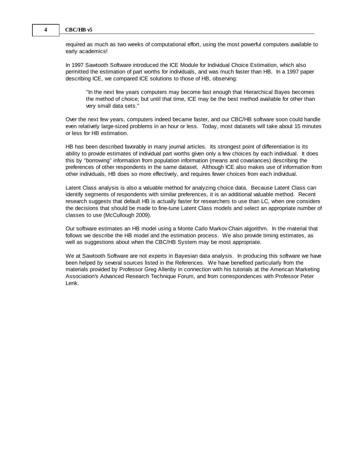required as much as two weeks of computational effort, using the most powerful computers available to early academics!

In 1997 Sawtooth Software introduced the ICE Module for Individual Choice Estimation, which also permitted the estimation of part worths for individuals, and was much faster than HB. In a 1997 paper describing ICE, we compared ICE solutions to those of HB, observing:

"In the next few years computers may become fast enough that Hierarchical Bayes becomes the method of choice; but until that time, ICE may be the best method available for other than very small data sets."

Over the next few years, computers indeed became faster, and our CBC/HB software soon could handle even relatively large-sized problems in an hour or less. Today, most datasets will take about 15 minutes or less for HB estimation.

HB has been described favorably in many journal articles. Its strongest point of differentiation is its ability to provide estimates of individual part worths given only a few choices by each individual. It does this by "borrowing" information from population information (means and covariances) describing the preferences of other respondents in the same dataset. Although ICE also makes use of information from other individuals, HB does so more effectively, and requires fewer choices from each individual.

Latent Class analysis is also a valuable method for analyzing choice data. Because Latent Class can identify segments of respondents with similar preferences, it is an additional valuable method. Recent research suggests that default HB is actually faster for researchers to use than LC, when one considers the decisions that should be made to fine-tune Latent Class models and select an appropriate number of classes to use (McCullough 2009).

Our software estimates an HB model using a Monte Carlo Markov Chain algorithm. In the material that follows we describe the HB model and the estimation process. We also provide timing estimates, as well as suggestions about when the CBC/HB System may be most appropriate.

We at Sawtooth Software are not experts in Bayesian data analysis. In producing this software we have been helped by several sources listed in the References. We have benefited particularly from the materials provided by Professor Greg Allenby in connection with his tutorials at the American Marketing Association's Advanced Research Technique Forum, and from correspondences with Professor Peter Lenk.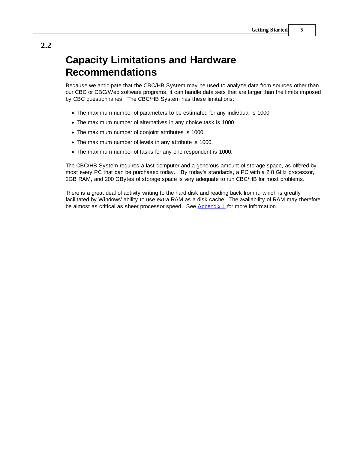# <span id="page-10-0"></span>**Capacity Limitations and Hardware Recommendations**

Because we anticipate that the CBC/HB System may be used to analyze data from sources other than our CBC or CBC/Web software programs, it can handle data sets that are larger than the limits imposed by CBC questionnaires. The CBC/HB System has these limitations:

- · The maximum number of parameters to be estimated for any individual is 1000.
- · The maximum number of alternatives in any choice task is 1000.
- · The maximum number of conjoint attributes is 1000.
- · The maximum number of levels in any attribute is 1000.
- · The maximum number of tasks for any one respondent is 1000.

The CBC/HB System requires a fast computer and a generous amount of storage space, as offered by most every PC that can be purchased today. By today's standards, a PC with a 2.8 GHz processor, 2GB RAM, and 200 GBytes of storage space is very adequate to run CBC/HB for most problems.

There is a great deal of activity writing to the hard disk and reading back from it, which is greatly facilitated by Windows' ability to use extra RAM as a disk cache. The availability of RAM may therefore be almost as critical as sheer processor speed. See  $\Delta$ ppendix  $\mathsf L$  for more information.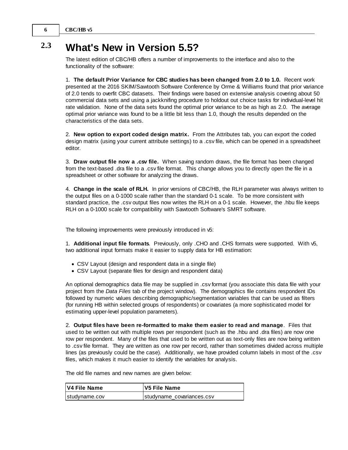## <span id="page-11-0"></span>**2.3 What's New in Version 5.5?**

The latest edition of CBC/HB offers a number of improvements to the interface and also to the functionality of the software:

1. **The default Prior Variance for CBC studies has been changed from 2.0 to 1.0.** Recent work presented at the 2016 SKIM/Sawtooth Software Conference by Orme & Williams found that prior variance of 2.0 tends to overfit CBC datasets. Their findings were based on extensive analysis covering about 50 commercial data sets and using a jackknifing procedure to holdout out choice tasks for individual-level hit rate validation. None of the data sets found the optimal prior variance to be as high as 2.0. The average optimal prior variance was found to be a little bit less than 1.0, though the results depended on the characteristics of the data sets.

2. **New option to export coded design matrix.** From the Attributes tab, you can export the coded design matrix (using your current attribute settings) to a .csv file, which can be opened in a spreadsheet editor.

3. **Draw output file now a .csv file.** When saving random draws, the file format has been changed from the text-based .dra file to a .csv file format. This change allows you to directly open the file in a spreadsheet or other software for analyzing the draws.

4. **Change in the scale of RLH.** In prior versions of CBC/HB, the RLH parameter was always written to the output files on a 0-1000 scale rather than the standard 0-1 scale. To be more consistent with standard practice, the .csv output files now writes the RLH on a 0-1 scale. However, the .hbu file keeps RLH on a 0-1000 scale for compatibility with Sawtooth Software's SMRT software.

The following improvements were previously introduced in v5:

1. **Additional input file formats**. Previously, only .CHO and .CHS formats were supported. With v5, two additional input formats make it easier to supply data for HB estimation:

- CSV Layout (design and respondent data in a single file)
- · CSV Layout (separate files for design and respondent data)

An optional demographics data file may be supplied in .csv format (you associate this data file with your project from the *Data Files* tab of the project window). The demographics file contains respondent IDs followed by numeric values describing demographic/segmentation variables that can be used as filters (for running HB within selected groups of respondents) or covariates (a more sophisticated model for estimating upper-level population parameters).

2. **Output files have been re-formatted to make them easier to read and manage**. Files that used to be written out with multiple rows per respondent (such as the .hbu and .dra files) are now one row per respondent. Many of the files that used to be written out as text-only files are now being written to .csv file format. They are written as one row per record, rather than sometimes divided across multiple lines (as previously could be the case). Additionally, we have provided column labels in most of the .csv files, which makes it much easier to identify the variables for analysis.

The old file names and new names are given below:

| <b>V4 File Name</b> | <b>V5 File Name</b>       |
|---------------------|---------------------------|
| studyname.cov       | studyname_covariances.csv |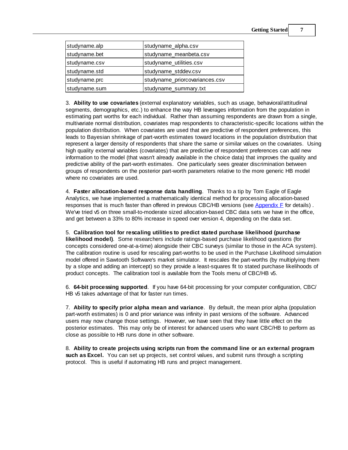| studyname.alp | studyname_alpha.csv            |
|---------------|--------------------------------|
| studyname.bet | studyname_meanbeta.csv         |
| studyname.csv | studyname_utilities.csv        |
| studyname.std | studyname_stddev.csv           |
| studyname.prc | studyname_priorcovariances.csv |
| studyname.sum | studyname_summary.txt          |

3. **Ability to use covariates** (external explanatory variables, such as usage, behavioral/attitudinal segments, demographics, etc.) to enhance the way HB leverages information from the population in estimating part worths for each individual. Rather than assuming respondents are drawn from a single, multivariate normal distribution, covariates map respondents to characteristic-specific locations within the population distribution. When covariates are used that are predictive of respondent preferences, this leads to Bayesian shrinkage of part-worth estimates toward locations in the population distribution that represent a larger density of respondents that share the same or similar values on the covariates. Using high quality external variables (covariates) that are predictive of respondent preferences can add new information to the model (that wasn't already available in the choice data) that improves the quality and predictive ability of the part-worth estimates. One particularly sees greater discrimination between groups of respondents on the posterior part-worth parameters relative to the more generic HB model where no covariates are used.

4. **Faster allocation-based response data handling**. Thanks to a tip by Tom Eagle of Eagle Analytics, we have implemented a mathematically identical method for processing allocation-based responses that is much faster than offered in previous CBC/HB versions (see [Appendix](#page-83-0) F for details). We've tried v5 on three small-to-moderate sized allocation-based CBC data sets we have in the office, and get between a 33% to 80% increase in speed over version 4, depending on the data set.

#### 5. **Calibration tool for rescaling utilities to predict stated purchase likelihood (purchase**

**likelihood model)**. Some researchers include ratings-based purchase likelihood questions (for concepts considered one-at-a-time) alongside their CBC surveys (similar to those in the ACA system). The calibration routine is used for rescaling part-worths to be used in the Purchase Likelihood simulation model offered in Sawtooth Software's market simulator. It rescales the part-worths (by multiplying them by a slope and adding an intercept) so they provide a least-squares fit to stated purchase likelihoods of product concepts. The calibration tool is available from the Tools menu of CBC/HB v5.

6. **64-bit processing supported**. If you have 64-bit processing for your computer configuration, CBC/ HB v5 takes advantage of that for faster run times.

7. **Ability to specify prior alpha mean and variance**. By default, the mean prior alpha (population part-worth estimates) is 0 and prior variance was infinity in past versions of the software. Advanced users may now change those settings. However, we have seen that they have little effect on the posterior estimates. This may only be of interest for advanced users who want CBC/HB to perform as close as possible to HB runs done in other software.

8. **Ability to create projects using scripts run from the command line or an external program such as Excel.** You can set up projects, set control values, and submit runs through a scripting protocol. This is useful if automating HB runs and project management.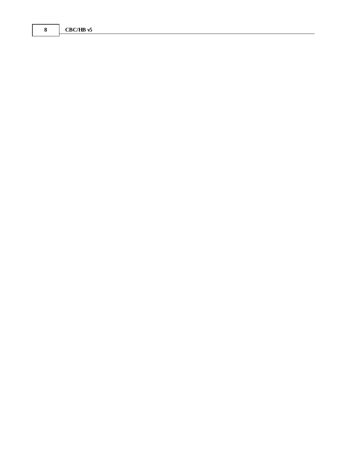| О | $CBC/HB$ v5 |
|---|-------------|
|   |             |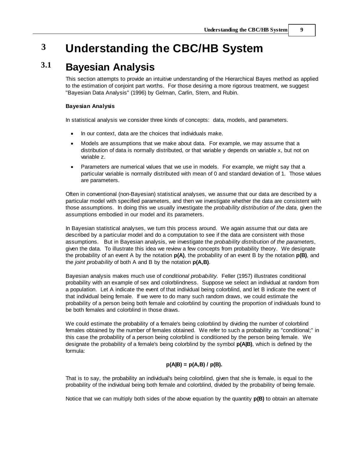# <span id="page-14-0"></span>**3 Understanding the CBC/HB System**

## **3.1 Bayesian Analysis**

This section attempts to provide an intuitive understanding of the Hierarchical Bayes method as applied to the estimation of conjoint part worths. For those desiring a more rigorous treatment, we suggest "Bayesian Data Analysis" (1996) by Gelman, Carlin, Stern, and Rubin.

#### **Bayesian Analysis**

In statistical analysis we consider three kinds of concepts: data, models, and parameters.

- · In our context, data are the choices that individuals make.
- · Models are assumptions that we make about data. For example, we may assume that a distribution of data is normally distributed, or that variable y depends on variable x, but not on variable z.
- Parameters are numerical values that we use in models. For example, we might say that a particular variable is normally distributed with mean of 0 and standard deviation of 1. Those values are parameters.

Often in conventional (non-Bayesian) statistical analyses, we assume that our data are described by a particular model with specified parameters, and then we investigate whether the data are consistent with those assumptions. In doing this we usually investigate the *probability distribution of the data*, given the assumptions embodied in our model and its parameters.

In Bayesian statistical analyses, we turn this process around. We again assume that our data are described by a particular model and do a computation to see if the data are consistent with those assumptions. But in Bayesian analysis, we investigate the *probability distribution of the parameters*, given the data. To illustrate this idea we review a few concepts from probability theory. We designate the probability of an event A by the notation **p(A)**, the probability of an event B by the notation **p(B)**, and the *joint probability* of both A and B by the notation **p(A,B)**.

Bayesian analysis makes much use of *conditional probability*. Feller (1957) illustrates conditional probability with an example of sex and colorblindness. Suppose we select an individual at random from a population. Let A indicate the event of that individual being colorblind, and let B indicate the event of that individual being female. If we were to do many such random draws, we could estimate the probability of a person being both female and colorblind by counting the proportion of individuals found to be both females and colorblind in those draws.

We could estimate the probability of a female's being colorblind by dividing the number of colorblind females obtained by the number of females obtained. We refer to such a probability as "conditional;" in this case the probability of a person being colorblind is conditioned by the person being female. We designate the probability of a female's being colorblind by the symbol **p(A|B)**, which is defined by the formula:

#### **p(A|B) = p(A,B) / p(B).**

That is to say, the probability an individual's being colorblind, given that she is female, is equal to the probability of the individual being both female and colorblind, divided by the probability of being female.

Notice that we can multiply both sides of the above equation by the quantity **p(B)** to obtain an alternate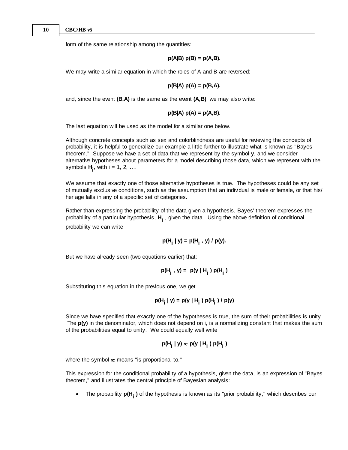form of the same relationship among the quantities:

$$
p(A|B) p(B) = p(A,B).
$$

We may write a similar equation in which the roles of A and B are reversed:

$$
p(B|A) p(A) = p(B,A).
$$

and, since the event **(B,A)** is the same as the event **(A,B)**, we may also write:

$$
p(B|A) p(A) = p(A,B).
$$

The last equation will be used as the model for a similar one below.

Although concrete concepts such as sex and colorblindness are useful for reviewing the concepts of probability, it is helpful to generalize our example a little further to illustrate what is known as "Bayes theorem." Suppose we have a set of data that we represent by the symbol **y**, and we consider alternative hypotheses about parameters for a model describing those data, which we represent with the symbols **H<sub>i</sub>**, with i = 1, 2, ….

We assume that exactly one of those alternative hypotheses is true. The hypotheses could be any set of mutually exclusive conditions, such as the assumption that an individual is male or female, or that his/ her age falls in any of a specific set of categories.

Rather than expressing the probability of the data given a hypothesis, Bayes' theorem expresses the probability of <sup>a</sup> particular hypothesis, **Hi** , given the data. Using the above definition of conditional probability we can write

**p(Hi <sup>|</sup> y) <sup>=</sup> p(Hi , y) / p(y).**

But we have already seen (two equations earlier) that:

$$
p(H_i, y) = p(y | H_i) p(H_i)
$$

Substituting this equation in the previous one, we get

$$
p(H_i | y) = p(y | H_i) p(H_i) / p(y)
$$

Since we have specified that exactly one of the hypotheses is true, the sum of their probabilities is unity. The **p(y)** in the denominator, which does not depend on i, is a normalizing constant that makes the sum of the probabilities equal to unity. We could equally well write

$$
p(H_j | y) \propto p(y | H_j) p(H_j)
$$

where the symbol  $\infty$  means "is proportional to."

This expression for the conditional probability of a hypothesis, given the data, is an expression of "Bayes theorem," and illustrates the central principle of Bayesian analysis:

· The probability **p(Hi )** of the hypothesis is known as its "prior probability," which describes our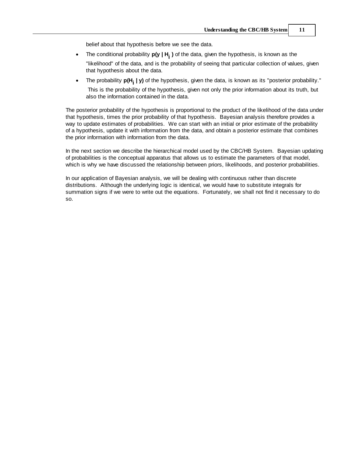belief about that hypothesis before we see the data.

· The conditional probability **p(y <sup>|</sup> Hi )** of the data, given the hypothesis, is known as the

"likelihood" of the data, and is the probability of seeing that particular collection of values, given that hypothesis about the data.

· The probability **p(Hi | y)** of the hypothesis, given the data, is known as its "posterior probability." This is the probability of the hypothesis, given not only the prior information about its truth, but also the information contained in the data.

The posterior probability of the hypothesis is proportional to the product of the likelihood of the data under that hypothesis, times the prior probability of that hypothesis. Bayesian analysis therefore provides a way to update estimates of probabilities. We can start with an initial or prior estimate of the probability of a hypothesis, update it with information from the data, and obtain a posterior estimate that combines the prior information with information from the data.

In the next section we describe the hierarchical model used by the CBC/HB System. Bayesian updating of probabilities is the conceptual apparatus that allows us to estimate the parameters of that model, which is why we have discussed the relationship between priors, likelihoods, and posterior probabilities.

In our application of Bayesian analysis, we will be dealing with continuous rather than discrete distributions. Although the underlying logic is identical, we would have to substitute integrals for summation signs if we were to write out the equations. Fortunately, we shall not find it necessary to do so.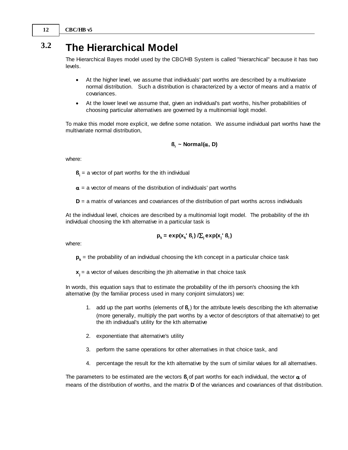## <span id="page-17-0"></span>**3.2 The Hierarchical Model**

The Hierarchical Bayes model used by the CBC/HB System is called "hierarchical" because it has two levels.

- At the higher level, we assume that individuals' part worths are described by a multivariate normal distribution. Such a distribution is characterized by a vector of means and a matrix of covariances.
- · At the lower level we assume that, given an individual's part worths, his/her probabilities of choosing particular alternatives are governed by a multinomial logit model.

To make this model more explicit, we define some notation. We assume individual part worths have the multivariate normal distribution,

$$
\beta_i \sim Normal(\alpha, D)
$$

where:

 $\mathbf{B}_i$  = a vector of part worths for the ith individual

 $\alpha$  = a vector of means of the distribution of individuals' part worths

**D** = a matrix of variances and covariances of the distribution of part worths across individuals

At the individual level, choices are described by a multinomial logit model. The probability of the ith individual choosing the kth alternative in a particular task is

$$
\mathbf{p}_{k} = \mathbf{exp}(\mathbf{x}_{k} \cdot \mathbf{B}_{i}) / \sum_{j} \mathbf{exp}(\mathbf{x}_{j} \cdot \mathbf{B}_{i})
$$

where:

 $\mathbf{p}_k$  = the probability of an individual choosing the kth concept in a particular choice task

 $x_i$  = a vector of values describing the jth alternative in that choice task

In words, this equation says that to estimate the probability of the ith person's choosing the kth alternative (by the familiar process used in many conjoint simulators) we:

- 1. add up the part worths (elements of **ß<sup>i</sup>** ) for the attribute levels describing the kth alternative (more generally, multiply the part worths by a vector of descriptors of that alternative) to get the ith individual's utility for the kth alternative
- 2. exponentiate that alternative's utility
- 3. perform the same operations for other alternatives in that choice task, and
- 4. percentage the result for the kth alternative by the sum of similar values for all alternatives.

The parameters to be estimated are the vectors  $\beta$ , of part worths for each individual, the vector  $\alpha$  of means of the distribution of worths, and the matrix **D** of the variances and covariances of that distribution.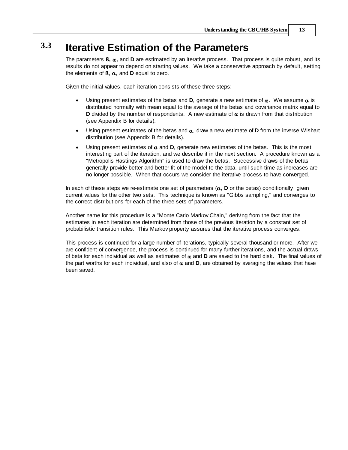## <span id="page-18-0"></span>**3.3 Iterative Estimation of the Parameters**

The parameters  $\beta$ ,  $\alpha$ , and  $D$  are estimated by an iterative process. That process is quite robust, and its results do not appear to depend on starting values. We take a conservative approach by default, setting the elements of  $\beta$ ,  $\alpha$ , and **D** equal to zero.

Given the initial values, each iteration consists of these three steps:

- Using present estimates of the betas and **D**, generate a new estimate of  $\alpha$ . We assume  $\alpha$  is distributed normally with mean equal to the average of the betas and covariance matrix equal to **D** divided by the number of respondents. A new estimate of  $\alpha$  is drawn from that distribution (see Appendix B for details).
- Using present estimates of the betas and  $\alpha$ , draw a new estimate of **D** from the inverse Wishart distribution (see Appendix B for details).
- Using present estimates of  $\alpha$  and **D**, generate new estimates of the betas. This is the most interesting part of the iteration, and we describe it in the next section. A procedure known as a "Metropolis Hastings Algorithm" is used to draw the betas. Successive draws of the betas generally provide better and better fit of the model to the data, until such time as increases are no longer possible. When that occurs we consider the iterative process to have converged.

In each of these steps we re-estimate one set of parameters  $(\alpha, D)$  or the betas) conditionally, given current values for the other two sets. This technique is known as "Gibbs sampling," and converges to the correct distributions for each of the three sets of parameters.

Another name for this procedure is a "Monte Carlo Markov Chain," deriving from the fact that the estimates in each iteration are determined from those of the previous iteration by a constant set of probabilistic transition rules. This Markov property assures that the iterative process converges.

This process is continued for a large number of iterations, typically several thousand or more. After we are confident of convergence, the process is continued for many further iterations, and the actual draws of beta for each individual as well as estimates of  $\alpha$  and **D** are saved to the hard disk. The final values of the part worths for each individual, and also of  $\alpha$  and **D**, are obtained by averaging the values that have been saved.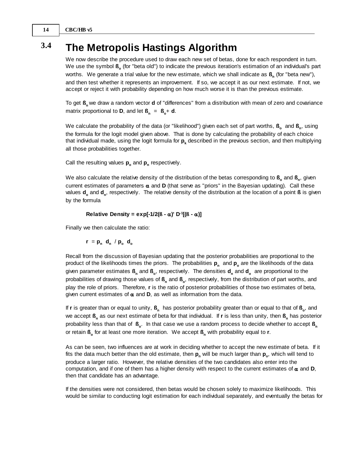## <span id="page-19-0"></span>**3.4 The Metropolis Hastings Algorithm**

We now describe the procedure used to draw each new set of betas, done for each respondent in turn. We use the symbol **ß<sup>o</sup>** (for "beta old") to indicate the previous iteration's estimation of an individual's part worths. We generate a trial value for the new estimate, which we shall indicate as **ß<sup>n</sup>** (for "beta new"), and then test whether it represents an improvement. If so, we accept it as our next estimate. If not, we accept or reject it with probability depending on how much worse it is than the previous estimate.

To get **ß<sup>n</sup>** we draw a random vector **d** of "differences" from a distribution with mean of zero and covariance matrix proportional to **D**, and let  $\mathbf{B}_n = \mathbf{B}_0 + \mathbf{d}$ .

We calculate the probability of the data (or "likelihood") given each set of part worths, **ß<sup>o</sup>** and **ß<sup>n</sup>** , using the formula for the logit model given above. That is done by calculating the probability of each choice that individual made, using the logit formula for **p<sup>k</sup>** described in the previous section, and then multiplying all those probabilities together.

Call the resulting values **p<sup>o</sup>** and **p<sup>n</sup>** respectively.

We also calculate the relative density of the distribution of the betas corresponding to **ß<sup>o</sup>** and **ß<sup>n</sup>** , given current estimates of parameters  $\alpha$  and **D** (that serve as "priors" in the Bayesian updating). Call these values **d<sup>o</sup>** and **d<sup>n</sup>** , respectively. The relative density of the distribution at the location of a point **ß** is given by the formula

#### **Relative Density = exp[-1/2(ß -** a**)' D-1 [(ß -** a**)]**

Finally we then calculate the ratio:

$$
r = p_n d_n / p_o d_o
$$

Recall from the discussion of Bayesian updating that the posterior probabilities are proportional to the product of the likelihoods times the priors. The probabilities  $p_n$  and  $p_o$  are the likelihoods of the data given parameter estimates **ß<sup>n</sup>** and **ß<sup>o</sup>** , respectively. The densities **d<sup>n</sup>** and **d<sup>o</sup>** are proportional to the probabilities of drawing those values of **ß<sup>n</sup>** and **ß<sup>o</sup>** , respectively, from the distribution of part worths, and play the role of priors. Therefore, **r** is the ratio of posterior probabilities of those two estimates of beta, given current estimates of  $\alpha$  and **D**, as well as information from the data.

If **r** is greater than or equal to unity, **ß<sup>n</sup>** has posterior probability greater than or equal to that of **ß<sup>o</sup>** , and we accept **ß<sup>n</sup>** as our next estimate of beta for that individual. If **r** is less than unity, then **ß<sup>n</sup>** has posterior probability less than that of **ß<sup>o</sup>** . In that case we use a random process to decide whether to accept **ß<sup>n</sup>** or retain **ß<sup>o</sup>** for at least one more iteration. We accept **ß<sup>n</sup>** with probability equal to **r**.

As can be seen, two influences are at work in deciding whether to accept the new estimate of beta. If it fits the data much better than the old estimate, then **p<sup>n</sup>** will be much larger than **p<sup>o</sup>** , which will tend to produce a larger ratio. However, the relative densities of the two candidates also enter into the computation, and if one of them has a higher density with respect to the current estimates of  $\alpha$  and  $D$ , then that candidate has an advantage.

If the densities were not considered, then betas would be chosen solely to maximize likelihoods. This would be similar to conducting logit estimation for each individual separately, and eventually the betas for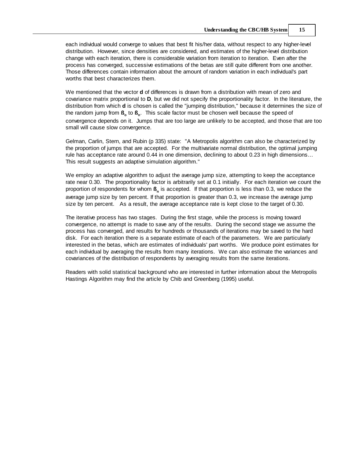each individual would converge to values that best fit his/her data, without respect to any higher-level distribution. However, since densities are considered, and estimates of the higher-level distribution change with each iteration, there is considerable variation from iteration to iteration. Even after the process has converged, successive estimations of the betas are still quite different from one another. Those differences contain information about the amount of random variation in each individual's part worths that best characterizes them.

We mentioned that the vector **d** of differences is drawn from a distribution with mean of zero and covariance matrix proportional to **D**, but we did not specify the proportionality factor. In the literature, the distribution from which **d** is chosen is called the "jumping distribution," because it determines the size of the random jump from  $\mathbf{B_o}$  to  $\mathbf{B_n}$ . This scale factor must be chosen well because the speed of convergence depends on it. Jumps that are too large are unlikely to be accepted, and those that are too small will cause slow convergence.

Gelman, Carlin, Stern, and Rubin (p 335) state: "A Metropolis algorithm can also be characterized by the proportion of jumps that are accepted. For the multivariate normal distribution, the optimal jumping rule has acceptance rate around 0.44 in one dimension, declining to about 0.23 in high dimensions… This result suggests an adaptive simulation algorithm."

We employ an adaptive algorithm to adjust the average jump size, attempting to keep the acceptance rate near 0.30. The proportionality factor is arbitrarily set at 0.1 initially. For each iteration we count the proportion of respondents for whom **ß<sup>n</sup>** is accepted. If that proportion is less than 0.3, we reduce the average jump size by ten percent. If that proportion is greater than 0.3, we increase the average jump size by ten percent. As a result, the average acceptance rate is kept close to the target of 0.30.

The iterative process has two stages. During the first stage, while the process is moving toward convergence, no attempt is made to save any of the results. During the second stage we assume the process has converged, and results for hundreds or thousands of iterations may be saved to the hard disk. For each iteration there is a separate estimate of each of the parameters. We are particularly interested in the betas, which are estimates of individuals' part worths. We produce point estimates for each individual by averaging the results from many iterations. We can also estimate the variances and covariances of the distribution of respondents by averaging results from the same iterations.

Readers with solid statistical background who are interested in further information about the Metropolis Hastings Algorithm may find the article by Chib and Greenberg (1995) useful.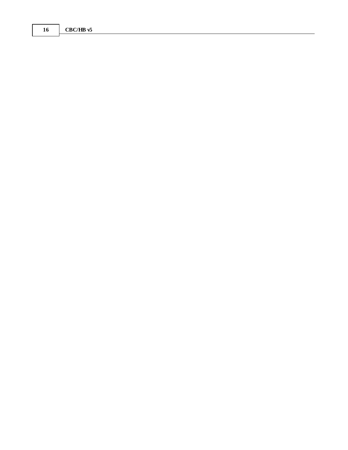| 16 | $CBC/HB$ v5 |
|----|-------------|
|    |             |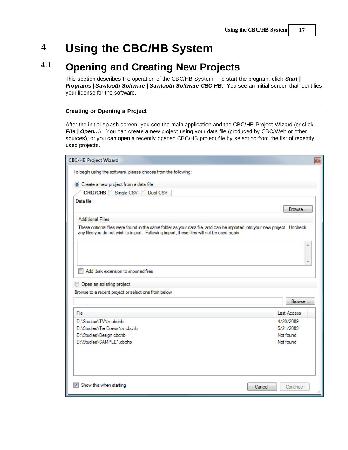# <span id="page-22-0"></span>**4 Using the CBC/HB System**

# **4.1 Opening and Creating New Projects**

This section describes the operation of the CBC/HB System. To start the program, click *Start | Programs | Sawtooth Software | Sawtooth Software CBC HB*. You see an initial screen that identifies your license for the software.

#### **Creating or Opening a Project**

After the initial splash screen, you see the main application and the CBC/HB Project Wizard (or click *File | Open...*). You can create a new project using your data file (produced by CBC/Web or other sources), or you can open a recently opened CBC/HB project file by selecting from the list of recently used projects.

| <b>CBC/HB Project Wizard</b>                                                                                                                                                                                           | $\mathbf{z}_i$     |  |  |  |  |  |
|------------------------------------------------------------------------------------------------------------------------------------------------------------------------------------------------------------------------|--------------------|--|--|--|--|--|
| To begin using the software, please choose from the following:                                                                                                                                                         |                    |  |  |  |  |  |
| Create a new project from a data file                                                                                                                                                                                  |                    |  |  |  |  |  |
| <b>CHO/CHS</b><br>Single CSV<br>Dual CSV                                                                                                                                                                               |                    |  |  |  |  |  |
| Data file                                                                                                                                                                                                              |                    |  |  |  |  |  |
|                                                                                                                                                                                                                        | Browse             |  |  |  |  |  |
| <b>Additional Files</b>                                                                                                                                                                                                |                    |  |  |  |  |  |
| These optional files were found in the same folder as your data file, and can be imported into your new project. Uncheck<br>any files you do not wish to import. Following import, these files will not be used again. |                    |  |  |  |  |  |
|                                                                                                                                                                                                                        | ×.                 |  |  |  |  |  |
| Add .bak extension to imported files                                                                                                                                                                                   |                    |  |  |  |  |  |
| O Open an existing project                                                                                                                                                                                             |                    |  |  |  |  |  |
| Browse to a recent project or select one from below                                                                                                                                                                    |                    |  |  |  |  |  |
|                                                                                                                                                                                                                        | Browse             |  |  |  |  |  |
| File                                                                                                                                                                                                                   | <b>Last Access</b> |  |  |  |  |  |
| D:\Studies\TV\tv.cbchb                                                                                                                                                                                                 | 4/20/2009          |  |  |  |  |  |
| D:\Studies\Tie Draws\tv.cbchb                                                                                                                                                                                          | 5/21/2009          |  |  |  |  |  |
| D:\Studies\Design.cbchb                                                                                                                                                                                                | Not found          |  |  |  |  |  |
| D:\Studies\SAMPLE1.cbchb                                                                                                                                                                                               | Not found          |  |  |  |  |  |
|                                                                                                                                                                                                                        |                    |  |  |  |  |  |
|                                                                                                                                                                                                                        |                    |  |  |  |  |  |
|                                                                                                                                                                                                                        |                    |  |  |  |  |  |
| V Show this when starting<br>Cancel                                                                                                                                                                                    | Continue           |  |  |  |  |  |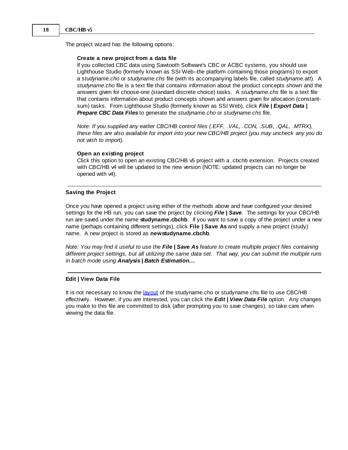The project wizard has the following options:

#### **Create a new project from a data file**

If you collected CBC data using Sawtooth Software's CBC or ACBC systems, you should use Lighthouse Studio (formerly known as SSI Web--the platform containing those programs) to export a *studyname.cho* or *studyname.chs* file (with its accompanying labels file, called *studyname.att*). A *studyname.cho* file is a text file that contains information about the product concepts shown and the answers given for choose-one (standard discrete choice) tasks. A *studyname.chs* file is a text file that contains information about product concepts shown and answers given for allocation (constantsum) tasks. From Lighthouse Studio (formerly known as SSI Web), click *File | Export Data | Prepare CBC Data Files* to generate the *studyname.cho* or *studyname.chs* file.

*Note: If you supplied any earlier CBC/HB control files (.EFF, .VAL, .CON, .SUB, .QAL, .MTRX), these files are also available for import into your new CBC/HB project (you may uncheck any you do not wish to import).*

#### **Open an existing project**

Click this option to open an existing CBC/HB v5 project with a .cbchb extension. Projects created with CBC/HB v4 will be updated to the new version (NOTE: updated projects can no longer be opened with v4).

#### **Saving the Project**

Once you have opened a project using either of the methods above and have configured your desired settings for the HB run, you can save the project by clicking *File | Save*. The settings for your CBC/HB run are saved under the name **studyname.cbchb**. If you want to save a copy of the project under a new name (perhaps containing different settings), click **File | Save As** and supply a new project (study) name. A new project is stored as **newstudyname.cbchb**.

Note: You may find it useful to use the File | Save As feature to create multiple project files containing different project settings, but all utilizing the same data set. That way, you can submit the multiple runs *in batch mode using Analysis | Batch Estimation....*

#### **Edit | View Data File**

It is not necessary to know the *[layout](#page-72-0)* of the studyname.cho or studyname.chs file to use CBC/HB effectively. However, if you are interested, you can click the *Edit | View Data File* option. Any changes you make to this file are committed to disk (after prompting you to save changes), so take care when viewing the data file.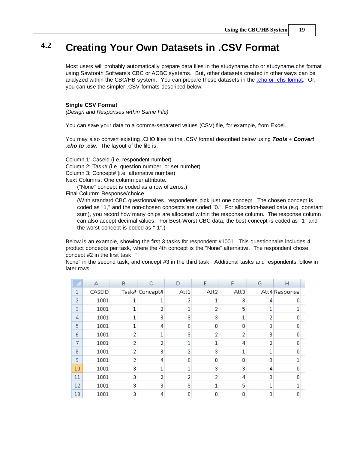# <span id="page-24-0"></span>**4.2 Creating Your Own Datasets in .CSV Format**

Most users will probably automatically prepare data files in the studyname.cho or studyname.chs format using Sawtooth Software's CBC or ACBC systems. But, other datasets created in other ways can be analyzed within the CBC/HB system. You can prepare these datasets in the .cho or .chs [format](#page-72-0). Or, you can use the simpler .CSV formats described below.

#### **Single CSV Format**

*(Design and Responses within Same File)*

You can save your data to a comma-separated values (CSV) file, for example, from Excel.

You may also convert existing .CHO files to the .CSV format described below using *Tools + Convert .cho to .csv*. The layout of the file is:

Column 1: Caseid (i.e. respondent number) Column 2: Task# (i.e. question number, or set number) Column 3: Concept# (i.e. alternative number) Next Columns: One column per attribute.

("None" concept is coded as a row of zeros.)

Final Column: Response/choice.

(With standard CBC questionnaires, respondents pick just one concept. The chosen concept is coded as "1," and the non-chosen concepts are coded "0." For allocation-based data (e.g. constant sum), you record how many chips are allocated within the response column. The response column can also accept decimal values. For Best-Worst CBC data, the best concept is coded as "1" and the worst concept is coded as "-1".)

Below is an example, showing the first 3 tasks for respondent #1001. This questionnaire includes 4 product concepts per task, where the 4th concept is the "None" alternative. The respondent chose concept #2 in the first task, "

None" in the second task, and concept #3 in the third task. Additional tasks and respondents follow in later rows.

|    | А      | B | С              | D    | E                | F                | G | H             |
|----|--------|---|----------------|------|------------------|------------------|---|---------------|
| 1  | CASEID |   | Task# Concept# | Att1 | Att <sub>2</sub> | Att <sub>3</sub> |   | Att4 Response |
| 2  | 1001   | 1 |                |      | 1                | з                | 4 | n             |
| 3  | 1001   | 1 | 2              |      | 2                | 5                | 1 |               |
| 4  | 1001   | 1 | 3              | 3    | з                | 1                | 2 | Ω             |
| 5  | 1001   | 1 | 4              | 0    | 0                | 0                | 0 |               |
| 6  | 1001   | 2 | 1.             | 3    | 2                | 2                | З |               |
| 7  | 1001   | 2 | 2              |      | 1                | 4                | 2 |               |
| 8  | 1001   | 2 | 3              | 2    | з                | 4                | 1 |               |
| 9  | 1001   | 2 | 4              | 0    | 0                | 0                | 0 |               |
| 10 | 1001   | 3 | 1              |      | 3                | 3                | 4 | n             |
| 11 | 1001   | 3 | 2              | 2    | 2                | 4                | 3 |               |
| 12 | 1001   | 3 | З              | 3    | 1                | 5                | 1 |               |
| 13 | 1001   | 3 | 4              | 0    | 0                | 0                | 0 |               |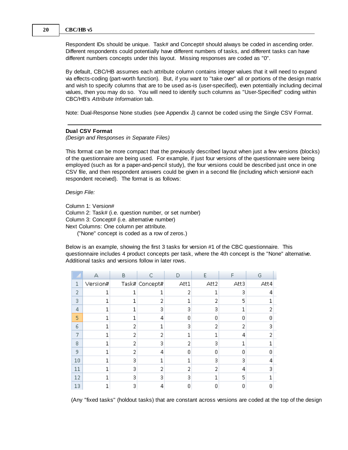Respondent IDs should be unique. Task# and Concept# should always be coded in ascending order. Different respondents could potentially have different numbers of tasks, and different tasks can have different numbers concepts under this layout. Missing responses are coded as "0".

By default, CBC/HB assumes each attribute column contains integer values that it will need to expand via effects-coding (part-worth function). But, if you want to "take over" all or portions of the design matrix and wish to specify columns that are to be used as-is (user-specified), even potentially including decimal values, then you may do so. You will need to identify such columns as "User-Specified" coding within CBC/HB's *Attribute Information* tab.

Note: Dual-Response None studies (see Appendix J) cannot be coded using the Single CSV Format.

#### **Dual CSV Format**

*(Design and Responses in Separate Files)*

This format can be more compact that the previously described layout when just a few versions (blocks) of the questionnaire are being used. For example, if just four versions of the questionnaire were being employed (such as for a paper-and-pencil study), the four versions could be described just once in one CSV file, and then respondent answers could be given in a second file (including which version# each respondent received). The format is as follows:

#### *Design File:*

Column 1: Version# Column 2: Task# (i.e. question number, or set number) Column 3: Concept# (i.e. alternative number) Next Columns: One column per attribute. ("None" concept is coded as a row of zeros.)

Below is an example, showing the first 3 tasks for version #1 of the CBC questionnaire. This questionnaire includes 4 product concepts per task, where the 4th concept is the "None" alternative. Additional tasks and versions follow in later rows.

|                | А        | B |                | D    | Ε                | F                | G    |
|----------------|----------|---|----------------|------|------------------|------------------|------|
| 1              | Version# |   | Task# Concept# | Att1 | Att <sub>2</sub> | Att <sub>3</sub> | Att4 |
| $\overline{2}$ | 1        | 1 |                | 2    | 4                | 3                | 4    |
| 3              | 1        |   | 2              |      | 2                | 5                |      |
| 4              |          |   | з              | 3    | з                |                  | 2    |
| 5              | 1        |   | 4              | n    | Ω                | Ω                | 0    |
| 6              |          | 2 |                | 3    | 2                | 2                | 3    |
| 7              |          | 2 |                |      |                  | Δ                | 2    |
| 8              | 1        | 2 | з              |      | 3                | 1                |      |
| 9              | 1        | 2 | 4              | n    | n                | 0                | 0    |
| 10             | 1        | 3 |                |      | з                | 3                | 4    |
| 11             | 1        | 3 | 2              | 2    | 2                | 4                | 3    |
| 12             |          | 3 | 3              | 3    |                  | 5                |      |
| 13             |          | 3 |                |      |                  | n                |      |

(Any "fixed tasks" (holdout tasks) that are constant across versions are coded at the top of the design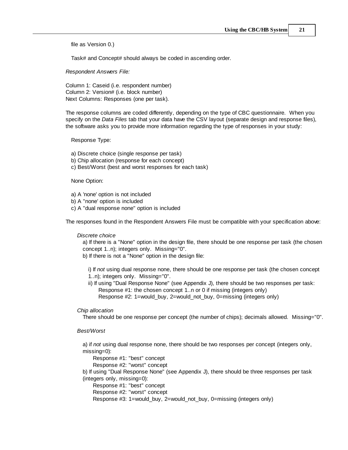file as Version 0.)

Task# and Concept# should always be coded in ascending order.

*Respondent Answers File:*

Column 1: Caseid (i.e. respondent number) Column 2: Version# (i.e. block number) Next Columns: Responses (one per task).

The response columns are coded differently, depending on the type of CBC questionnaire. When you specify on the *Data Files* tab that your data have the CSV layout (separate design and response files), the software asks you to provide more information regarding the type of responses in your study:

Response Type:

- a) Discrete choice (single response per task)
- b) Chip allocation (response for each concept)
- c) Best/Worst (best and worst responses for each task)

None Option:

- a) A 'none' option is not included
- b) A "none' option is included
- c) A "dual response none" option is included

The responses found in the Respondent Answers File must be compatible with your specification above:

#### *Discrete choice*

a) If there is a "None" option in the design file, there should be one response per task (the chosen concept 1..n); integers only. Missing="0".

b) If there is not a "None" option in the design file:

i) If *not* using dual response none, there should be one response per task (the chosen concept 1..n); integers only. Missing="0".

ii) If using "Dual Response None" (see Appendix J), there should be two responses per task: Response #1: the chosen concept 1..n or 0 if missing (integers only) Response #2: 1=would\_buy, 2=would\_not\_buy, 0=missing (integers only)

#### *Chip allocation*

There should be one response per concept (the number of chips); decimals allowed. Missing="0".

#### *Best/Worst*

a) if *not* using dual response none, there should be two responses per concept (integers only, missing=0):

Response #1: "best" concept

Response #2: "worst" concept

b) If using "Dual Response None" (see Appendix J), there should be three responses per task (integers only, missing=0):

Response #1: "best" concept

Response #2: "worst" concept

Response #3: 1=would\_buy, 2=would\_not\_buy, 0=missing (integers only)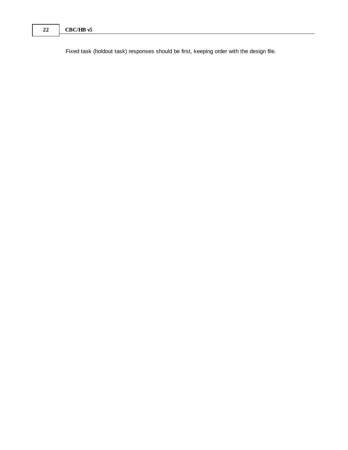Fixed task (holdout task) responses should be first, keeping order with the design file.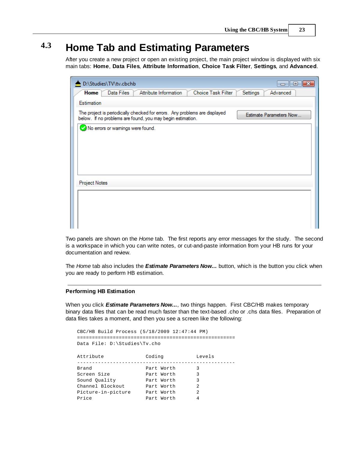## <span id="page-28-0"></span>**4.3 Home Tab and Estimating Parameters**

After you create a new project or open an existing project, the main project window is displayed with six main tabs: **Home**, **Data Files**, **Attribute Information**, **Choice Task Filter**, **Settings**, and **Advanced**.

| D:\Studies\TV\tv.cbchb                                                                                                                   | ьx.<br>▣<br>- 11        |
|------------------------------------------------------------------------------------------------------------------------------------------|-------------------------|
| Data Files<br>Attribute Information<br><b>Choice Task Filter</b><br>Home                                                                 | Settings<br>Advanced    |
| <b>Estimation</b>                                                                                                                        |                         |
| The project is periodically checked for errors. Any problems are displayed<br>below. If no problems are found, you may begin estimation. | Estimate Parameters Now |
| No errors or warnings were found.                                                                                                        |                         |
|                                                                                                                                          |                         |
|                                                                                                                                          |                         |
|                                                                                                                                          |                         |
|                                                                                                                                          |                         |
| Project Notes                                                                                                                            |                         |
|                                                                                                                                          |                         |
|                                                                                                                                          |                         |
|                                                                                                                                          |                         |
|                                                                                                                                          |                         |

Two panels are shown on the *Home* tab. The first reports any error messages for the study. The second is a workspace in which you can write notes, or cut-and-paste information from your HB runs for your documentation and review.

The *Home* tab also includes the *Estimate Parameters Now...* button, which is the button you click when you are ready to perform HB estimation.

#### **Performing HB Estimation**

When you click *Estimate Parameters Now...*, two things happen. First CBC/HB makes temporary binary data files that can be read much faster than the text-based .cho or .chs data files. Preparation of data files takes a moment, and then you see a screen like the following:

CBC/HB Build Process (5/18/2009 12:47:44 PM) ===================================================== Data File: D:\Studies\Tv.cho Attribute Coding Levels ----------------------------------------------------- Brand **Part Worth** 3 Screen Size **Part Worth** 3 Sound Quality **Part Worth** 3 Channel Blockout Part Worth 2 Picture-in-picture Part Worth 2 Price Part Worth 4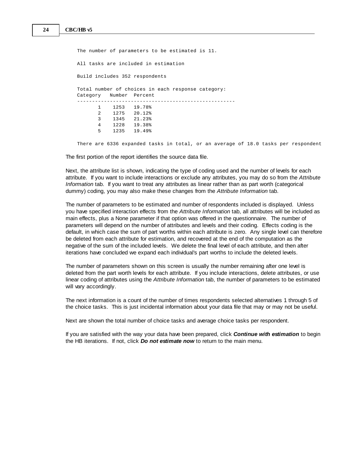The number of parameters to be estimated is 11. All tasks are included in estimation Build includes 352 respondents Total number of choices in each response category: Category Number Percent ----------------------------------------------------- 1 1253 19.78% 2 1275 20.12% 3 1345 21.23% 4 1228 19.38% 5 1235 19.49%

There are 6336 expanded tasks in total, or an average of 18.0 tasks per respondent

The first portion of the report identifies the source data file.

Next, the attribute list is shown, indicating the type of coding used and the number of levels for each attribute. If you want to include interactions or exclude any attributes, you may do so from the *Attribute Information* tab. If you want to treat any attributes as linear rather than as part worth (categorical dummy) coding, you may also make these changes from the *Attribute Information* tab.

The number of parameters to be estimated and number of respondents included is displayed. Unless you have specified interaction effects from the *Attribute Information* tab, all attributes will be included as main effects, plus a None parameter if that option was offered in the questionnaire. The number of parameters will depend on the number of attributes and levels and their coding. Effects coding is the default, in which case the sum of part worths within each attribute is zero. Any single level can therefore be deleted from each attribute for estimation, and recovered at the end of the computation as the negative of the sum of the included levels. We delete the final level of each attribute, and then after iterations have concluded we expand each individual's part worths to include the deleted levels.

The number of parameters shown on this screen is usually the number remaining after one level is deleted from the part worth levels for each attribute. If you include interactions, delete attributes, or use linear coding of attributes using the *Attribute Information* tab, the number of parameters to be estimated will vary accordingly.

The next information is a count of the number of times respondents selected alternatives 1 through 5 of the choice tasks. This is just incidental information about your data file that may or may not be useful.

Next are shown the total number of choice tasks and average choice tasks per respondent.

If you are satisfied with the way your data have been prepared, click *Continue with estimation* to begin the HB iterations. If not, click *Do not estimate now* to return to the main menu.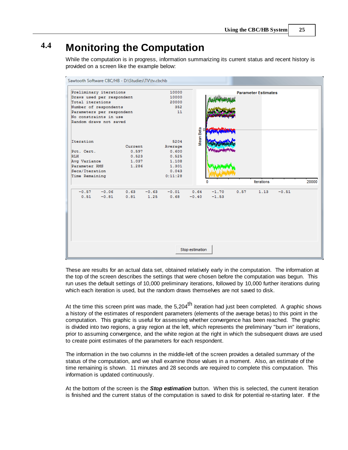## <span id="page-30-0"></span>**4.4 Monitoring the Computation**

While the computation is in progress, information summarizing its current status and recent history is provided on a screen like the example below:



These are results for an actual data set, obtained relatively early in the computation. The information at the top of the screen describes the settings that were chosen before the computation was begun. This run uses the default settings of 10,000 preliminary iterations, followed by 10,000 further iterations during which each iteration is used, but the random draws themselves are not saved to disk.

At the time this screen print was made, the 5,204<sup>th</sup> iteration had just been completed. A graphic shows a history of the estimates of respondent parameters (elements of the average betas) to this point in the computation. This graphic is useful for assessing whether convergence has been reached. The graphic is divided into two regions, a gray region at the left, which represents the preliminary "burn in" iterations, prior to assuming convergence, and the white region at the right in which the subsequent draws are used to create point estimates of the parameters for each respondent.

The information in the two columns in the middle-left of the screen provides a detailed summary of the status of the computation, and we shall examine those values in a moment. Also, an estimate of the time remaining is shown. 11 minutes and 28 seconds are required to complete this computation. This information is updated continuously.

At the bottom of the screen is the *Stop estimation* button. When this is selected, the current iteration is finished and the current status of the computation is saved to disk for potential re-starting later. If the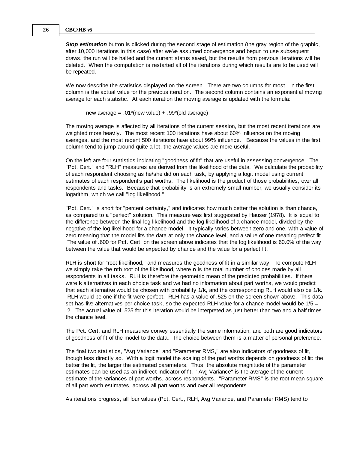**Stop estimation** button is clicked during the second stage of estimation (the gray region of the graphic, after 10,000 iterations in this case) after we've assumed convergence and begun to use subsequent draws, the run will be halted and the current status saved, but the results from previous iterations will be deleted. When the computation is restarted all of the iterations during which results are to be used will be repeated.

We now describe the statistics displayed on the screen. There are two columns for most. In the first column is the actual value for the previous iteration. The second column contains an exponential moving average for each statistic. At each iteration the moving average is updated with the formula:

new average = .01\*(new value) + .99\*(old average)

The moving average is affected by all iterations of the current session, but the most recent iterations are weighted more heavily. The most recent 100 iterations have about 60% influence on the moving averages, and the most recent 500 iterations have about 99% influence. Because the values in the first column tend to jump around quite a lot, the average values are more useful.

On the left are four statistics indicating "goodness of fit" that are useful in assessing convergence. The "Pct. Cert." and "RLH" measures are derived from the likelihood of the data. We calculate the probability of each respondent choosing as he/she did on each task, by applying a logit model using current estimates of each respondent's part worths. The likelihood is the product of those probabilities, over all respondents and tasks. Because that probability is an extremely small number, we usually consider its logarithm, which we call "log likelihood."

"Pct. Cert." is short for "percent certainty," and indicates how much better the solution is than chance, as compared to a "perfect" solution. This measure was first suggested by Hauser (1978). It is equal to the difference between the final log likelihood and the log likelihood of a chance model, divided by the negative of the log likelihood for a chance model. It typically varies between zero and one, with a value of zero meaning that the model fits the data at only the chance level, and a value of one meaning perfect fit. The value of .600 for Pct. Cert. on the screen above indicates that the log likelihood is 60.0% of the way between the value that would be expected by chance and the value for a perfect fit.

RLH is short for "root likelihood," and measures the goodness of fit in a similar way. To compute RLH we simply take the **n**th root of the likelihood, where **n** is the total number of choices made by all respondents in all tasks. RLH is therefore the geometric mean of the predicted probabilities. If there were **k** alternatives in each choice task and we had no information about part worths, we would predict that each alternative would be chosen with probability 1/**k**, and the corresponding RLH would also be 1/**k**. RLH would be one if the fit were perfect. RLH has a value of .525 on the screen shown above. This data set has five alternatives per choice task, so the expected RLH value for a chance model would be  $1/5 =$ .2. The actual value of .525 for this iteration would be interpreted as just better than two and a half times the chance level.

The Pct. Cert. and RLH measures convey essentially the same information, and both are good indicators of goodness of fit of the model to the data. The choice between them is a matter of personal preference.

The final two statistics, "Avg Variance" and "Parameter RMS," are also indicators of goodness of fit, though less directly so. With a logit model the scaling of the part worths depends on goodness of fit: the better the fit, the larger the estimated parameters. Thus, the absolute magnitude of the parameter estimates can be used as an indirect indicator of fit. "Avg Variance" is the average of the current estimate of the variances of part worths, across respondents. "Parameter RMS" is the root mean square of all part worth estimates, across all part worths and over all respondents.

As iterations progress, all four values (Pct. Cert., RLH, Avg Variance, and Parameter RMS) tend to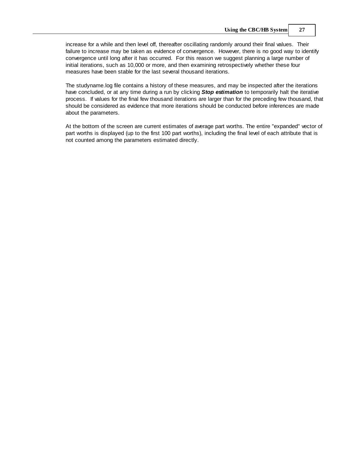increase for a while and then level off, thereafter oscillating randomly around their final values. Their failure to increase may be taken as evidence of convergence. However, there is no good way to identify convergence until long after it has occurred. For this reason we suggest planning a large number of initial iterations, such as 10,000 or more, and then examining retrospectively whether these four measures have been stable for the last several thousand iterations.

The studyname.log file contains a history of these measures, and may be inspected after the iterations have concluded, or at any time during a run by clicking *Stop estimation* to temporarily halt the iterative process. If values for the final few thousand iterations are larger than for the preceding few thousand, that should be considered as evidence that more iterations should be conducted before inferences are made about the parameters.

At the bottom of the screen are current estimates of average part worths. The entire "expanded" vector of part worths is displayed (up to the first 100 part worths), including the final level of each attribute that is not counted among the parameters estimated directly.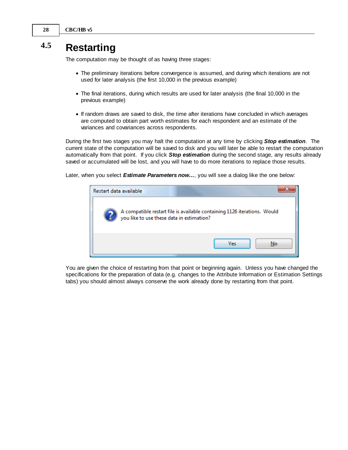## <span id="page-33-0"></span>**4.5 Restarting**

The computation may be thought of as having three stages:

- · The preliminary iterations before convergence is assumed, and during which iterations are not used for later analysis (the first 10,000 in the previous example)
- · The final iterations, during which results are used for later analysis (the final 10,000 in the previous example)
- · If random draws are saved to disk, the time after iterations have concluded in which averages are computed to obtain part worth estimates for each respondent and an estimate of the variances and covariances across respondents.

During the first two stages you may halt the computation at any time by clicking *Stop estimation*. The current state of the computation will be saved to disk and you will later be able to restart the computation automatically from that point. If you click *Stop estimation* during the second stage, any results already saved or accumulated will be lost, and you will have to do more iterations to replace those results.

Later, when you select *Estimate Parameters now...*, you will see a dialog like the one below:



You are given the choice of restarting from that point or beginning again. Unless you have changed the specifications for the preparation of data (e.g. changes to the Attribute Information or Estimation Settings tabs) you should almost always conserve the work already done by restarting from that point.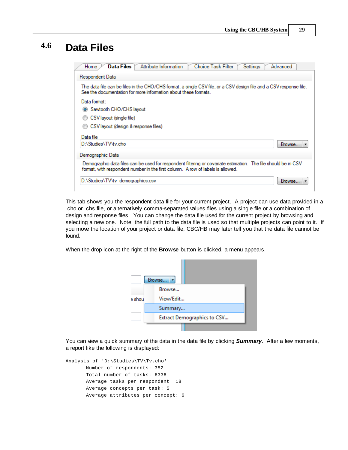### <span id="page-34-0"></span>**4.6 Data Files**

| Data Files<br><b>Choice Task Filter</b><br>Attribute Information<br>Settings<br>Advanced<br>Home                                                                                                  |
|---------------------------------------------------------------------------------------------------------------------------------------------------------------------------------------------------|
| Respondent Data                                                                                                                                                                                   |
| The data file can be files in the CHO/CHS format, a single CSV file, or a CSV design file and a CSV response file.<br>See the documentation for more information about these formats.             |
| Data format:                                                                                                                                                                                      |
| Sawtooth CHO/CHS layout<br>$\circ$                                                                                                                                                                |
| CSV layout (single file)                                                                                                                                                                          |
| CSV layout (design & response files)                                                                                                                                                              |
| Data file                                                                                                                                                                                         |
| D:\Studies\TV\ty.cho<br>Browse.                                                                                                                                                                   |
| Demographic Data                                                                                                                                                                                  |
| Demographic data files can be used for respondent filtering or covariate estimation. The file should be in CSV<br>format, with respondent number in the first column. A row of labels is allowed. |
| D:\Studies\TV\tv_demographics.csv<br>Browse.                                                                                                                                                      |

This tab shows you the respondent data file for your current project. A project can use data provided in a .cho or .chs file, or alternatively comma-separated values files using a single file or a combination of design and response files. You can change the data file used for the current project by browsing and selecting a new one. Note: the full path to the data file is used so that multiple projects can point to it. If you move the location of your project or data file, CBC/HB may later tell you that the data file cannot be found.

When the drop icon at the right of the **Browse** button is clicked, a menu appears.



You can view a quick summary of the data in the data file by clicking **Summary**. After a few moments, a report like the following is displayed:

```
Analysis of 'D:\Studies\TV\Tv.cho'
Number of respondents: 352
Total number of tasks: 6336
Average tasks per respondent: 18
Average concepts per task: 5
Average attributes per concept: 6
```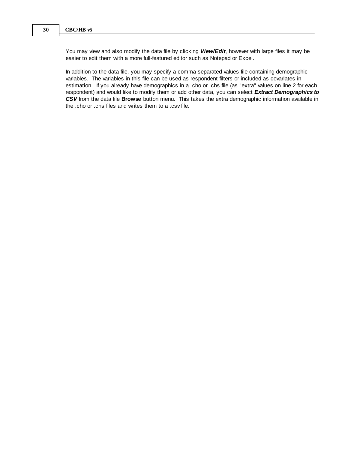You may view and also modify the data file by clicking View/Edit, however with large files it may be easier to edit them with a more full-featured editor such as Notepad or Excel.

In addition to the data file, you may specify a comma-separated values file containing demographic variables. The variables in this file can be used as respondent filters or included as covariates in estimation. If you already have demographics in a .cho or .chs file (as "extra" values on line 2 for each respondent) and would like to modify them or add other data, you can select *Extract Demographics to CSV* from the data file **Browse** button menu. This takes the extra demographic information available in the .cho or .chs files and writes them to a .csv file.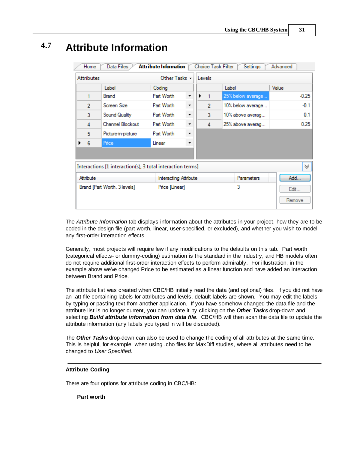# **4.7 Attribute Information**

| Home                         | Data Files                                                 | <b>Attribute Information</b> |                          | <b>Choice Task Filter</b> | Settings          | Advanced                    |
|------------------------------|------------------------------------------------------------|------------------------------|--------------------------|---------------------------|-------------------|-----------------------------|
| <b>Attributes</b>            |                                                            | Other Tasks +                |                          | Levels                    |                   |                             |
|                              | Label                                                      | Coding                       |                          |                           | Label             | Value                       |
|                              | Brand                                                      | Part Worth                   | $\blacktriangledown$     | 1                         | 25% below average | $-0.25$                     |
| $\overline{2}$               | Screen Size                                                | Part Worth                   | $\blacktriangledown$     | $\overline{2}$            | 10% below average | $-0.1$                      |
| 3                            | Sound Quality                                              | Part Worth                   | $\blacktriangledown$     | 3                         | 10% above averag  | 0.1                         |
| 4                            | Channel Blockout                                           | Part Worth                   | $\blacktriangledown$     | 4                         | 25% above averag  | 0.25                        |
| 5                            | Picture-in-picture                                         | Part Worth                   | $\overline{\phantom{a}}$ |                           |                   |                             |
| 6                            | Price                                                      | Linear                       | ۰                        |                           |                   |                             |
|                              |                                                            |                              |                          |                           |                   |                             |
|                              | Interactions [1 interaction(s), 3 total interaction terms] |                              |                          |                           |                   | $\operatorname{\mathsf{v}}$ |
| Attribute                    |                                                            | Interacting Attribute        |                          |                           | <b>Parameters</b> | Add                         |
| Brand [Part Worth, 3 levels] |                                                            | Price [Linear]               |                          |                           | 3                 | Edit                        |
|                              |                                                            |                              |                          |                           |                   | Remove                      |

The *Attribute Information* tab displays information about the attributes in your project, how they are to be coded in the design file (part worth, linear, user-specified, or excluded), and whether you wish to model any first-order interaction effects.

Generally, most projects will require few if any modifications to the defaults on this tab. Part worth (categorical effects- or dummy-coding) estimation is the standard in the industry, and HB models often do not require additional first-order interaction effects to perform admirably. For illustration, in the example above we've changed Price to be estimated as a linear function and have added an interaction between Brand and Price.

The attribute list was created when CBC/HB initially read the data (and optional) files. If you did not have an .att file containing labels for attributes and levels, default labels are shown. You may edit the labels by typing or pasting text from another application. If you have somehow changed the data file and the attribute list is no longer current, you can update it by clicking on the *Other Tasks* drop-down and selecting *Build attribute information from data file*. CBC/HB will then scan the data file to update the attribute information (any labels you typed in will be discarded).

The *Other Tasks* drop-down can also be used to change the coding of all attributes at the same time. This is helpful, for example, when using .cho files for MaxDiff studies, where all attributes need to be changed to *User Specified*.

# **Attribute Coding**

There are four options for attribute coding in CBC/HB:

**Part worth**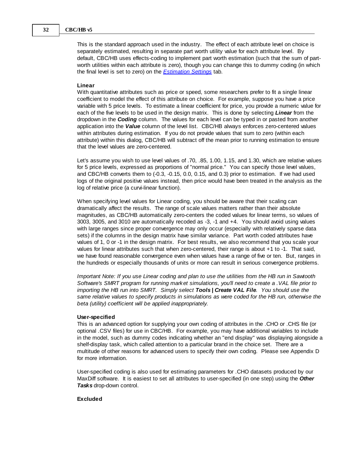This is the standard approach used in the industry. The effect of each attribute level on choice is separately estimated, resulting in separate part worth utility value for each attribute level. By default, CBC/HB uses effects-coding to implement part worth estimation (such that the sum of partworth utilities within each attribute is zero), though you can change this to dummy coding (in which the final level is set to zero) on the *[Estimation](#page-43-0) Settings* tab.

#### **Linear**

With quantitative attributes such as price or speed, some researchers prefer to fit a single linear coefficient to model the effect of this attribute on choice. For example, suppose you have a price variable with 5 price levels. To estimate a linear coefficient for price, you provide a numeric value for each of the five levels to be used in the design matrix. This is done by selecting *Linear* from the dropdown in the *Coding* column. The values for each level can be typed in or pasted from another application into the *Value* column of the level list. CBC/HB always enforces zero-centered values within attributes during estimation. If you do not provide values that sum to zero (within each attribute) within this dialog, CBC/HB will subtract off the mean prior to running estimation to ensure that the level values are zero-centered.

Let's assume you wish to use level values of .70, .85, 1.00, 1.15, and 1.30, which are relative values for 5 price levels, expressed as proportions of "normal price." You can specify those level values, and CBC/HB converts them to (-0.3, -0.15, 0.0, 0.15, and 0.3) prior to estimation. If we had used logs of the original positive values instead, then price would have been treated in the analysis as the log of relative price (a curvi-linear function).

When specifying level values for Linear coding, you should be aware that their scaling can dramatically affect the results. The range of scale values matters rather than their absolute magnitudes, as CBC/HB automatically zero-centers the coded values for linear terms, so values of 3003, 3005, and 3010 are automatically recoded as -3, -1 and +4. You should avoid using values with large ranges since proper convergence may only occur (especially with relatively sparse data sets) if the columns in the design matrix have similar variance. Part worth coded attributes have values of 1, 0 or -1 in the design matrix. For best results, we also recommend that you scale your values for linear attributes such that when zero-centered, their range is about +1 to -1. That said, we have found reasonable convergence even when values have a range of five or ten. But, ranges in the hundreds or especially thousands of units or more can result in serious convergence problems.

Important Note: If you use Linear coding and plan to use the utilities from the HB run in Sawtooth *Software's SMRT program for running market simulations, you'll need to create a .VAL file prior to importing the HB run into SMRT. Simply select Tools | Create VAL File. You should use the same relative values to specify products in simulations as were coded for the HB run, otherwise the beta (utility) coefficient will be applied inappropriately.*

#### **User-specified**

This is an advanced option for supplying your own coding of attributes in the .CHO or .CHS file (or optional .CSV files) for use in CBC/HB. For example, you may have additional variables to include in the model, such as dummy codes indicating whether an "end display" was displaying alongside a shelf-display task, which called attention to a particular brand in the choice set. There are a multitude of other reasons for advanced users to specify their own coding. Please see Appendix D for more information.

User-specified coding is also used for estimating parameters for .CHO datasets produced by our MaxDiff software. It is easiest to set all attributes to user-specified (in one step) using the *Other Tasks* drop-down control.

#### **Excluded**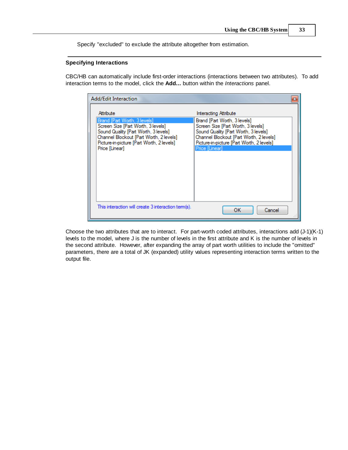Specify "excluded" to exclude the attribute altogether from estimation.

## **Specifying Interactions**

CBC/HB can automatically include first-order interactions (interactions between two attributes). To add interaction terms to the model, click the **Add...** button within the *Interactions* panel.

| <b>Add/Edit Interaction</b>                                                                                                                                                                                                       |                                                                                                                                                                                                                                               |
|-----------------------------------------------------------------------------------------------------------------------------------------------------------------------------------------------------------------------------------|-----------------------------------------------------------------------------------------------------------------------------------------------------------------------------------------------------------------------------------------------|
| Attribute<br>Brand [Part Worth, 3 levels]<br>Screen Size [Part Worth, 3 levels]<br>Sound Quality [Part Worth, 3 levels]<br>Channel Blockout [Part Worth, 2 levels]<br>Picture-in-picture [Part Worth, 2 levels]<br>Price [Linear] | Interacting Attribute<br>Brand [Part Worth, 3 levels]<br>Screen Size [Part Worth, 3 levels]<br>Sound Quality [Part Worth, 3 levels]<br>Channel Blockout [Part Worth, 2 levels]<br>Picture-in-picture [Part Worth, 2 levels]<br>Price [Linear] |
| This interaction will create 3 interaction term(s).                                                                                                                                                                               | οк<br>Cancel                                                                                                                                                                                                                                  |

Choose the two attributes that are to interact. For part-worth coded attributes, interactions add (J-1)(K-1) levels to the model, where J is the number of levels in the first attribute and K is the number of levels in the second attribute. However, after expanding the array of part worth utilities to include the "omitted" parameters, there are a total of JK (expanded) utility values representing interaction terms written to the output file.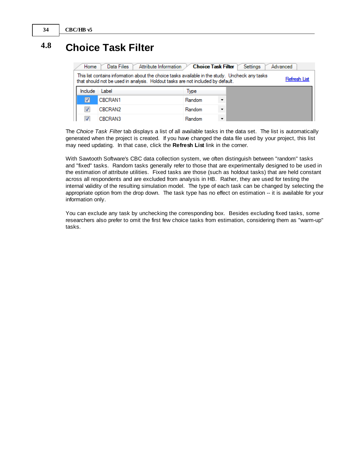# **4.8 Choice Task Filter**

| Data Files<br><b>Choice Task Filter</b><br>Attribute Information<br>Settings<br>Home<br>Advanced |                                                                                                                                                                                    |             |                          |                     |  |  |
|--------------------------------------------------------------------------------------------------|------------------------------------------------------------------------------------------------------------------------------------------------------------------------------------|-------------|--------------------------|---------------------|--|--|
|                                                                                                  | This list contains information about the choice tasks available in the study. Uncheck any tasks<br>that should not be used in analysis. Holdout tasks are not included by default. |             |                          | <b>Refresh List</b> |  |  |
| Include                                                                                          | Label                                                                                                                                                                              | <b>Type</b> |                          |                     |  |  |
| $\blacksquare$                                                                                   | CBCRAN1                                                                                                                                                                            | Random      | $\overline{\phantom{a}}$ |                     |  |  |
| V                                                                                                | CBCRAN2                                                                                                                                                                            | Random      | $\blacktriangledown$     |                     |  |  |
|                                                                                                  | CBCRAN3                                                                                                                                                                            | Random      |                          |                     |  |  |

The *Choice Task Filter* tab displays a list of all available tasks in the data set. The list is automatically generated when the project is created. If you have changed the data file used by your project, this list may need updating. In that case, click the **Refresh List** link in the corner.

With Sawtooth Software's CBC data collection system, we often distinguish between "random" tasks and "fixed" tasks. Random tasks generally refer to those that are experimentally designed to be used in the estimation of attribute utilities. Fixed tasks are those (such as holdout tasks) that are held constant across all respondents and are excluded from analysis in HB. Rather, they are used for testing the internal validity of the resulting simulation model. The type of each task can be changed by selecting the appropriate option from the drop down. The task type has no effect on estimation -- it is available for your information only.

You can exclude any task by unchecking the corresponding box. Besides excluding fixed tasks, some researchers also prefer to omit the first few choice tasks from estimation, considering them as "warm-up" tasks.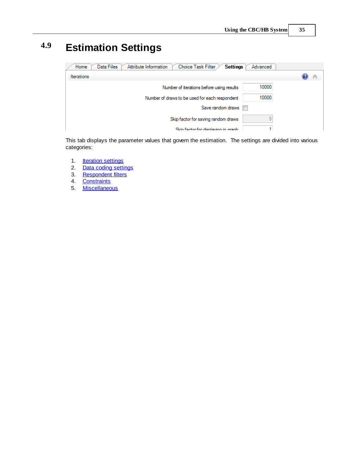# **4.9 Estimation Settings**

| Data Files<br>Attribute Information<br>Choice Task Filter<br><b>Settings</b><br>Home | Advanced |
|--------------------------------------------------------------------------------------|----------|
| <b>Iterations</b>                                                                    |          |
| Number of iterations before using results                                            | 10000    |
| Number of draws to be used for each respondent                                       | 10000    |
| Save random draws                                                                    |          |
| Skip factor for saving random draws                                                  |          |
| Skin factor for displaying in graph                                                  |          |

This tab displays the parameter values that govern the estimation. The settings are divided into various categories:

- 1. [Iteration](#page-41-0) settings
- 2. Data coding [settings](#page-43-0)
- 3. [Respondent](#page-45-0) filters
- 4. [Constraints](#page-47-0)
- 5. [Miscellaneous](#page-52-0)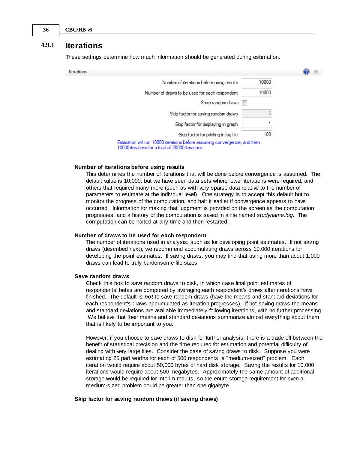# <span id="page-41-0"></span>**4.9.1 Iterations**

These settings determine how much information should be generated during estimation.

| <b>Iterations</b> |                                                                                                                                 |       |  |
|-------------------|---------------------------------------------------------------------------------------------------------------------------------|-------|--|
|                   | Number of iterations before using results                                                                                       | 10000 |  |
|                   | Number of draws to be used for each respondent                                                                                  | 10000 |  |
|                   | Save random draws                                                                                                               |       |  |
|                   | Skip factor for saving random draws                                                                                             | г     |  |
|                   | Skip factor for displaying in graph                                                                                             |       |  |
|                   | Skip factor for printing in log file                                                                                            | 100   |  |
|                   | Estimation will run 10000 iterations before assuming convergence, and then<br>10000 iterations for a total of 20000 iterations. |       |  |

### **Number of iterations before using results**

This determines the number of iterations that will be done before convergence is assumed. The default value is 10,000, but we have seen data sets where fewer iterations were required, and others that required many more (such as with very sparse data relative to the number of parameters to estimate at the individual level). One strategy is to accept this default but to monitor the progress of the computation, and halt it earlier if convergence appears to have occurred. Information for making that judgment is provided on the screen as the computation progresses, and a history of the computation is saved in a file named *studyname.log*. The computation can be halted at any time and then restarted.

#### **Number of draws to be used for each respondent**

The number of iterations used in analysis, such as for developing point estimates. If not saving draws (described next), we recommend accumulating draws across 10,000 iterations for developing the point estimates. If saving draws, you may find that using more than about 1,000 draws can lead to truly burdensome file sizes.

#### **Save random draws**

Check this box to save random draws to disk, in which case final point estimates of respondents' betas are computed by averaging each respondent's draws after iterations have finished. The default is *not* to save random draws (have the means and standard deviations for each respondent's draws accumulated as iteration progresses). If not saving draws the means and standard deviations are available immediately following iterations, with no further processing. We believe that their means and standard deviations summarize almost everything about them that is likely to be important to you.

However, if you choose to save draws to disk for further analysis, there is a trade-off between the benefit of statistical precision and the time required for estimation and potential difficulty of dealing with very large files. Consider the case of saving draws to disk. Suppose you were estimating 25 part worths for each of 500 respondents, a "medium-sized" problem. Each iteration would require about 50,000 bytes of hard disk storage. Saving the results for 10,000 iterations would require about 500 megabytes. Approximately the same amount of additional storage would be required for interim results, so the entire storage requirement for even a medium-sized problem could be greater than one gigabyte.

#### **Skip factor for saving random draws (if saving draws)**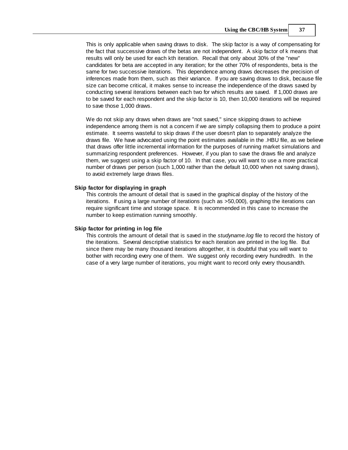This is only applicable when saving draws to disk. The skip factor is a way of compensating for the fact that successive draws of the betas are not independent. A skip factor of k means that results will only be used for each kth iteration. Recall that only about 30% of the "new" candidates for beta are accepted in any iteration; for the other 70% of respondents, beta is the same for two successive iterations. This dependence among draws decreases the precision of inferences made from them, such as their variance. If you are saving draws to disk, because file size can become critical, it makes sense to increase the independence of the draws saved by conducting several iterations between each two for which results are saved. If 1,000 draws are to be saved for each respondent and the skip factor is 10, then 10,000 iterations will be required to save those 1,000 draws.

We do not skip any draws when draws are "not saved," since skipping draws to achieve independence among them is not a concern if we are simply collapsing them to produce a point estimate. It seems wasteful to skip draws if the user doesn't plan to separately analyze the draws file. We have advocated using the point estimates available in the .HBU file, as we believe that draws offer little incremental information for the purposes of running market simulations and summarizing respondent preferences. However, if you plan to save the draws file and analyze them, we suggest using a skip factor of 10. In that case, you will want to use a more practical number of draws per person (such 1,000 rather than the default 10,000 when not saving draws), to avoid extremely large draws files.

## **Skip factor for displaying in graph**

This controls the amount of detail that is saved in the graphical display of the history of the iterations. If using a large number of iterations (such as >50,000), graphing the iterations can require significant time and storage space. It is recommended in this case to increase the number to keep estimation running smoothly.

#### **Skip factor for printing in log file**

This controls the amount of detail that is saved in the *studyname.log* file to record the history of the iterations. Several descriptive statistics for each iteration are printed in the log file. But since there may be many thousand iterations altogether, it is doubtful that you will want to bother with recording every one of them. We suggest only recording every hundredth. In the case of a very large number of iterations, you might want to record only every thousandth.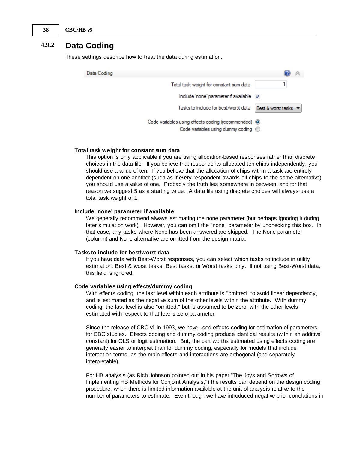# <span id="page-43-0"></span>**4.9.2 Data Coding**

These settings describe how to treat the data during estimation.

| Data Coding                                                                                 |                                         |  |
|---------------------------------------------------------------------------------------------|-----------------------------------------|--|
| Total task weight for constant sum data                                                     |                                         |  |
| Include 'none' parameter if available v                                                     |                                         |  |
| Tasks to include for best/worst data                                                        | Best & worst tasks $\blacktriangledown$ |  |
| Code variables using effects coding (recommended) (O<br>Code variables using dummy coding @ |                                         |  |

### **Total task weight for constant sum data**

This option is only applicable if you are using allocation-based responses rather than discrete choices in the data file. If you believe that respondents allocated ten chips independently, you should use a value of ten. If you believe that the allocation of chips within a task are entirely dependent on one another (such as if every respondent awards all chips to the same alternative) you should use a value of one. Probably the truth lies somewhere in between, and for that reason we suggest 5 as a starting value. A data file using discrete choices will always use a total task weight of 1.

#### **Include 'none' parameter if available**

We generally recommend always estimating the none parameter (but perhaps ignoring it during later simulation work). However, you can omit the "none" parameter by unchecking this box. In that case, any tasks where None has been answered are skipped. The None parameter (column) and None alternative are omitted from the design matrix.

### **Tasks to include for best/worst data**

If you have data with Best-Worst responses, you can select which tasks to include in utility estimation: Best & worst tasks, Best tasks, or Worst tasks only. If not using Best-Worst data, this field is ignored.

#### **Code variables using effects/dummy coding**

With effects coding, the last level within each attribute is "omitted" to avoid linear dependency, and is estimated as the negative sum of the other levels within the attribute. With dummy coding, the last level is also "omitted," but is assumed to be zero, with the other levels estimated with respect to that level's zero parameter.

Since the release of CBC v1 in 1993, we have used effects-coding for estimation of parameters for CBC studies. Effects coding and dummy coding produce identical results (within an additive constant) for OLS or logit estimation. But, the part worths estimated using effects coding are generally easier to interpret than for dummy coding, especially for models that include interaction terms, as the main effects and interactions are orthogonal (and separately interpretable).

For HB analysis (as Rich Johnson pointed out in his paper "The Joys and Sorrows of Implementing HB Methods for Conjoint Analysis,") the results can depend on the design coding procedure, when there is limited information available at the unit of analysis relative to the number of parameters to estimate. Even though we have introduced negative prior correlations in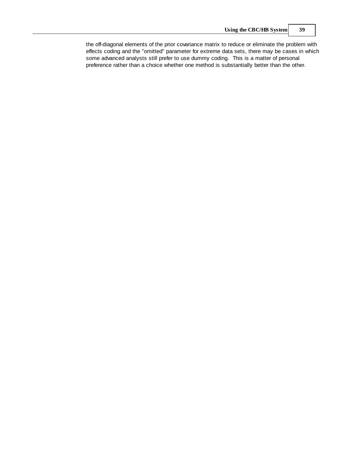| Using the CBC/HB System |  |  |  |  |  |
|-------------------------|--|--|--|--|--|
|-------------------------|--|--|--|--|--|

the off-diagonal elements of the prior covariance matrix to reduce or eliminate the problem with effects coding and the "omitted" parameter for extreme data sets, there may be cases in which some advanced analysts still prefer to use dummy coding. This is a matter of personal preference rather than a choice whether one method is substantially better than the other.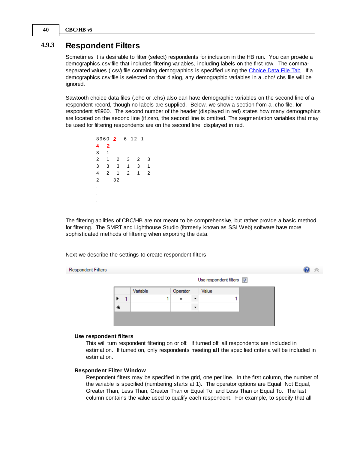# <span id="page-45-0"></span>**4.9.3 Respondent Filters**

Sometimes it is desirable to filter (select) respondents for inclusion in the HB run. You can provide a demographics.csv file that includes filtering variables, including labels on the first row. The comma-separated values (.csv) file containing demographics is specified using the [Choice](#page-34-0) Data File Tab. If a demographics.csv file is selected on that dialog, any demographic variables in a .cho/.chs file will be ignored.

Sawtooth choice data files (.cho or .chs) also can have demographic variables on the second line of a respondent record, though no labels are supplied. Below, we show a section from a .cho file, for respondent #8960. The second number of the header (displayed in red) states how many demographics are located on the second line (if zero, the second line is omitted. The segmentation variables that may be used for filtering respondents are on the second line, displayed in red.

|                | 8960 | $\overline{\mathbf{2}}$ | 6 | 12<br>1 |   |
|----------------|------|-------------------------|---|---------|---|
| 4              | 2    |                         |   |         |   |
| 3              | 1    |                         |   |         |   |
| $\overline{2}$ | 1    | 2                       | 3 | 2       | 3 |
| 3              | 3    | 3                       | 1 | 3       |   |
| 4              | 2    | 1                       | 2 | 1       | 2 |
| 2              |      | 32                      |   |         |   |
|                |      |                         |   |         |   |
|                |      |                         |   |         |   |
|                |      |                         |   |         |   |

The filtering abilities of CBC/HB are not meant to be comprehensive, but rather provide a basic method for filtering. The SMRT and Lighthouse Studio (formerly known as SSI Web) software have more sophisticated methods of filtering when exporting the data.

Next we describe the settings to create respondent filters.

| Respondent Filters |   |          |          |                          |                                 |  |  |
|--------------------|---|----------|----------|--------------------------|---------------------------------|--|--|
|                    |   |          |          |                          | Use respondent filters $\nabla$ |  |  |
|                    |   | Variable | Operator |                          | Value                           |  |  |
|                    |   |          | ⊟        | ▼                        |                                 |  |  |
|                    | ∗ |          |          | $\overline{\phantom{a}}$ |                                 |  |  |
|                    |   |          |          |                          |                                 |  |  |
|                    |   |          |          |                          |                                 |  |  |

#### **Use respondent filters**

This will turn respondent filtering on or off. If turned off, all respondents are included in estimation. If turned on, only respondents meeting **all** the specified criteria will be included in estimation.

#### **Respondent Filter Window**

Respondent filters may be specified in the grid, one per line. In the first column, the number of the variable is specified (numbering starts at 1). The operator options are Equal, Not Equal, Greater Than, Less Than, Greater Than or Equal To, and Less Than or Equal To. The last column contains the value used to qualify each respondent. For example, to specify that all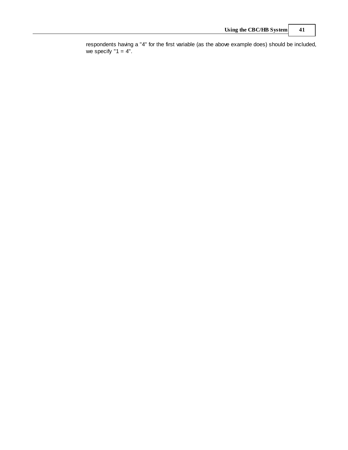respondents having a "4" for the first variable (as the above example does) should be included, we specify "1 =  $4"$ .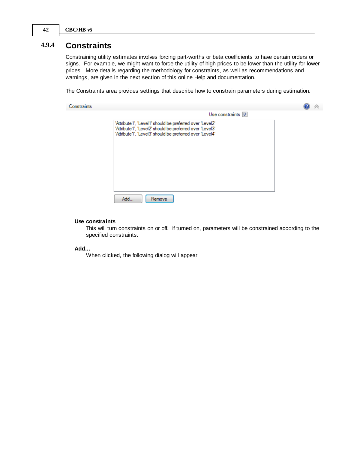# <span id="page-47-0"></span>**4.9.4 Constraints**

Constraining utility estimates involves forcing part-worths or beta coefficients to have certain orders or signs. For example, we might want to force the utility of high prices to be lower than the utility for lower prices. More details regarding the methodology for constraints, as well as recommendations and warnings, are given in the next section of this online Help and documentation.

The Constraints area provides settings that describe how to constrain parameters during estimation.



#### **Use constraints**

This will turn constraints on or off. If turned on, parameters will be constrained according to the specified constraints.

#### **Add...**

When clicked, the following dialog will appear: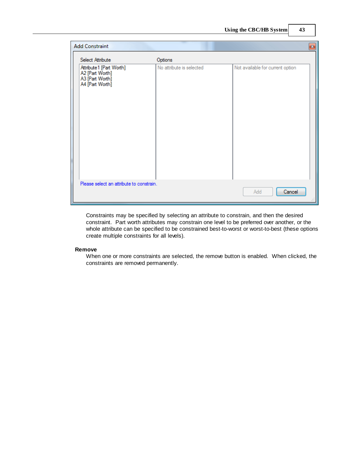| <b>Add Constraint</b>                                                            |                          | $\mathbf{z}$                     |
|----------------------------------------------------------------------------------|--------------------------|----------------------------------|
| Select Attribute                                                                 | Options                  |                                  |
| Attribute1 [Part Worth]<br>A2 [Part Worth]<br>A3 [Part Worth]<br>A4 [Part Worth] | No attribute is selected | Not available for current option |
| Please select an attribute to constrain.                                         |                          |                                  |
|                                                                                  |                          | Cancel<br>Add                    |

Constraints may be specified by selecting an attribute to constrain, and then the desired constraint. Part worth attributes may constrain one level to be preferred over another, or the whole attribute can be specified to be constrained best-to-worst or worst-to-best (these options create multiple constraints for all levels).

### **Remove**

When one or more constraints are selected, the remove button is enabled. When clicked, the constraints are removed permanently.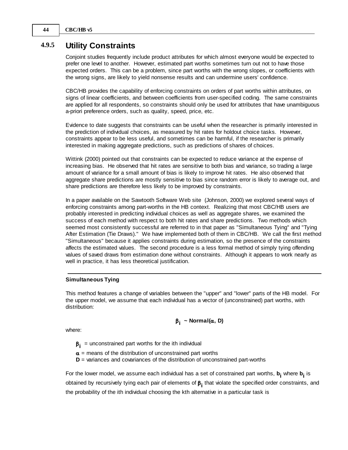# <span id="page-49-0"></span>**4.9.5 Utility Constraints**

Conjoint studies frequently include product attributes for which almost everyone would be expected to prefer one level to another. However, estimated part worths sometimes turn out not to have those expected orders. This can be a problem, since part worths with the wrong slopes, or coefficients with the wrong signs, are likely to yield nonsense results and can undermine users' confidence.

CBC/HB provides the capability of enforcing constraints on orders of part worths within attributes, on signs of linear coefficients, and between coefficients from user-specified coding. The same constraints are applied for all respondents, so constraints should only be used for attributes that have unambiguous a-priori preference orders, such as quality, speed, price, etc.

Evidence to date suggests that constraints can be useful when the researcher is primarily interested in the prediction of individual choices, as measured by hit rates for holdout choice tasks. However, constraints appear to be less useful, and sometimes can be harmful, if the researcher is primarily interested in making aggregate predictions, such as predictions of shares of choices.

Wittink (2000) pointed out that constraints can be expected to reduce variance at the expense of increasing bias. He observed that hit rates are sensitive to both bias and variance, so trading a large amount of variance for a small amount of bias is likely to improve hit rates. He also observed that aggregate share predictions are mostly sensitive to bias since random error is likely to average out, and share predictions are therefore less likely to be improved by constraints.

In a paper available on the Sawtooth Software Web site (Johnson, 2000) we explored several ways of enforcing constraints among part-worths in the HB context. Realizing that most CBC/HB users are probably interested in predicting individual choices as well as aggregate shares, we examined the success of each method with respect to both hit rates and share predictions. Two methods which seemed most consistently successful are referred to in that paper as "Simultaneous Tying" and "Tying After Estimation (Tie Draws)." We have implemented both of them in CBC/HB. We call the first method "Simultaneous" because it applies constraints during estimation, so the presence of the constraints affects the estimated values. The second procedure is a less formal method of simply tying offending values of saved draws from estimation done without constraints. Although it appears to work nearly as well in practice, it has less theoretical justification.

### **Simultaneous Tying**

This method features a change of variables between the "upper" and "lower" parts of the HB model. For the upper model, we assume that each individual has a vector of (unconstrained) part worths, with distribution:

$$
\beta_i~\sim Normal(\alpha,~D)
$$

where:

 $\beta$ <sub>**j**</sub> = unconstrained part worths for the ith individual

 $\alpha$  = means of the distribution of unconstrained part worths

**D** = variances and covariances of the distribution of unconstrained part-worths

For the lower model, we assume each individual has a set of constrained part worths, **b <sup>i</sup>** where **<sup>b</sup> i** is obtained by recursively tying each pair of elements of **β<sub>i</sub>**that violate the specified order constraints, and the probability of the ith individual choosing the kth alternative in a particular task is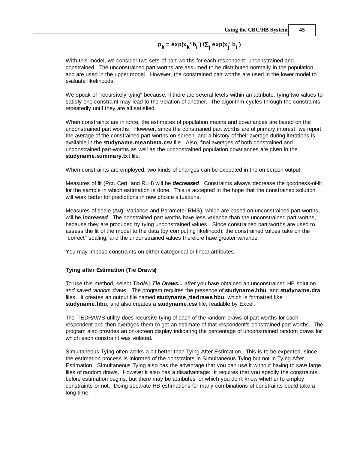$$
p_k = \exp(x_k' b_i) / \sum_j \exp(x_j' b_i)
$$

With this model, we consider two sets of part worths for each respondent: unconstrained and constrained. The unconstrained part worths are assumed to be distributed normally in the population, and are used in the upper model. However, the constrained part worths are used in the lower model to evaluate likelihoods.

We speak of "recursively tying" because, if there are several levels within an attribute, tying two values to satisfy one constraint may lead to the violation of another. The algorithm cycles through the constraints repeatedly until they are all satisfied.

When constraints are in force, the estimates of population means and covariances are based on the unconstrained part worths. However, since the constrained part worths are of primary interest, we report the average of the constrained part worths on-screen, and a history of their average during iterations is available in the **studyname.meanbeta.csv** file. Also, final averages of both constrained and unconstrained part-worths as well as the unconstrained population covariances are given in the **studyname.summary.txt** file.

When constraints are employed, two kinds of changes can be expected in the on-screen output:

Measures of fit (Pct. Cert. and RLH) will be *decreased*. Constraints always decrease the goodness-of-fit for the sample in which estimation is done. This is accepted in the hope that the constrained solution will work better for predictions in new choice situations.

Measures of scale (Avg. Variance and Parameter RMS), which are based on unconstrained part worths, will be *increased*. The constrained part worths have less variance than the unconstrained part worths, because they are produced by tying unconstrained values. Since constrained part worths are used to assess the fit of the model to the data (by computing likelihood), the constrained values take on the "correct" scaling, and the unconstrained values therefore have greater variance.

You may impose constraints on either categorical or linear attributes.

### **Tying after Estimation (Tie Draws)**

To use this method, select *Tools | Tie Draws... after* you have obtained an unconstrained HB solution *and saved random draws*. The program requires the presence of **studyname.hbu**, and **studyname.dra** files. It creates an output file named **studyname\_tiedraws.hbu**, which is formatted like **studyname.hbu**, and also creates a **studyname.csv** file, readable by Excel.

The TIEDRAWS utility does recursive tying of each of the random draws of part worths for each respondent and then averages them to get an estimate of that respondent's constrained part-worths. The program also provides an on-screen display indicating the percentage of unconstrained random draws for which each constraint was violated.

Simultaneous Tying often works a bit better than Tying After Estimation. This is to be expected, since the estimation process is informed of the constraints in Simultaneous Tying but not in Tying After Estimation. Simultaneous Tying also has the advantage that you can use it without having to save large files of random draws. However it also has a disadvantage: it requires that you specify the constraints before estimation begins, but there may be attributes for which you don't know whether to employ constraints or not. Doing separate HB estimations for many combinations of constraints could take a long time.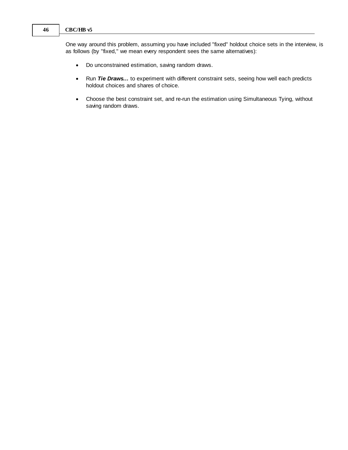One way around this problem, assuming you have included "fixed" holdout choice sets in the interview, is as follows (by "fixed," we mean every respondent sees the same alternatives):

- · Do unconstrained estimation, saving random draws.
- · Run *Tie Draws…* to experiment with different constraint sets, seeing how well each predicts holdout choices and shares of choice.
- · Choose the best constraint set, and re-run the estimation using Simultaneous Tying, without saving random draws.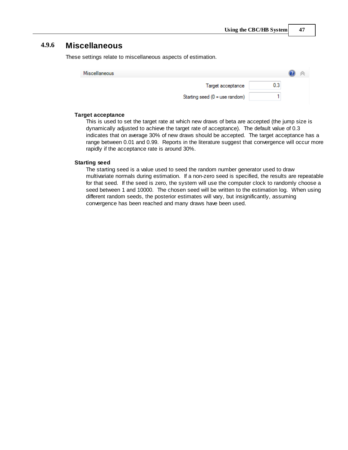# <span id="page-52-0"></span>**4.9.6 Miscellaneous**

These settings relate to miscellaneous aspects of estimation.

| Miscellaneous                  |     | 会 |  |
|--------------------------------|-----|---|--|
| Target acceptance              | 0.3 |   |  |
| Starting seed (0 = use random) |     |   |  |

### **Target acceptance**

This is used to set the target rate at which new draws of beta are accepted (the jump size is dynamically adjusted to achieve the target rate of acceptance). The default value of 0.3 indicates that on average 30% of new draws should be accepted. The target acceptance has a range between 0.01 and 0.99. Reports in the literature suggest that convergence will occur more rapidly if the acceptance rate is around 30%.

## **Starting seed**

The starting seed is a value used to seed the random number generator used to draw multivariate normals during estimation. If a non-zero seed is specified, the results are repeatable for that seed. If the seed is zero, the system will use the computer clock to randomly choose a seed between 1 and 10000. The chosen seed will be written to the estimation log. When using different random seeds, the posterior estimates will vary, but insignificantly, assuming convergence has been reached and many draws have been used.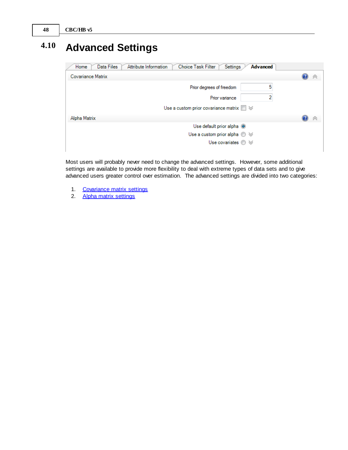# **4.10 Advanced Settings**

| Data Files<br>Choice Task Filter<br>Attribute Information<br>Settings<br>Home | <b>Advanced</b> |
|-------------------------------------------------------------------------------|-----------------|
| Covariance Matrix                                                             |                 |
| Prior degrees of freedom                                                      | 5               |
| Prior variance                                                                |                 |
| Use a custom prior covariance matrix $\Box \, \otimes$                        |                 |
| Alpha Matrix                                                                  |                 |
| Use default prior alpha (O)                                                   |                 |
| Use a custom prior alpha $\circledcirc \; \veeledcirc$                        |                 |
| Use covariates $\bigcirc$ $\vee$                                              |                 |
|                                                                               |                 |

Most users will probably never need to change the advanced settings. However, some additional settings are available to provide more flexibility to deal with extreme types of data sets and to give advanced users greater control over estimation. The advanced settings are divided into two categories:

- 1. [Covariance](#page-54-0) matrix settings
- 2. Alpha matrix [settings](#page-56-0)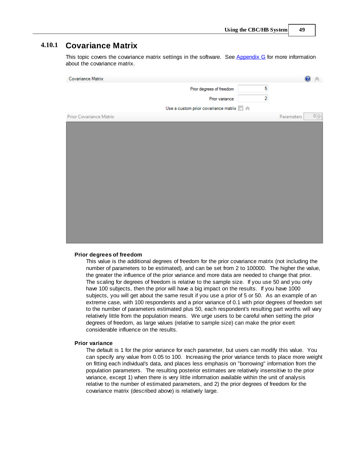# <span id="page-54-0"></span>**4.10.1 Covariance Matrix**

This topic covers the covariance matrix settings in the software. See [Appendix](#page-86-0) G for more information about the covariance matrix.

| Covariance Matrix       |                                                    |                |                                                  |
|-------------------------|----------------------------------------------------|----------------|--------------------------------------------------|
|                         | Prior degrees of freedom                           | 5              |                                                  |
|                         | Prior variance                                     | $\overline{2}$ |                                                  |
|                         | Use a custom prior covariance matrix $\Box\otimes$ |                |                                                  |
| Prior Covariance Matrix |                                                    |                | $0\frac{\triangle}{\triangledown}$<br>Parameters |
|                         |                                                    |                |                                                  |
|                         |                                                    |                |                                                  |
|                         |                                                    |                |                                                  |
|                         |                                                    |                |                                                  |
|                         |                                                    |                |                                                  |
|                         |                                                    |                |                                                  |
|                         |                                                    |                |                                                  |
|                         |                                                    |                |                                                  |
|                         |                                                    |                |                                                  |
|                         |                                                    |                |                                                  |
|                         |                                                    |                |                                                  |
|                         |                                                    |                |                                                  |
|                         |                                                    |                |                                                  |

#### **Prior degrees of freedom**

This value is the additional degrees of freedom for the prior covariance matrix (not including the number of parameters to be estimated), and can be set from 2 to 100000. The higher the value, the greater the influence of the prior variance and more data are needed to change that prior. The scaling for degrees of freedom is relative to the sample size. If you use 50 and you only have 100 subjects, then the prior will have a big impact on the results. If you have 1000 subjects, you will get about the same result if you use a prior of 5 or 50. As an example of an extreme case, with 100 respondents and a prior variance of 0.1 with prior degrees of freedom set to the number of parameters estimated plus 50, each respondent's resulting part worths will vary relatively little from the population means. We urge users to be careful when setting the prior degrees of freedom, as large values (relative to sample size) can make the prior exert considerable influence on the results.

#### **Prior variance**

The default is 1 for the prior variance for each parameter, but users can modify this value. You can specify any value from 0.05 to 100. Increasing the prior variance tends to place more weight on fitting each individual's data, and places less emphasis on "borrowing" information from the population parameters. The resulting posterior estimates are relatively insensitive to the prior variance, except 1) when there is very little information available within the unit of analysis relative to the number of estimated parameters, and 2) the prior degrees of freedom for the covariance matrix (described above) is relatively large.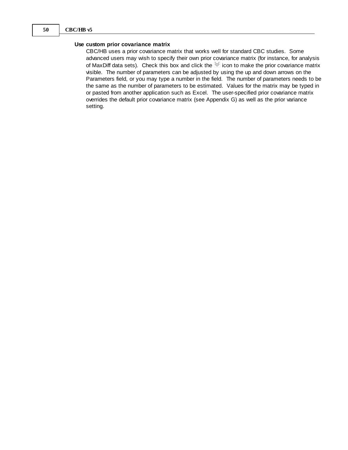## **Use custom prior covariance matrix**

CBC/HB uses a prior covariance matrix that works well for standard CBC studies. Some advanced users may wish to specify their own prior covariance matrix (for instance, for analysis of MaxDiff data sets). Check this box and click the  $\leq$  icon to make the prior covariance matrix visible. The number of parameters can be adjusted by using the up and down arrows on the Parameters field, or you may type a number in the field. The number of parameters needs to be the same as the number of parameters to be estimated. Values for the matrix may be typed in or pasted from another application such as Excel. The user-specified prior covariance matrix overrides the default prior covariance matrix (see Appendix G) as well as the prior variance setting.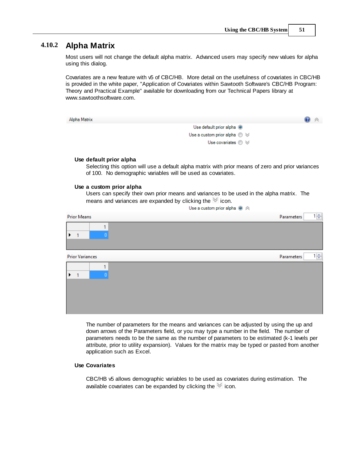# <span id="page-56-0"></span>**4.10.2 Alpha Matrix**

Most users will not change the default alpha matrix. Advanced users may specify new values for alpha using this dialog.

Covariates are a new feature with v5 of CBC/HB. More detail on the usefulness of covariates in CBC/HB is provided in the white paper, "Application of Covariates within Sawtooth Software's CBC/HB Program: Theory and Practical Example" available for downloading from our Technical Papers library at www.sawtoothsoftware.com.

| Alpha Matrix |                                                        |  |
|--------------|--------------------------------------------------------|--|
|              | Use default prior alpha (O)                            |  |
|              | Use a custom prior alpha $\circledcirc \; \veeledcirc$ |  |
|              | Use covariates $\bigcirc \, \, \otimes$                |  |
|              |                                                        |  |

## **Use default prior alpha**

Selecting this option will use a default alpha matrix with prior means of zero and prior variances of 100. No demographic variables will be used as covariates.

### **Use a custom prior alpha**

Users can specify their own prior means and variances to be used in the alpha matrix. The means and variances are expanded by clicking the  $\le$  icon.

|  |  | Use a custom prior alpha (0) |  |  |  |
|--|--|------------------------------|--|--|--|
|  |  |                              |  |  |  |

|                         | <b>Prior Means</b>     |   | Parameters | ÷              |
|-------------------------|------------------------|---|------------|----------------|
|                         |                        |   |            |                |
| $\blacktriangleright$ 1 |                        | n |            |                |
|                         |                        |   |            |                |
|                         | <b>Prior Variances</b> |   | Parameters | $1\frac{4}{7}$ |
|                         |                        |   |            |                |
| k.                      | 1                      | n |            |                |
|                         |                        |   |            |                |
|                         |                        |   |            |                |
|                         |                        |   |            |                |
|                         |                        |   |            |                |

The number of parameters for the means and variances can be adjusted by using the up and down arrows of the Parameters field, or you may type a number in the field. The number of parameters needs to be the same as the number of parameters to be estimated (k-1 levels per attribute, prior to utility expansion). Values for the matrix may be typed or pasted from another application such as Excel.

# **Use Covariates**

CBC/HB v5 allows demographic variables to be used as covariates during estimation. The available covariates can be expanded by clicking the  $\le$  icon.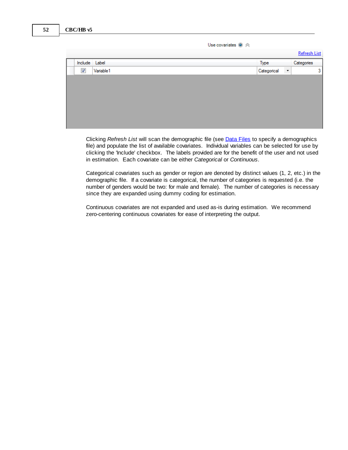#### Use covariates  $\circledcirc \, \otimes$

Defensive Links

|               |            |             |                          | <b>Reflesh List</b> |   |
|---------------|------------|-------------|--------------------------|---------------------|---|
| Include Label |            | Type        |                          | Categories          |   |
| √             | Variable 1 | Categorical | $\overline{\phantom{a}}$ |                     | 3 |
|               |            |             |                          |                     |   |
|               |            |             |                          |                     |   |
|               |            |             |                          |                     |   |
|               |            |             |                          |                     |   |
|               |            |             |                          |                     |   |
|               |            |             |                          |                     |   |
|               |            |             |                          |                     |   |

Clicking *Refresh List* will scan the demographic file (see Data [Files](#page-34-0) to specify a demographics file) and populate the list of available covariates. Individual variables can be selected for use by clicking the 'Include' checkbox. The labels provided are for the benefit of the user and not used in estimation. Each covariate can be either *Categorical* or *Continuous*.

Categorical covariates such as gender or region are denoted by distinct values (1, 2, etc.) in the demographic file. If a covariate is categorical, the number of categories is requested (i.e. the number of genders would be two: for male and female). The number of categories is necessary since they are expanded using dummy coding for estimation.

Continuous covariates are not expanded and used as-is during estimation. We recommend zero-centering continuous covariates for ease of interpreting the output.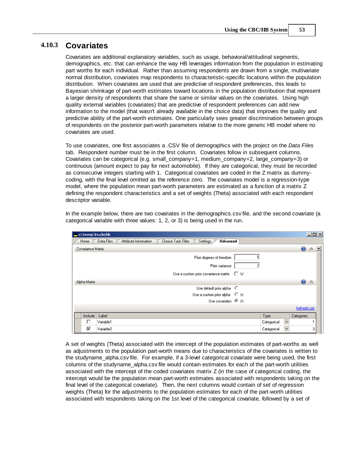# **4.10.3 Covariates**

Covariates are additional explanatory variables, such as usage, behavioral/attitudinal segments, demographics, etc. that can enhance the way HB leverages information from the population in estimating part worths for each individual. Rather than assuming respondents are drawn from a single, multivariate normal distribution, covariates map respondents to characteristic-specific locations within the population distribution. When covariates are used that are predictive of respondent preferences, this leads to Bayesian shrinkage of part-worth estimates toward locations in the population distribution that represent a larger density of respondents that share the same or similar values on the covariates. Using high quality external variables (covariates) that are predictive of respondent preferences can add new information to the model (that wasn't already available in the choice data) that improves the quality and predictive ability of the part-worth estimates. One particularly sees greater discrimination between groups of respondents on the posterior part-worth parameters relative to the more generic HB model where no covariates are used.

To use covariates, one first associates a .CSV file of demographics with the project on the *Data Files* tab. Respondent number must be in the first column. Covariates follow in subsequent columns. Covariates can be categorical (e.g. small\_company=1, medium\_company=2, large\_company=3) or continuous (amount expect to pay for next automobile). If they are categorical, they must be recorded as consecutive integers starting with 1. Categorical covariates are coded in the Z matrix as dummycoding, with the final level omitted as the reference zero. The covariates model is a regression-type model, where the population mean part-worth parameters are estimated as a function of a matrix Z defining the respondent characteristics and a set of weights (Theta) associated with each respondent descriptor variable.

| c:\temp\tv.cbchb                                                                     | <b>LIDIX</b>                             |
|--------------------------------------------------------------------------------------|------------------------------------------|
| Data Files<br>Choice Task Filter<br>Attribute Information<br>Settings<br><b>Home</b> | Advanced                                 |
| Covariance Matrix                                                                    | 0                                        |
| Prior degrees of freedom                                                             | 5                                        |
|                                                                                      | 2<br>Prior variance                      |
| Use a custom prior covariance matrix $\square \, \otimes$                            |                                          |
| Alpha Matrix                                                                         | $\circledcirc$<br>$\hat{\mathcal{R}}$    |
|                                                                                      | Use default prior alpha $\circ$          |
|                                                                                      | Use a custom prior alpha $\circ \otimes$ |
|                                                                                      | Use covariates $\mathbf{C} \otimes$      |
|                                                                                      | Refresh List                             |
| Include Label                                                                        | Type<br>Categories                       |
| г<br>Variable1                                                                       | Categorical                              |
| ⊽<br>Variable2                                                                       | 3<br>Categorical                         |

In the example below, there are two covariates in the demographics.csv file, and the second covariate (a categorical variable with three values: 1, 2, or 3) is being used in the run.

A set of weights (Theta) associated with the intercept of the population estimates of part-worths as well as adjustments to the population part-worth means due to characteristics of the covariates is written to the studyname\_alpha.csv file. For example, if a 3-level categorical covariate were being used, the first columns of the studyname\_alpha.csv file would contain estimates for each of the part-worth utilities associated with the intercept of the coded covariates matrix Z (in the case of categorical coding, the intercept would be the population mean part-worth estimates associated with respondents taking on the final level of the categorical covariate). Then, the next columns would contain of set of regression weights (Theta) for the adjustments to the population estimates for each of the part-worth utilities associated with respondents taking on the 1st level of the categorical covariate, followed by a set of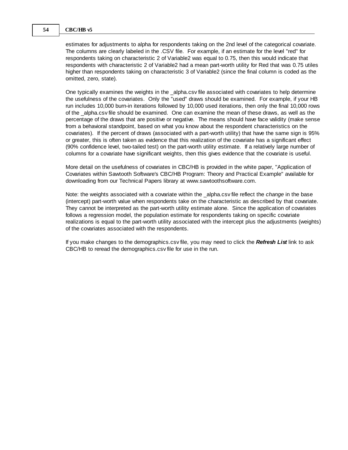estimates for adjustments to alpha for respondents taking on the 2nd level of the categorical covariate. The columns are clearly labeled in the .CSV file. For example, if an estimate for the level "red" for respondents taking on characteristic 2 of Variable2 was equal to 0.75, then this would indicate that respondents with characteristic 2 of Variable2 had a mean part-worth utility for Red that was 0.75 utiles higher than respondents taking on characteristic 3 of Variable2 (since the final column is coded as the omitted, zero, state).

One typically examines the weights in the \_alpha.csv file associated with covariates to help determine the usefulness of the covariates. Only the "used" draws should be examined. For example, if your HB run includes 10,000 burn-in iterations followed by 10,000 used iterations, then only the final 10,000 rows of the \_alpha.csv file should be examined. One can examine the mean of these draws, as well as the percentage of the draws that are positive or negative. The means should have face validity (make sense from a behavioral standpoint, based on what you know about the respondent characteristics on the covariates). If the percent of draws (associated with a part-worth utility) that have the same sign is 95% or greater, this is often taken as evidence that this realization of the covariate has a significant effect (90% confidence level, two-tailed test) on the part-worth utility estimate. If a relatively large number of columns for a covariate have significant weights, then this gives evidence that the covariate is useful.

More detail on the usefulness of covariates in CBC/HB is provided in the white paper, "Application of Covariates within Sawtooth Software's CBC/HB Program: Theory and Practical Example" available for downloading from our Technical Papers library at www.sawtoothsoftware.com.

Note: the weights associated with a covariate within the \_alpha.csv file reflect the *change* in the base (intercept) part-worth value when respondents take on the characteristic as described by that covariate. They cannot be interpreted as the part-worth utility estimate alone. Since the application of covariates follows a regression model, the population estimate for respondents taking on specific covariate realizations is equal to the part-worth utility associated with the intercept plus the adjustments (weights) of the covariates associated with the respondents.

If you make changes to the demographics.csv file, you may need to click the *Refresh List* link to ask CBC/HB to reread the demographics.csv file for use in the run.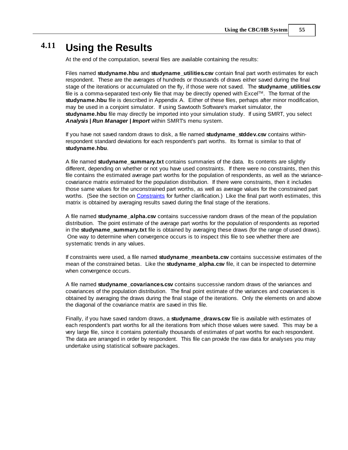# **4.11 Using the Results**

At the end of the computation, several files are available containing the results:

Files named **studyname.hbu** and **studyname** utilities.csv contain final part worth estimates for each respondent. These are the averages of hundreds or thousands of draws either saved during the final stage of the iterations or accumulated on the fly, if those were not saved. The **studyname\_utilities.csv** file is a comma-separated text-only file that may be directly opened with Excel TM. The format of the **studyname.hbu** file is described in Appendix A. Either of these files, perhaps after minor modification, may be used in a conjoint simulator. If using Sawtooth Software's market simulator, the **studyname.hbu** file may directly be imported into your simulation study. If using SMRT, you select *Analysis | Run Manager | Import* within SMRT's menu system.

If you have not saved random draws to disk, a file named **studyname\_stddev.csv** contains withinrespondent standard deviations for each respondent's part worths. Its format is similar to that of **studyname.hbu**.

A file named **studyname\_summary.txt** contains summaries of the data. Its contents are slightly different, depending on whether or not you have used constraints. If there were no constraints, then this file contains the estimated average part worths for the population of respondents, as well as the variancecovariance matrix estimated for the population distribution. If there were constraints, then it includes those same values for the unconstrained part worths, as well as average values for the constrained part worths. (See the section on [Constraints](#page-49-0) for further clarification.) Like the final part worth estimates, this matrix is obtained by averaging results saved during the final stage of the iterations.

A file named **studyname\_alpha.csv** contains successive random draws of the mean of the population distribution. The point estimate of the average part worths for the population of respondents as reported in the **studyname\_summary.txt** file is obtained by averaging these draws (for the range of used draws). One way to determine when convergence occurs is to inspect this file to see whether there are systematic trends in any values.

If constraints were used, a file named **studyname\_meanbeta.csv** contains successive estimates of the mean of the constrained betas. Like the **studyname alpha.csv** file, it can be inspected to determine when convergence occurs.

A file named **studyname\_covariances.csv** contains successive random draws of the variances and covariances of the population distribution. The final point estimate of the variances and covariances is obtained by averaging the draws during the final stage of the iterations. Only the elements on and above the diagonal of the covariance matrix are saved in this file.

Finally, if you have saved random draws, a **studyname\_draws.csv** file is available with estimates of each respondent's part worths for all the iterations from which those values were saved. This may be a very large file, since it contains potentially thousands of estimates of part worths for each respondent. The data are arranged in order by respondent. This file can provide the raw data for analyses you may undertake using statistical software packages.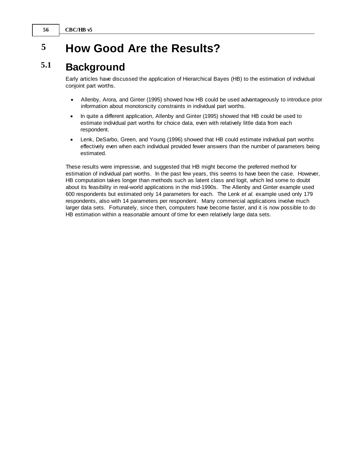# **5 How Good Are the Results?**

# **5.1 Background**

Early articles have discussed the application of Hierarchical Bayes (HB) to the estimation of individual conjoint part worths.

- · Allenby, Arora, and Ginter (1995) showed how HB could be used advantageously to introduce prior information about monotonicity constraints in individual part worths.
- · In quite a different application, Allenby and Ginter (1995) showed that HB could be used to estimate individual part worths for choice data, even with relatively little data from each respondent.
- Lenk, DeSarbo, Green, and Young (1996) showed that HB could estimate individual part worths effectively even when each individual provided fewer answers than the number of parameters being estimated.

These results were impressive, and suggested that HB might become the preferred method for estimation of individual part worths. In the past few years, this seems to have been the case. However, HB computation takes longer than methods such as latent class and logit, which led some to doubt about its feasibility in real-world applications in the mid-1990s. The Allenby and Ginter example used 600 respondents but estimated only 14 parameters for each. The Lenk *et al.* example used only 179 respondents, also with 14 parameters per respondent. Many commercial applications involve much larger data sets. Fortunately, since then, computers have become faster, and it is now possible to do HB estimation within a reasonable amount of time for even relatively large data sets.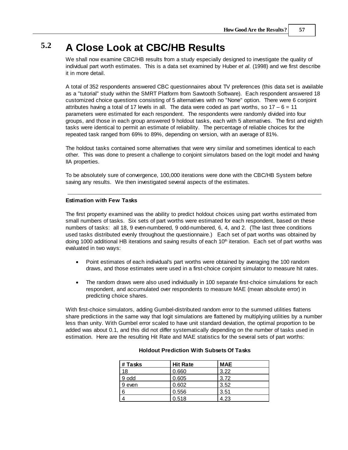# **5.2 A Close Look at CBC/HB Results**

We shall now examine CBC/HB results from a study especially designed to investigate the quality of individual part worth estimates. This is a data set examined by Huber *et al*. (1998) and we first describe it in more detail.

A total of 352 respondents answered CBC questionnaires about TV preferences (this data set is available as a "tutorial" study within the SMRT Platform from Sawtooth Software). Each respondent answered 18 customized choice questions consisting of 5 alternatives with no "None" option. There were 6 conjoint attributes having a total of 17 levels in all. The data were coded as part worths, so  $17 - 6 = 11$ parameters were estimated for each respondent. The respondents were randomly divided into four groups, and those in each group answered 9 holdout tasks, each with 5 alternatives. The first and eighth tasks were identical to permit an estimate of reliability. The percentage of reliable choices for the repeated task ranged from 69% to 89%, depending on version, with an average of 81%.

The holdout tasks contained some alternatives that were very similar and sometimes identical to each other. This was done to present a challenge to conjoint simulators based on the logit model and having IIA properties.

To be absolutely sure of convergence, 100,000 iterations were done with the CBC/HB System before saving any results. We then investigated several aspects of the estimates.

## **Estimation with Few Tasks**

The first property examined was the ability to predict holdout choices using part worths estimated from small numbers of tasks. Six sets of part worths were estimated for each respondent, based on these numbers of tasks: all 18, 9 even-numbered, 9 odd-numbered, 6, 4, and 2. (The last three conditions used tasks distributed evenly throughout the questionnaire.) Each set of part worths was obtained by doing 1000 additional HB iterations and saving results of each 10<sup>th</sup> iteration. Each set of part worths was evaluated in two ways:

- · Point estimates of each individual's part worths were obtained by averaging the 100 random draws, and those estimates were used in a first-choice conjoint simulator to measure hit rates.
- The random draws were also used individually in 100 separate first-choice simulations for each respondent, and accumulated over respondents to measure MAE (mean absolute error) in predicting choice shares.

With first-choice simulators, adding Gumbel-distributed random error to the summed utilities flattens share predictions in the same way that logit simulations are flattened by multiplying utilities by a number less than unity. With Gumbel error scaled to have unit standard deviation, the optimal proportion to be added was about 0.1, and this did not differ systematically depending on the number of tasks used in estimation. Here are the resulting Hit Rate and MAE statistics for the several sets of part worths:

| ∣ # Tasks | <b>Hit Rate</b> | <b>MAE</b> |  |
|-----------|-----------------|------------|--|
| 18        | 0.660           | 3.22       |  |
| 9 odd     | 0.605           | 3.72       |  |
| 9 even    | 0.602           | 3.52       |  |
| -6        | 0.556           | 3.51       |  |
|           | 0.518           | 4.23       |  |

### **Holdout Prediction With Subsets Of Tasks**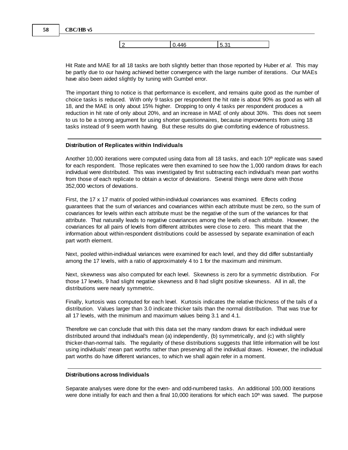

Hit Rate and MAE for all 18 tasks are both slightly better than those reported by Huber *et al.* This may be partly due to our having achieved better convergence with the large number of iterations. Our MAEs have also been aided slightly by tuning with Gumbel error.

The important thing to notice is that performance is excellent, and remains quite good as the number of choice tasks is reduced. With only 9 tasks per respondent the hit rate is about 90% as good as with all 18, and the MAE is only about 15% higher. Dropping to only 4 tasks per respondent produces a reduction in hit rate of only about 20%, and an increase in MAE of only about 30%. This does not seem to us to be a strong argument for using shorter questionnaires, because improvements from using 18 tasks instead of 9 seem worth having. But these results do give comforting evidence of robustness.

#### **Distribution of Replicates within Individuals**

Another 10,000 iterations were computed using data from all 18 tasks, and each 10<sup>th</sup> replicate was saved for each respondent. Those replicates were then examined to see how the 1,000 random draws for each individual were distributed. This was investigated by first subtracting each individual's mean part worths from those of each replicate to obtain a vector of deviations. Several things were done with those 352,000 vectors of deviations.

First, the 17 x 17 matrix of pooled within-individual covariances was examined. Effects coding guarantees that the sum of variances and covariances within each attribute must be zero, so the sum of covariances for levels within each attribute must be the negative of the sum of the variances for that attribute. That naturally leads to negative covariances among the levels of each attribute. However, the covariances for all pairs of levels from different attributes were close to zero. This meant that the information about within-respondent distributions could be assessed by separate examination of each part worth element.

Next, pooled within-individual variances were examined for each level, and they did differ substantially among the 17 levels, with a ratio of approximately 4 to 1 for the maximum and minimum.

Next, skewness was also computed for each level. Skewness is zero for a symmetric distribution. For those 17 levels, 9 had slight negative skewness and 8 had slight positive skewness. All in all, the distributions were nearly symmetric.

Finally, kurtosis was computed for each level. Kurtosis indicates the relative thickness of the tails of a distribution. Values larger than 3.0 indicate thicker tails than the normal distribution. That was true for all 17 levels, with the minimum and maximum values being 3.1 and 4.1.

Therefore we can conclude that with this data set the many random draws for each individual were distributed around that individual's mean (a) independently, (b) symmetrically, and (c) with slightly thicker-than-normal tails. The regularity of these distributions suggests that little information will be lost using individuals' mean part worths rather than preserving all the individual draws. However, the individual part worths do have different variances, to which we shall again refer in a moment.

### **Distributions across Individuals**

Separate analyses were done for the even- and odd-numbered tasks. An additional 100,000 iterations were done initially for each and then a final 10,000 iterations for which each 10<sup>th</sup> was saved. The purpose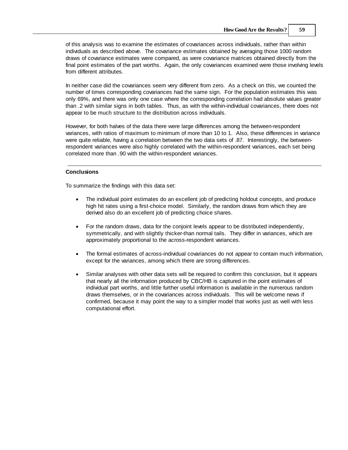of this analysis was to examine the estimates of covariances across individuals, rather than within individuals as described above. The covariance estimates obtained by averaging those 1000 random draws of covariance estimates were compared, as were covariance matrices obtained directly from the final point estimates of the part worths. Again, the only covariances examined were those involving levels from different attributes.

In neither case did the covariances seem very different from zero. As a check on this, we counted the number of times corresponding covariances had the same sign. For the population estimates this was only 69%, and there was only one case where the corresponding correlation had absolute values greater than .2 with similar signs in both tables. Thus, as with the within-individual covariances, there does not appear to be much structure to the distribution across individuals.

However, for both halves of the data there were large differences among the between-respondent variances, with ratios of maximum to minimum of more than 10 to 1. Also, these differences in variance were quite reliable, having a correlation between the two data sets of .87. Interestingly, the betweenrespondent variances were also highly correlated with the within-respondent variances, each set being correlated more than .90 with the within-respondent variances.

# **Conclusions**

To summarize the findings with this data set:

- · The individual point estimates do an excellent job of predicting holdout concepts, and produce high hit rates using a first-choice model. Similarly, the random draws from which they are derived also do an excellent job of predicting choice shares.
- · For the random draws, data for the conjoint levels appear to be distributed independently, symmetrically, and with slightly thicker-than normal tails. They differ in variances, which are approximately proportional to the across-respondent variances.
- The formal estimates of across-individual covariances do not appear to contain much information, except for the variances, among which there are strong differences.
- Similar analyses with other data sets will be required to confirm this conclusion, but it appears that nearly all the information produced by CBC/HB is captured in the point estimates of individual part worths, and little further useful information is available in the numerous random draws themselves, or in the covariances across individuals. This will be welcome news if confirmed, because it may point the way to a simpler model that works just as well with less computational effort.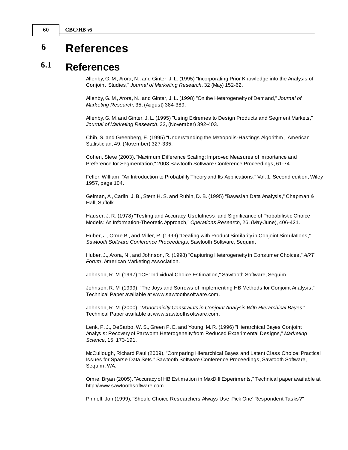# **6 References**

# **6.1 References**

Allenby, G. M., Arora, N., and Ginter, J. L. (1995) "Incorporating Prior Knowledge into the Analysis of Conjoint Studies," *Journal of Marketing Research*, 32 (May) 152-62.

Allenby, G. M., Arora, N., and Ginter, J. L. (1998) "On the Heterogeneity of Demand," *Journal of Marketing Research*, 35, (August) 384-389.

Allenby, G. M. and Ginter, J. L. (1995) "Using Extremes to Design Products and Segment Markets," *Journal of Marketing Research*, 32, (November) 392-403.

Chib, S. and Greenberg, E. (1995) "Understanding the Metropolis-Hastings Algorithm," American Statistician, 49, (November) 327-335.

Cohen, Steve (2003), "Maximum Difference Scaling: Improved Measures of Importance and Preference for Segmentation," 2003 Sawtooth Software Conference Proceedings, 61-74.

Feller, William, "An Introduction to Probability Theory and Its Applications," Vol. 1, Second edition, Wiley 1957, page 104.

Gelman, A., Carlin, J. B., Stern H. S. and Rubin, D. B. (1995) "Bayesian Data Analysis," Chapman & Hall, Suffolk.

Hauser, J. R. (1978) "Testing and Accuracy, Usefulness, and Significance of Probabilistic Choice Models: An Information-Theoretic Approach," *Operations Research*, 26, (May-June), 406-421.

Huber, J., Orme B., and Miller, R. (1999) "Dealing with Product Similarity in Conjoint Simulations," *Sawtooth Software Conference Proceedings*, Sawtooth Software, Sequim.

Huber, J., Arora, N., and Johnson, R. (1998) "Capturing Heterogeneity in Consumer Choices," *ART Forum*, American Marketing Association.

Johnson, R. M. (1997) "ICE: Individual Choice Estimation," Sawtooth Software, Sequim.

Johnson, R. M. (1999), "The Joys and Sorrows of Implementing HB Methods for Conjoint Analysis," Technical Paper available at www.sawtoothsoftware.com.

Johnson, R. M. (2000), "*Monotonicity Constraints in Conjoint Analysis With Hierarchical Bayes*," Technical Paper available at www.sawtoothsoftware.com.

Lenk, P. J., DeSarbo, W. S., Green P. E. and Young, M. R. (1996) "Hierarchical Bayes Conjoint Analysis: Recovery of Partworth Heterogeneity from Reduced Experimental Designs," *Marketing Science*, 15, 173-191.

McCullough, Richard Paul (2009), "Comparing Hierarchical Bayes and Latent Class Choice: Practical Issues for Sparse Data Sets," Sawtooth Software Conference Proceedings, Sawtooth Software, Sequim, WA.

Orme, Bryan (2005), "Accuracy of HB Estimation in MaxDiff Experiments," Technical paper available at http://www.sawtoothsoftware.com.

Pinnell, Jon (1999), "Should Choice Researchers Always Use 'Pick One' Respondent Tasks?"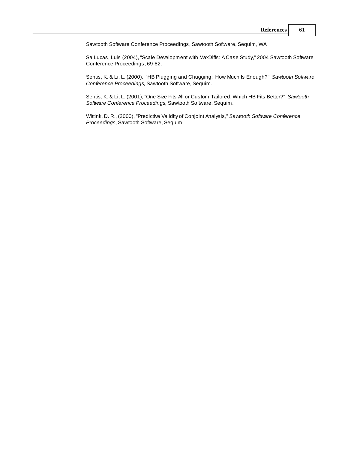Sawtooth Software Conference Proceedings, Sawtooth Software, Sequim, WA.

Sa Lucas, Luis (2004), "Scale Development with MaxDiffs: A Case Study," 2004 Sawtooth Software Conference Proceedings, 69-82.

Sentis, K. & Li, L. (2000), "HB Plugging and Chugging: How Much Is Enough?" *Sawtooth Software Conference Proceedings,* Sawtooth Software, Sequim.

Sentis, K. & Li, L. (2001), "One Size Fits All or Custom Tailored: Which HB Fits Better?" *Sawtooth Software Conference Proceedings,* Sawtooth Software, Sequim.

Wittink, D. R., (2000), "Predictive Validity of Conjoint Analysis," *Sawtooth Software Conference Proceedings*, Sawtooth Software, Sequim.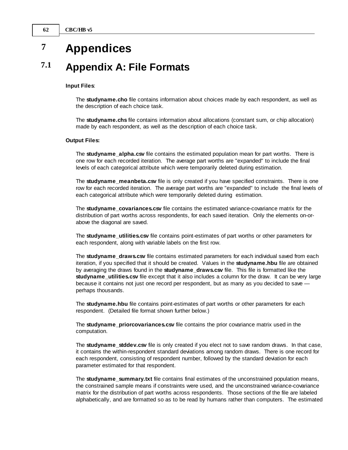# **7 Appendices**

# **7.1 Appendix A: File Formats**

## **Input Files**:

The **studyname.cho** file contains information about choices made by each respondent, as well as the description of each choice task.

The **studyname.chs** file contains information about allocations (constant sum, or chip allocation) made by each respondent, as well as the description of each choice task.

## **Output Files:**

The **studyname** alpha.csv file contains the estimated population mean for part worths. There is one row for each recorded iteration. The average part worths are "expanded" to include the final levels of each categorical attribute which were temporarily deleted during estimation.

The **studyname** meanbeta.csv file is only created if you have specified constraints. There is one row for each recorded iteration. The average part worths are "expanded" to include the final levels of each categorical attribute which were temporarily deleted during estimation.

The **studyname** covariances.csv file contains the estimated variance-covariance matrix for the distribution of part worths across respondents, for each saved iteration. Only the elements on-orabove the diagonal are saved.

The **studyname\_utilities.csv** file contains point-estimates of part worths or other parameters for each respondent, along with variable labels on the first row.

The **studyname** draws.csv file contains estimated parameters for each individual saved from each iteration, if you specified that it should be created. Values in the **studyname.hbu** file are obtained by averaging the draws found in the **studyname\_draws.csv** file. This file is formatted like the **studyname\_utilities.csv** file except that it also includes a column for the draw. It can be very large because it contains not just one record per respondent, but as many as you decided to save perhaps thousands.

The **studyname.hbu** file contains point-estimates of part worths or other parameters for each respondent. (Detailed file format shown further below.)

The **studyname\_priorcovariances.csv** file contains the prior covariance matrix used in the computation.

The **studyname** stddev.csv file is only created if you elect not to save random draws. In that case, it contains the within-respondent standard deviations among random draws. There is one record for each respondent, consisting of respondent number, followed by the standard deviation for each parameter estimated for that respondent.

The **studyname** summary.txt file contains final estimates of the unconstrained population means, the constrained sample means if constraints were used, and the unconstrained variance-covariance matrix for the distribution of part worths across respondents. Those sections of the file are labeled alphabetically, and are formatted so as to be read by humans rather than computers. The estimated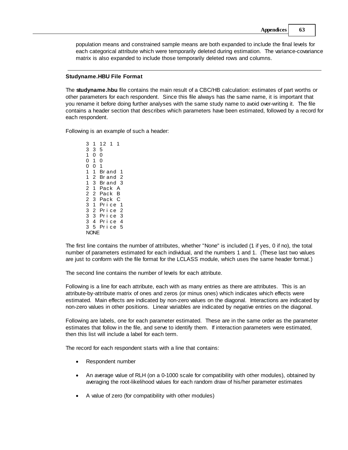| <b>Appendices</b><br>-- | - 0. |
|-------------------------|------|
|                         |      |

population means and constrained sample means are both expanded to include the final levels for each categorical attribute which were temporarily deleted during estimation. The variance-covariance matrix is also expanded to include those temporarily deleted rows and columns.

#### **Studyname.HBU File Format**

The **studyname.hbu** file contains the main result of a CBC/HB calculation: estimates of part worths or other parameters for each respondent. Since this file always has the same name, it is important that you rename it before doing further analyses with the same study name to avoid over-writing it. The file contains a header section that describes which parameters have been estimated, followed by a record for each respondent.

Following is an example of such a header:

The first line contains the number of attributes, whether "None" is included (1 if yes, 0 if no), the total number of parameters estimated for each individual, and the numbers 1 and 1. (These last two values are just to conform with the file format for the LCLASS module, which uses the same header format.)

The second line contains the number of levels for each attribute.

Following is a line for each attribute, each with as many entries as there are attributes. This is an attribute-by-attribute matrix of ones and zeros (or minus ones) which indicates which effects were estimated. Main effects are indicated by non-zero values on the diagonal. Interactions are indicated by non-zero values in other positions. Linear variables are indicated by negative entries on the diagonal.

Following are labels, one for each parameter estimated. These are in the same order as the parameter estimates that follow in the file, and serve to identify them. If interaction parameters were estimated, then this list will include a label for each term.

The record for each respondent starts with a line that contains:

- Respondent number
- · An average value of RLH (on a 0-1000 scale for compatibility with other modules), obtained by averaging the root-likelihood values for each random draw of his/her parameter estimates
- A value of zero (for compatibility with other modules)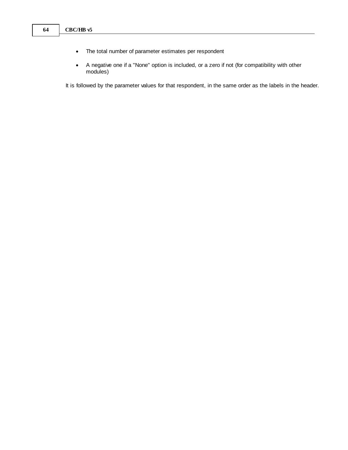- · The total number of parameter estimates per respondent
- · A negative one if a "None" option is included, or a zero if not (for compatibility with other modules)

It is followed by the parameter values for that respondent, in the same order as the labels in the header.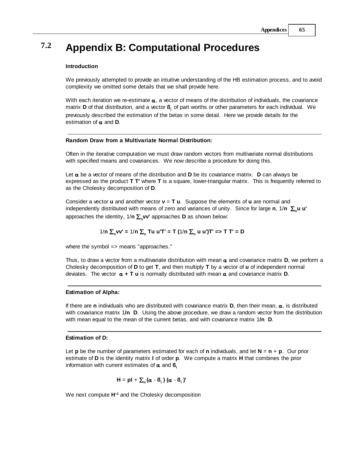# **7.2 Appendix B: Computational Procedures**

## **Introduction**

We previously attempted to provide an intuitive understanding of the HB estimation process, and to avoid complexity we omitted some details that we shall provide here.

With each iteration we re-estimate  $\alpha$ , a vector of means of the distribution of individuals, the covariance matrix **D** of that distribution, and a vector **ß<sup>i</sup>** of part worths or other parameters for each individual. We previously described the estimation of the betas in some detail. Here we provide details for the estimation of  $\alpha$  and **D**.

## **Random Draw from a Multivariate Normal Distribution:**

Often in the iterative computation we must draw random vectors from multivariate normal distributions with specified means and covariances. We now describe a procedure for doing this.

Let  $\alpha$  be a vector of means of the distribution and **D** be its covariance matrix. **D** can always be expressed as the product **T T'** where **T** is a square, lower-triangular matrix. This is frequently referred to as the Cholesky decomposition of **D**.

Consider a vector **u** and another vector **v** = **T u**. Suppose the elements of **u** are normal and independently distributed with means of zero and variances of unity. Since for large  $n$ ,  $1/n \sum_{n} u$  **u'** approaches the identity,  $1/n \sum_{n} v v^{n}$  approaches **D** as shown below:

$$
1/n \sum_{n} v v' = 1/n \sum_{n} T u u'T' = T (1/n \sum_{n} u u')T' = T T' = D
$$

where the symbol => means "approaches."

Thus, to draw a vector from a multivariate distribution with mean  $\alpha$  and covariance matrix **D**, we perform a Cholesky decomposition of **D** to get **T**, and then multiply **T** by a vector of **u** of independent normal deviates. The vector  $\alpha$  + **T u** is normally distributed with mean  $\alpha$  and covariance matrix **D**.

#### **Estimation of Alpha:**

If there are **n** individuals who are distributed with covariance matrix **D**, then their mean,  $\alpha$ , is distributed with covariance matrix 1**/n D**. Using the above procedure, we draw a random vector from the distribution with mean equal to the mean of the current betas, and with covariance matrix 1**/n D**.

#### **Estimation of D:**

Let **p** be the number of parameters estimated for each of **n** individuals, and let  $N = n + p$ . Our prior estimate of **D** is the identity matrix **I** of order **p**. We compute a matrix **H** that combines the prior information with current estimates of  $\alpha$  and  $\beta$ <sub>i</sub>

$$
H = pl + \sum_{n} (\alpha - B_{i}) (\alpha - B_{i})^{\prime}
$$

We next compute **H–1** and the Cholesky decomposition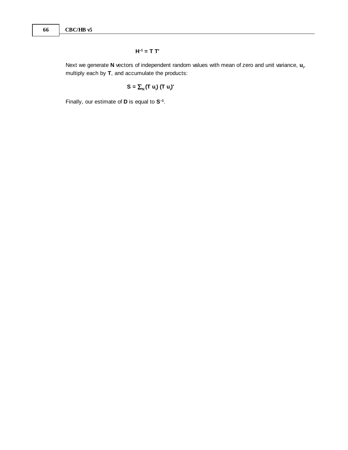## **H–1 = T T'**

Next we generate **N** vectors of independent random values with mean of zero and unit variance, **u<sup>i</sup>** , multiply each by **T**, and accumulate the products:

$$
S = \sum_{N} (T u_i) (T u_i)^t
$$

Finally, our estimate of **D** is equal to **S–1** .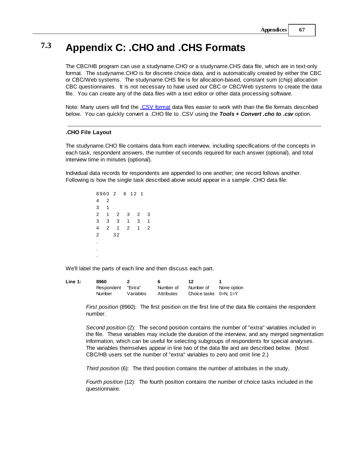# <span id="page-72-0"></span>**7.3 Appendix C: .CHO and .CHS Formats**

The CBC/HB program can use a studyname.CHO or a studyname.CHS data file, which are in text-only format. The studyname.CHO is for discrete choice data, and is automatically created by either the CBC or CBC/Web systems. The studyname.CHS file is for allocation-based, constant sum (chip) allocation CBC questionnaires. It is not necessary to have used our CBC or CBC/Web systems to create the data file. You can create any of the data files with a text editor or other data processing software.

Note: Many users will find the CSV [format](#page-24-0) data files easier to work with than the file formats described below. You can quickly convert a .CHO file to .CSV using the *Tools + Convert .cho to .csv* option.

### **.CHO File Layout**

The studyname.CHO file contains data from each interview, including specifications of the concepts in each task, respondent answers, the number of seconds required for each answer (optional), and total interview time in minutes (optional).

Individual data records for respondents are appended to one another; one record follows another. Following is how the single task described above would appear in a sample .CHO data file:

| 8960                    |                | $\overline{\phantom{0}}^2$ | 6 | 12<br>1 |   |
|-------------------------|----------------|----------------------------|---|---------|---|
| 4                       | 2              |                            |   |         |   |
| 3                       | 1              |                            |   |         |   |
| $\overline{\mathbf{c}}$ | 1              | 2                          | 3 | 2       | 3 |
| 3                       | 3              | 3                          | 1 | 3       | 1 |
| 4                       | $\overline{2}$ | 1                          | 2 | 1       | 2 |
| $\overline{2}$          |                | 32                         |   |         |   |
|                         |                |                            |   |         |   |
|                         |                |                            |   |         |   |
|                         |                |                            |   |         |   |
|                         |                |                            |   |         |   |

We'll label the parts of each line and then discuss each part.

| Line 1: | 8960       |           |            | 12                         |             |
|---------|------------|-----------|------------|----------------------------|-------------|
|         | Respondent | "Extra"   | Number of  | Number of                  | None option |
|         | Number     | Variables | Attributes | Choice tasks $0=N$ . $1=Y$ |             |

*First position* (8960): The first position on the first line of the data file contains the respondent number.

*Second position* (2): The second position contains the number of "extra" variables included in the file. These variables may include the duration of the interview, and any merged segmentation information, which can be useful for selecting subgroups of respondents for special analyses. The variables themselves appear in line two of the data file and are described below. (Most CBC/HB users set the number of "extra" variables to zero and omit line 2.)

*Third position* (6): The third position contains the number of attributes in the study.

*Fourth position* (12): The fourth position contains the number of choice tasks included in the questionnaire.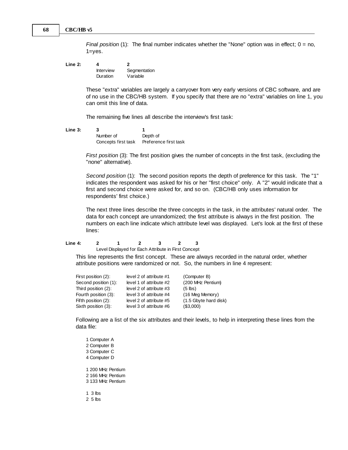*Final position* (1): The final number indicates whether the "None" option was in effect;  $0 = no$ ,  $1 = y$ es.

**Line 2: 4** Interview **Duration 2 Segmentation** Variable

> These "extra" variables are largely a carryover from very early versions of CBC software, and are of no use in the CBC/HB system. If you specify that there are no "extra" variables on line 1, you can omit this line of data.

The remaining five lines all describe the interview's first task:

**Line 3: 3** Number of Concepts first task **1** Depth of Preference first task

> *First position* (3): The first position gives the number of concepts in the first task, (excluding the "none" alternative).

> *Second position* (1): The second position reports the depth of preference for this task. The "1" indicates the respondent was asked for his or her "first choice" only. A "2" would indicate that a first and second choice were asked for, and so on. (CBC/HB only uses information for respondents' first choice.)

> The next three lines describe the three concepts in the task, in the attributes' natural order. The data for each concept are unrandomized; the first attribute is always in the first position. The numbers on each line indicate which attribute level was displayed. Let's look at the first of these lines:

# **Line 4: 2 1 2 3 2 3**

Level Displayed for Each Attribute in First Concept

This line represents the first concept. These are always recorded in the natural order, whether attribute positions were randomized or not. So, the numbers in line 4 represent:

| First position (2):  | level 2 of attribute #1   | (Computer B)          |
|----------------------|---------------------------|-----------------------|
| Second position (1): | level 1 of attribute $#2$ | (200 MHz Pentium)     |
| Third position (2):  | level 2 of attribute #3   | $(5$ lbs)             |
| Fourth position (3): | level 3 of attribute #4   | (16 Meg Memory)       |
| Fifth position (2):  | level 2 of attribute #5   | (1.5 Gbyte hard disk) |
| Sixth position (3):  | level 3 of attribute $#6$ | (\$3,000)             |
|                      |                           |                       |

Following are a list of the six attributes and their levels, to help in interpreting these lines from the data file:

 Computer A Computer B Computer C Computer D 200 MHz Pentium 166 MHz Pentium 133 MHz Pentium 1 3 lbs 2 5 lbs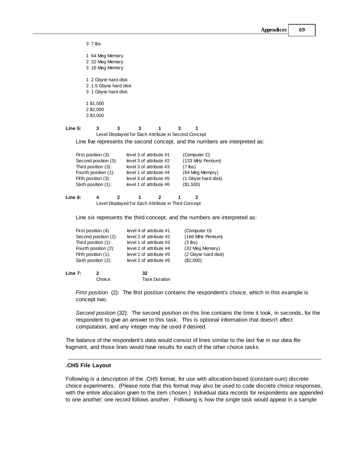3 7 lbs 1 64 Meg Memory 2 32 Meg Memory 3 16 Meg Memory 1 2 Gbyte hard disk 2 1.5 Gbyte hard disk 3 1 Gbyte hard disk 1 \$1,500 2 \$2,000 3 \$3,000 **Line 5: 3 3 3 1 3 1**

# Level Displayed for Each Attribute in Second Concept

Line five represents the second concept, and the numbers are interpreted as:

|         | First position (3):  |  | level 3 of attribute #1   | (Computer C)        |  |
|---------|----------------------|--|---------------------------|---------------------|--|
|         | Second position (3): |  | level 3 of attribute $#2$ | (133 MHz Pentium)   |  |
|         | Third position (3):  |  | level 3 of attribute #3   | $(7 \text{ lbs})$   |  |
|         | Fourth position (1): |  | level 1 of attribute #4   | (64 Meg Memory)     |  |
|         | Fifth position (3):  |  | level 3 of attribute #5   | (1 Gbyte hard disk) |  |
|         | Sixth position (1):  |  | level 1 of attribute #6   | (\$1,500)           |  |
|         |                      |  |                           |                     |  |
| Line 6: |                      |  |                           |                     |  |

## Level Displayed for Each Attribute in Third Concept

Line six represents the third concept, and the numbers are interpreted as:

| First position (4):  | level 4 of attribute #1   | (Computer D)        |
|----------------------|---------------------------|---------------------|
| Second position (2): | level 2 of attribute $#2$ | (166 MHz Pentium)   |
| Third position (1):  | level 1 of attribute #3   | $(3$ lbs)           |
| Fourth position (2): | level 2 of attribute #4   | (32 Meg Memory)     |
| Fifth position (1):  | level 1 of attribute #5   | (2 Gbyte hard disk) |
| Sixth position (2):  | level 2 of attribute #6   | (\$2,000)           |
| Line $7:$            | 32                        |                     |

Choice Task Duration

*First position* (2): The first position contains the respondent's choice, which in this example is concept two.

*Second position* (32): The second position on this line contains the time it took, in seconds, for the respondent to give an answer to this task. This is optional information that doesn't affect computation, and any integer may be used if desired.

The balance of the respondent's data would consist of lines similar to the last five in our data file fragment, and those lines would have results for each of the other choice tasks.

## **.CHS File Layout**

Following is a description of the .CHS format, for use with allocation-based (constant-sum) discrete choice experiments. (Please note that this format may also be used to code discrete choice responses, with the entire allocation given to the item chosen.) Individual data records for respondents are appended to one another; one record follows another. Following is how the single task would appear in a sample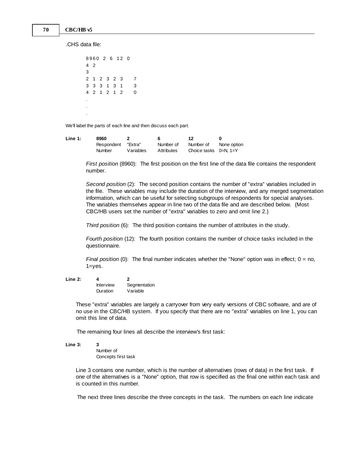.CHS data file:

```
8 9 6 0 2 6 1 2 0
4 2
3
2 1 2 3 2 3 7
3 3 3 1 3 1 3
4 2 1 2 1 2 0
.
.
.
```
We'll label the parts of each line and then discuss each part.

| Line 1: | 8960               |           |            | 12                         |             |
|---------|--------------------|-----------|------------|----------------------------|-------------|
|         | Respondent "Extra" |           | Number of  | Number of                  | None option |
|         | Number             | Variables | Attributes | Choice tasks $0=N$ . $1=Y$ |             |

*First position* (8960): The first position on the first line of the data file contains the respondent number.

*Second position* (2): The second position contains the number of "extra" variables included in the file. These variables may include the duration of the interview, and any merged segmentation information, which can be useful for selecting subgroups of respondents for special analyses. The variables themselves appear in line two of the data file and are described below. (Most CBC/HB users set the number of "extra" variables to zero and omit line 2.)

*Third position* (6): The third position contains the number of attributes in the study.

*Fourth position* (12): The fourth position contains the number of choice tasks included in the questionnaire.

*Final position* (0): The final number indicates whether the "None" option was in effect; 0 = no,  $1 = yes$ .

| Line 2: | 4                |              |
|---------|------------------|--------------|
|         | <b>Interview</b> | Segmentation |
|         | Duration         | Variable     |

These "extra" variables are largely a carryover from very early versions of CBC software, and are of no use in the CBC/HB system. If you specify that there are no "extra" variables on line 1, you can omit this line of data.

The remaining four lines all describe the interview's first task:

**Line 3: 3**

Number of Concepts first task

Line 3 contains one number, which is the number of alternatives (rows of data) in the first task. If one of the alternatives is a "None" option, that row is specified as the final one within each task and is counted in this number.

The next three lines describe the three concepts in the task. The numbers on each line indicate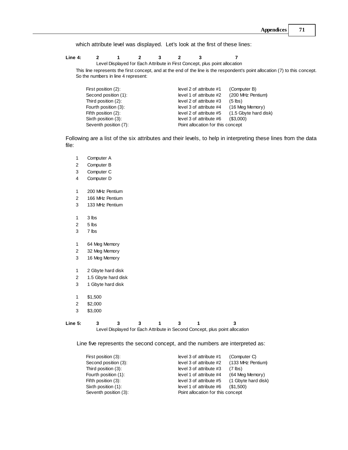which attribute level was displayed. Let's look at the first of these lines:

### **Line 4: 2 1 2 3 2 3 7**

Level Displayed for Each Attribute in First Concept, plus point allocation This line represents the first concept, and at the end of the line is the respondent's point allocation (7) to this concept. So the numbers in line 4 represent:

| First position (2):   | level 2 of attribute $#1$ | (Computer B)                      |  |  |
|-----------------------|---------------------------|-----------------------------------|--|--|
| Second position (1):  | level 1 of attribute #2   | (200 MHz Pentium)                 |  |  |
| Third position (2):   | level 2 of attribute $#3$ | $(5$ lbs)                         |  |  |
| Fourth position (3):  | level 3 of attribute $#4$ | (16 Meg Memory)                   |  |  |
| Fifth position (2):   | level 2 of attribute $#5$ | (1.5 Gbyte hard disk)             |  |  |
| Sixth position (3):   | level 3 of attribute #6   | (\$3,000)                         |  |  |
| Seventh position (7): |                           | Point allocation for this concept |  |  |
|                       |                           |                                   |  |  |

Following are a list of the six attributes and their levels, to help in interpreting these lines from the data file:

|       |                               |                                                                                                                                                                                                            |                     |                  | 1 | 3 |
|-------|-------------------------------|------------------------------------------------------------------------------------------------------------------------------------------------------------------------------------------------------------|---------------------|------------------|---|---|
|       |                               |                                                                                                                                                                                                            |                     |                  |   |   |
|       |                               |                                                                                                                                                                                                            |                     |                  |   |   |
|       |                               |                                                                                                                                                                                                            |                     |                  |   |   |
|       |                               |                                                                                                                                                                                                            |                     |                  |   |   |
|       |                               |                                                                                                                                                                                                            |                     |                  |   |   |
|       |                               |                                                                                                                                                                                                            |                     |                  |   |   |
|       |                               |                                                                                                                                                                                                            |                     |                  |   |   |
|       |                               |                                                                                                                                                                                                            |                     |                  |   |   |
|       |                               |                                                                                                                                                                                                            |                     |                  |   |   |
|       |                               |                                                                                                                                                                                                            |                     |                  |   |   |
| 7 lbs |                               |                                                                                                                                                                                                            |                     |                  |   |   |
| 5 lbs |                               |                                                                                                                                                                                                            |                     |                  |   |   |
| 3 lbs |                               |                                                                                                                                                                                                            |                     |                  |   |   |
|       |                               |                                                                                                                                                                                                            |                     |                  |   |   |
|       |                               |                                                                                                                                                                                                            |                     |                  |   |   |
|       |                               |                                                                                                                                                                                                            |                     |                  |   |   |
|       |                               |                                                                                                                                                                                                            |                     |                  |   |   |
|       |                               |                                                                                                                                                                                                            |                     |                  |   |   |
|       |                               |                                                                                                                                                                                                            |                     |                  |   |   |
|       |                               |                                                                                                                                                                                                            |                     |                  |   |   |
|       | \$1,500<br>\$2,000<br>\$3,000 | Computer A<br>Computer B<br>Computer C<br>Computer D<br>200 MHz Pentium<br>166 MHz Pentium<br>133 MHz Pentium<br>64 Meg Memory<br>32 Meg Memory<br>16 Meg Memory<br>2 Gbyte hard disk<br>1 Gbyte hard disk | 1.5 Gbyte hard disk | 3<br>3<br>3<br>1 | 3 |   |

Line five represents the second concept, and the numbers are interpreted as:

| level 3 of attribute #1           | (Computer C)        |  |
|-----------------------------------|---------------------|--|
| level 3 of attribute #2           | (133 MHz Pentium)   |  |
| level 3 of attribute #3           | $(7 \text{ lbs})$   |  |
| level 1 of attribute #4           | (64 Meg Memory)     |  |
| level 3 of attribute #5           | (1 Gbyte hard disk) |  |
| level 1 of attribute #6           | (\$1,500)           |  |
| Point allocation for this concept |                     |  |
|                                   |                     |  |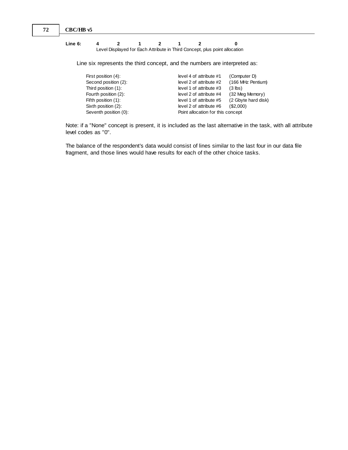#### **Line 6: 4 2 1 2 1 2 0** Level Displayed for Each Attribute in Third Concept, plus point allocation

Line six represents the third concept, and the numbers are interpreted as:

| Second position (2):<br>level 2 of attribute #2<br>Third position (1):<br>level 1 of attribute #3<br>$(3$ lbs)<br>Fourth position (2):<br>(32 Meg Memory)<br>level 2 of attribute #4<br>Fifth position $(1)$ :<br>level 1 of attribute #5<br>(\$2,000)<br>Sixth position (2):<br>level 2 of attribute #6<br>Seventh position (0):<br>Point allocation for this concept | First position (4): | level 4 of attribute #1 | (Computer D)        |
|------------------------------------------------------------------------------------------------------------------------------------------------------------------------------------------------------------------------------------------------------------------------------------------------------------------------------------------------------------------------|---------------------|-------------------------|---------------------|
|                                                                                                                                                                                                                                                                                                                                                                        |                     |                         | (166 MHz Pentium)   |
|                                                                                                                                                                                                                                                                                                                                                                        |                     |                         |                     |
|                                                                                                                                                                                                                                                                                                                                                                        |                     |                         |                     |
|                                                                                                                                                                                                                                                                                                                                                                        |                     |                         | (2 Gbyte hard disk) |
|                                                                                                                                                                                                                                                                                                                                                                        |                     |                         |                     |
|                                                                                                                                                                                                                                                                                                                                                                        |                     |                         |                     |

Note: if a "None" concept is present, it is included as the last alternative in the task, with all attribute level codes as "0".

The balance of the respondent's data would consist of lines similar to the last four in our data file fragment, and those lines would have results for each of the other choice tasks.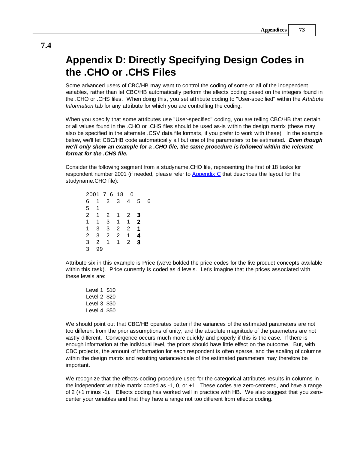# **Appendix D: Directly Specifying Design Codes in the .CHO or .CHS Files**

Some advanced users of CBC/HB may want to control the coding of some or all of the independent variables, rather than let CBC/HB automatically perform the effects coding based on the integers found in the .CHO or .CHS files. When doing this, you set attribute coding to "User-specified" within the *Attribute Information* tab for any attribute for which you are controlling the coding.

When you specify that some attributes use "User-specified" coding, you are telling CBC/HB that certain or all values found in the .CHO or .CHS files should be used as-is within the design matrix (these may also be specified in the alternate .CSV data file formats, if you prefer to work with these). In the example below, we'll let CBC/HB code automatically all but one of the parameters to be estimated. *Even though we'll only show an example for a .CHO file, the same procedure is followed within the relevant format for the .CHS file.*

Consider the following segment from a studyname.CHO file, representing the first of 18 tasks for respondent number 2001 (if needed, please refer to [Appendix](#page-72-0) C that describes the layout for the studyname.CHO file):

2001 7 6 18 0 1 2 3 4 5 6 5 1 1 2 1 2 3 1 3 1 1 2 3 3 2 2 1 3 2 2 1 4 2 1 1 2 3 3 99

Attribute six in this example is Price (we've bolded the price codes for the five product concepts available within this task). Price currently is coded as 4 levels. Let's imagine that the prices associated with these levels are:

Level 1 \$10 Level 2 \$20 Level 3 \$30 Level 4 \$50

We should point out that CBC/HB operates better if the variances of the estimated parameters are not too different from the prior assumptions of unity, and the absolute magnitude of the parameters are not vastly different. Convergence occurs much more quickly and properly if this is the case. If there is enough information at the individual level, the priors should have little effect on the outcome. But, with CBC projects, the amount of information for each respondent is often sparse, and the scaling of columns within the design matrix and resulting variance/scale of the estimated parameters may therefore be important.

We recognize that the effects-coding procedure used for the categorical attributes results in columns in the independent variable matrix coded as -1, 0, or +1. These codes are zero-centered, and have a range of 2 (+1 minus -1). Effects coding has worked well in practice with HB. We also suggest that you zerocenter your variables and that they have a range not too different from effects coding.

# **7.4**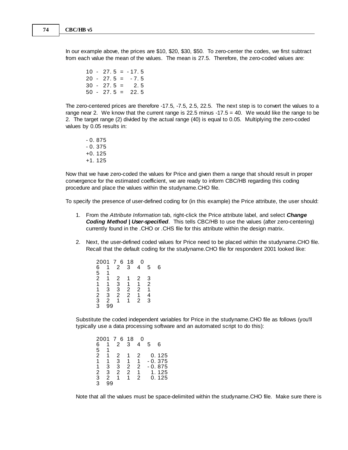In our example above, the prices are \$10, \$20, \$30, \$50. To zero-center the codes, we first subtract from each value the mean of the values. The mean is 27.5. Therefore, the zero-coded values are:

 $10 - 27.5 = -17.5$  $20 - 27.5 = -7.5$  $30 - 27.5 = 2.5$  $50 - 27.5 = 22.5$ 

The zero-centered prices are therefore -17.5, -7.5, 2.5, 22.5. The next step is to convert the values to a range near 2. We know that the current range is 22.5 minus -17.5 = 40. We would like the range to be 2. The target range (2) divided by the actual range (40) is equal to 0.05. Multiplying the zero-coded values by 0.05 results in:

- 0. 875 - 0. 375 +0. 125 +1. 125

Now that we have zero-coded the values for Price and given them a range that should result in proper convergence for the estimated coefficient, we are ready to inform CBC/HB regarding this coding procedure and place the values within the studyname.CHO file.

To specify the presence of user-defined coding for (in this example) the Price attribute, the user should:

- 1. From the *Attribute Information* tab, right-click the Price attribute label, and select *Change Coding Method | User-specified*. This tells CBC/HB to use the values (after zero-centering) currently found in the .CHO or .CHS file for this attribute within the design matrix.
- 2. Next, the user-defined coded values for Price need to be placed within the studyname.CHO file. Recall that the default coding for the studyname.CHO file for respondent 2001 looked like:

|                                                 |                                                  | 6<br>7 | 18            | ი |               |   |
|-------------------------------------------------|--------------------------------------------------|--------|---------------|---|---------------|---|
|                                                 |                                                  | 2      | 3             |   | 5             | 6 |
|                                                 |                                                  |        |               |   |               |   |
|                                                 |                                                  |        |               | 2 | 3             |   |
| 2001<br>6 1<br>5 1<br>2 1<br>1 1                |                                                  |        |               |   | $\frac{2}{1}$ |   |
|                                                 |                                                  | 23321  | $\frac{2}{2}$ | 2 |               |   |
| $\begin{array}{c} 1 \\ 2 \\ 3 \\ 3 \end{array}$ |                                                  |        |               |   | 4             |   |
|                                                 |                                                  |        | 1             | 2 | 3             |   |
|                                                 | $\begin{array}{c} 3 \\ 3 \\ 2 \\ 99 \end{array}$ |        |               |   |               |   |
|                                                 |                                                  |        |               |   |               |   |

Substitute the coded independent variables for Price in the studyname.CHO file as follows (you'll typically use a data processing software and an automated script to do this):

| 2001 | 6 | 18 | N |   |          |
|------|---|----|---|---|----------|
| 1    | 2 | 3  |   | 5 | 6        |
|      |   |    |   |   |          |
|      | 2 |    | 2 |   | 0.125    |
|      | 3 |    |   |   | $-0.375$ |
| 3    | 3 | 2  | 2 |   | - 0. 875 |
| 3    | 2 | 2  | 1 |   | 1.125    |
| 2    | 1 |    | 2 |   | 0.125    |
| 99   |   |    |   |   |          |
|      |   |    |   |   |          |

Note that all the values must be space-delimited within the studyname.CHO file. Make sure there is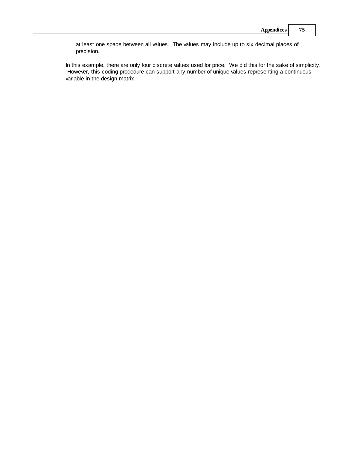| <b>Appendices</b> |  |
|-------------------|--|
|-------------------|--|

at least one space between all values. The values may include up to six decimal places of precision.

In this example, there are only four discrete values used for price. We did this for the sake of simplicity. However, this coding procedure can support any number of unique values representing a continuous variable in the design matrix.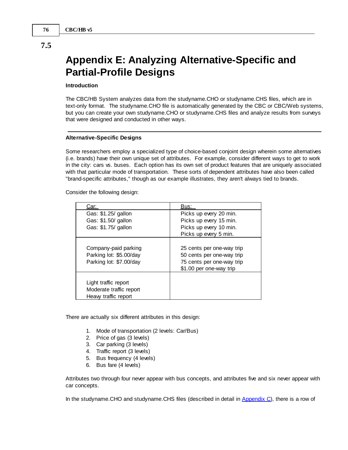# **7.5**

# **Appendix E: Analyzing Alternative-Specific and Partial-Profile Designs**

## **Introduction**

The CBC/HB System analyzes data from the studyname.CHO or studyname.CHS files, which are in text-only format. The studyname.CHO file is automatically generated by the CBC or CBC/Web systems, but you can create your own studyname.CHO or studyname.CHS files and analyze results from surveys that were designed and conducted in other ways.

## **Alternative-Specific Designs**

Some researchers employ a specialized type of choice-based conjoint design wherein some alternatives (i.e. brands) have their own unique set of attributes. For example, consider different ways to get to work in the city: cars vs. buses. Each option has its own set of product features that are uniquely associated with that particular mode of transportation. These sorts of dependent attributes have also been called "brand-specific attributes," though as our example illustrates, they aren't always tied to brands.

Consider the following design:

| Car:                    | Bus:                      |
|-------------------------|---------------------------|
| Gas: \$1.25/ gallon     | Picks up every 20 min.    |
| Gas: \$1.50/ gallon     | Picks up every 15 min.    |
| Gas: \$1.75/ gallon     | Picks up every 10 min.    |
|                         | Picks up every 5 min.     |
|                         |                           |
| Company-paid parking    | 25 cents per one-way trip |
| Parking lot: \$5.00/day | 50 cents per one-way trip |
| Parking lot: \$7.00/day | 75 cents per one-way trip |
|                         | \$1.00 per one-way trip   |
|                         |                           |
| Light traffic report    |                           |
| Moderate traffic report |                           |
| Heaw traffic report     |                           |

There are actually six different attributes in this design:

- 1. Mode of transportation (2 levels: Car/Bus)
- 2. Price of gas (3 levels)
- 3. Car parking (3 levels)
- 4. Traffic report (3 levels)
- 5. Bus frequency (4 levels)
- 6. Bus fare (4 levels)

Attributes two through four never appear with bus concepts, and attributes five and six never appear with car concepts.

In the studyname. CHO and studyname. CHS files (described in detail in [Appendix](#page-72-0) C), there is a row of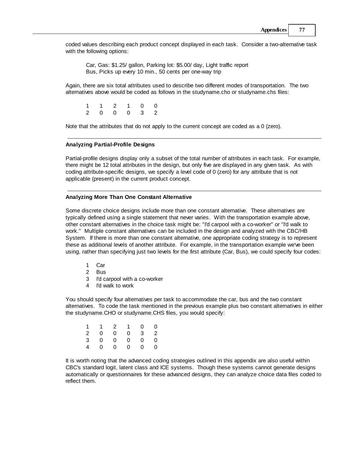coded values describing each product concept displayed in each task. Consider a two-alternative task with the following options:

Car, Gas: \$1.25/ gallon, Parking lot: \$5.00/ day, Light traffic report Bus, Picks up every 10 min., 50 cents per one-way trip

Again, there are six total attributes used to describe two different modes of transportation. The two alternatives above would be coded as follows in the studyname.cho or studyname.chs files:

1 1 2 1 0 0 2 0 0 0 3 2

Note that the attributes that do not apply to the current concept are coded as a 0 (zero).

## **Analyzing Partial-Profile Designs**

Partial-profile designs display only a subset of the total number of attributes in each task. For example, there might be 12 total attributes in the design, but only five are displayed in any given task. As with coding attribute-specific designs, we specify a level code of 0 (zero) for any attribute that is not applicable (present) in the current product concept.

## **Analyzing More Than One Constant Alternative**

Some discrete choice designs include more than one constant alternative. These alternatives are typically defined using a single statement that never varies. With the transportation example above, other constant alternatives in the choice task might be: "I'd carpool with a co-worker" or "I'd walk to work." Multiple constant alternatives can be included in the design and analyzed with the CBC/HB System. If there is more than one constant alternative, one appropriate coding strategy is to represent these as additional levels of another attribute. For example, in the transportation example we've been using, rather than specifying just two levels for the first attribute (Car, Bus), we could specify four codes:

- 1 Car
- 2 Bus
- 3 I'd carpool with a co-worker
- 4 I'd walk to work

You should specify four alternatives per task to accommodate the car, bus and the two constant alternatives. To code the task mentioned in the previous example plus two constant alternatives in either the studyname.CHO or studyname.CHS files, you would specify:

| $1 \quad$ |             | $1 \quad 2 \quad 1$                             | $0\qquad 0$ |  |
|-----------|-------------|-------------------------------------------------|-------------|--|
|           | 2 0 0 0 3 2 |                                                 |             |  |
|           | 3 0 0 0 0 0 |                                                 |             |  |
| 4         |             | $\begin{matrix} 0 & 0 & 0 & 0 & 0 \end{matrix}$ |             |  |

It is worth noting that the advanced coding strategies outlined in this appendix are also useful within CBC's standard logit, latent class and ICE systems. Though these systems cannot generate designs automatically or questionnaires for these advanced designs, they can analyze choice data files coded to reflect them.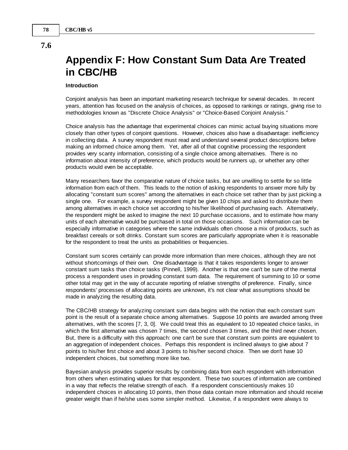# **7.6**

# **Appendix F: How Constant Sum Data Are Treated in CBC/HB**

### **Introduction**

Conjoint analysis has been an important marketing research technique for several decades. In recent years, attention has focused on the analysis of choices, as opposed to rankings or ratings, giving rise to methodologies known as "Discrete Choice Analysis" or "Choice-Based Conjoint Analysis."

Choice analysis has the advantage that experimental choices can mimic actual buying situations more closely than other types of conjoint questions. However, choices also have a disadvantage: inefficiency in collecting data. A survey respondent must read and understand several product descriptions before making an informed choice among them. Yet, after all of that cognitive processing the respondent provides very scanty information, consisting of a single choice among alternatives. There is no information about intensity of preference, which products would be runners up, or whether any other products would even be acceptable.

Many researchers favor the comparative nature of choice tasks, but are unwilling to settle for so little information from each of them. This leads to the notion of asking respondents to answer more fully by allocating "constant sum scores" among the alternatives in each choice set rather than by just picking a single one. For example, a survey respondent might be given 10 chips and asked to distribute them among alternatives in each choice set according to his/her likelihood of purchasing each. Alternatively, the respondent might be asked to imagine the next 10 purchase occasions, and to estimate how many units of each alternative would be purchased in total on those occasions. Such information can be especially informative in categories where the same individuals often choose a mix of products, such as breakfast cereals or soft drinks. Constant sum scores are particularly appropriate when it is reasonable for the respondent to treat the units as probabilities or frequencies.

Constant sum scores certainly can provide more information than mere choices, although they are not without shortcomings of their own. One disadvantage is that it takes respondents longer to answer constant sum tasks than choice tasks (Pinnell, 1999). Another is that one can't be sure of the mental process a respondent uses in providing constant sum data. The requirement of summing to 10 or some other total may get in the way of accurate reporting of relative strengths of preference. Finally, since respondents' processes of allocating points are unknown, it's not clear what assumptions should be made in analyzing the resulting data.

The CBC/HB strategy for analyzing constant sum data begins with the notion that each constant sum point is the result of a separate choice among alternatives. Suppose 10 points are awarded among three alternatives, with the scores [7, 3, 0]. We could treat this as equivalent to 10 repeated choice tasks, in which the first alternative was chosen 7 times, the second chosen 3 times, and the third never chosen. But, there is a difficulty with this approach: one can't be sure that constant sum points are equivalent to an aggregation of independent choices. Perhaps this respondent is inclined always to give about 7 points to his/her first choice and about 3 points to his/her second choice. Then we don't have 10 independent choices, but something more like two.

Bayesian analysis provides superior results by combining data from each respondent with information from others when estimating values for that respondent. These two sources of information are combined in a way that reflects the relative strength of each. If a respondent conscientiously makes 10 independent choices in allocating 10 points, then those data contain more information and should receive greater weight than if he/she uses some simpler method. Likewise, if a respondent were always to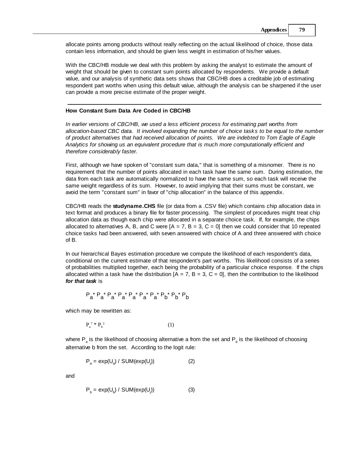allocate points among products without really reflecting on the actual likelihood of choice, those data contain less information, and should be given less weight in estimation of his/her values.

With the CBC/HB module we deal with this problem by asking the analyst to estimate the amount of weight that should be given to constant sum points allocated by respondents. We provide a default value, and our analysis of synthetic data sets shows that CBC/HB does a creditable job of estimating respondent part worths when using this default value, although the analysis can be sharpened if the user can provide a more precise estimate of the proper weight.

### **How Constant Sum Data Are Coded in CBC/HB**

*In earlier versions of CBC/HB, we used a less efficient process for estimating part worths from allocation-based CBC data. It involved expanding the number of choice tasks to be equal to the number of product alternatives that had received allocation of points. We are indebted to Tom Eagle of Eagle Analytics for showing us an equivalent procedure that is much more computationally efficient and therefore considerably faster.*

First, although we have spoken of "constant sum data," that is something of a misnomer. There is no requirement that the number of points allocated in each task have the same sum. During estimation, the data from each task are automatically normalized to have the same sum, so each task will receive the same weight regardless of its sum. However, to avoid implying that their sums must be constant, we avoid the term "constant sum" in favor of "chip allocation" in the balance of this appendix.

CBC/HB reads the **studyname.CHS** file (or data from a .CSV file) which contains chip allocation data in text format and produces a binary file for faster processing. The simplest of procedures might treat chip allocation data as though each chip were allocated in a separate choice task. If, for example, the chips allocated to alternatives A, B, and C were  $[A = 7, B = 3, C = 0]$  then we could consider that 10 repeated choice tasks had been answered, with seven answered with choice of A and three answered with choice of B.

In our hierarchical Bayes estimation procedure we compute the likelihood of each respondent's data, conditional on the current estimate of that respondent's part worths. This likelihood consists of a series of probabilities multiplied together, each being the probability of a particular choice response. If the chips allocated within a task have the distribution  $[A = 7, B = 3, C = 0]$ , then the contribution to the likelihood *for that task* is

$$
P_{a}^{\;\ast}\,P_{a}^{\;\ast}\,P_{a}^{\;\ast}\,P_{a}^{\;\ast}\,P_{a}^{\;\ast}\,P_{a}^{\;\ast}\,P_{a}^{\;\ast}\,P_{b}^{\;\ast}\,P_{b}^{\;\ast}\,P_{b}
$$

which may be rewritten as:

$$
P_a^{\ 7} \ast P_b^{\ 3} \tag{1}
$$

where  $\mathsf{P}_{\sf a}$  is the likelihood of choosing alternative a from the set and  $\mathsf{P}_{\sf b}$  is the likelihood of choosing alternative b from the set. According to the logit rule:

$$
P_a = \exp(U_a) / SUM(\exp(U_j))
$$
 (2)

and

$$
P_b = \exp(U_b) / \text{SUM}(\exp(U_j))
$$
 (3)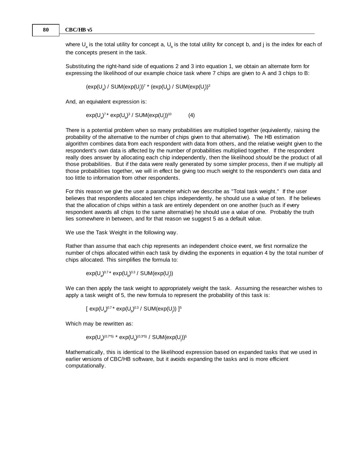where  $\sf U_a$  is the total utility for concept a,  $\sf U_b$  is the total utility for concept b, and j is the index for each of the concepts present in the task.

Substituting the right-hand side of equations 2 and 3 into equation 1, we obtain an alternate form for expressing the likelihood of our example choice task where 7 chips are given to A and 3 chips to B:

(exp(U<sub>a</sub>) / SUM(exp(U<sub>j</sub>))<sup>7</sup> \* (exp(U<sub>b</sub>) / SUM(exp(U<sub>j</sub>))<sup>3</sup>

And, an equivalent expression is:

exp(U<sub>a</sub>)<sup>7</sup>\* exp(U<sub>b</sub>)3 / SUM(exp(U<sub>j</sub>))<sup>10</sup> (4)

There is a potential problem when so many probabilities are multiplied together (equivalently, raising the probability of the alternative to the number of chips given to that alternative). The HB estimation algorithm combines data from each respondent with data from others, and the relative weight given to the respondent's own data is affected by the number of probabilities multiplied together. If the respondent really does answer by allocating each chip independently, then the likelihood *should* be the product of all those probabilities. But if the data were really generated by some simpler process, then if we multiply all those probabilities together, we will in effect be giving too much weight to the respondent's own data and too little to information from other respondents.

For this reason we give the user a parameter which we describe as "Total task weight." If the user believes that respondents allocated ten chips independently, he should use a value of ten. If he believes that the allocation of chips within a task are entirely dependent on one another (such as if every respondent awards all chips to the same alternative) he should use a value of one. Probably the truth lies somewhere in between, and for that reason we suggest 5 as a default value.

We use the Task Weight in the following way.

Rather than assume that each chip represents an independent choice event, we first normalize the number of chips allocated within each task by dividing the exponents in equation 4 by the total number of chips allocated. This simplifies the formula to:

exp(U<sub>a</sub>)º<sup>.7</sup>\* exp(U<sub>b</sub>)º<sup>.3</sup> / SUM(exp(U<sub>j</sub>))

We can then apply the task weight to appropriately weight the task. Assuming the researcher wishes to apply a task weight of 5, the new formula to represent the probability of this task is:

[ exp(U<sup>a</sup> ) 0.7 \* exp(U<sup>b</sup> ) 0.3 / SUM(exp(U<sup>j</sup> )) ] 5

Which may be rewritten as:

exp(U<sub>a</sub>)<sup>(0.7\*5)</sup> \* exp(U<sub>b</sub>)<sup>(0.3\*5)</sup> / SUM(exp(U<sub>j</sub>))<sup>5</sup>

Mathematically, this is identical to the likelihood expression based on expanded tasks that we used in earlier versions of CBC/HB software, but it avoids expanding the tasks and is more efficient computationally.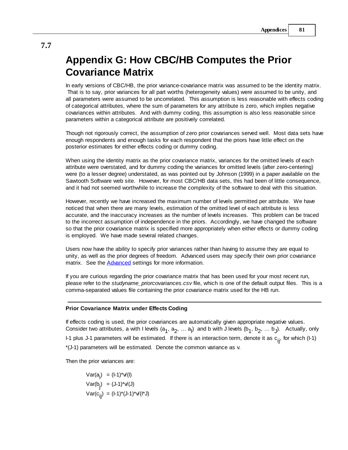# **Appendix G: How CBC/HB Computes the Prior Covariance Matrix**

In early versions of CBC/HB, the prior variance-covariance matrix was assumed to be the identity matrix. That is to say, prior variances for all part worths (heterogeneity values) were assumed to be unity, and all parameters were assumed to be uncorrelated. This assumption is less reasonable with effects coding of categorical attributes, where the sum of parameters for any attribute is zero, which implies negative covariances within attributes. And with dummy coding, this assumption is also less reasonable since parameters within a categorical attribute are positively correlated.

Though not rigorously correct, the assumption of zero prior covariances served well. Most data sets have enough respondents and enough tasks for each respondent that the priors have little effect on the posterior estimates for either effects coding or dummy coding.

When using the identity matrix as the prior covariance matrix, variances for the omitted levels of each attribute were overstated, and for dummy coding the variances for omitted levels (after zero-centering) were (to a lesser degree) understated, as was pointed out by Johnson (1999) in a paper available on the Sawtooth Software web site. However, for most CBC/HB data sets, this had been of little consequence, and it had not seemed worthwhile to increase the complexity of the software to deal with this situation.

However, recently we have increased the maximum number of levels permitted per attribute. We have noticed that when there are many levels, estimation of the omitted level of each attribute is less accurate, and the inaccuracy increases as the number of levels increases. This problem can be traced to the incorrect assumption of independence in the priors. Accordingly, we have changed the software so that the prior covariance matrix is specified more appropriately when either effects or dummy coding is employed. We have made several related changes.

Users now have the ability to specify prior variances rather than having to assume they are equal to unity, as well as the prior degrees of freedom. Advanced users may specify their own prior covariance matrix. See the **[Advanced](#page-53-0)** settings for more information.

If you are curious regarding the prior covariance matrix that has been used for your most recent run, please refer to the *studyname\_priorcovariances.csv* file, which is one of the default output files. This is a comma-separated values file containing the prior covariance matrix used for the HB run.

### **Prior Covariance Matrix under Effects Coding**

If effects coding is used, the prior covariances are automatically given appropriate negative values. Consider two attributes, a with I levels (a<sub>1</sub>, a<sub>2</sub>, … a<sub>I</sub>) and b with J levels (b<sub>1</sub>, b<sub>2</sub>, … b<sub>J</sub>). Actually, only I-1 plus J-1 parameters will be estimated. If there is an interaction term, denote it as c<sub>ij</sub>, for which (I-1) \*(J-1) parameters will be estimated. Denote the common variance as v.

Then the prior variances are:

Var(a<sub>i</sub>) = (I-1)\*
$$
\vee
$$
(I)  
Var(b<sub>j</sub>) = (J-1)\* $\vee$ (J)  
Var(c<sub>ij</sub>) = (I-1)\*(J-1)\* $\vee$ (I\*J)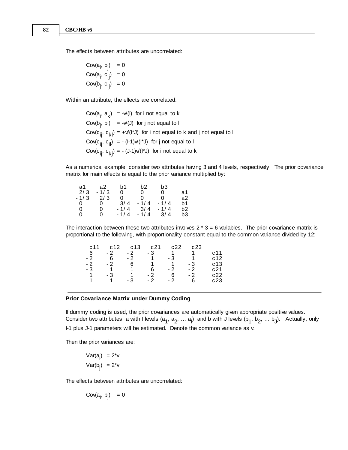The effects between attributes are uncorrelated:

$$
Cov(ai, bj) = 0
$$
  
\n
$$
Cov(ai, cij) = 0
$$
  
\n
$$
Cov(bj, cij) = 0
$$

Within an attribute, the effects are correlated:

Cov(a<sub>j</sub>, a<sub>k</sub>) = -v/(I) for i not equal to k Cov(b<sub>j</sub>, b<sub>|</sub>) = -v/(J) for j not equal to l Cov(c<sub>ij</sub>, c<sub>kl</sub>) = +v/(I\*J) for i not equal to k and j not equal to l Cov(c<sub>ij</sub>, c<sub>il</sub>) = - (l-1)v/(l\*J) for j not equal to l Cov(c<sub>ij</sub>, c<sub>kj</sub>) = - (J-1)v/(I\*J) for i not equal to k

As a numerical example, consider two attributes having 3 and 4 levels, respectively. The prior covariance matrix for main effects is equal to the prior variance multiplied by:

| а1       | a2     | b1     | b2       | b3     |     |
|----------|--------|--------|----------|--------|-----|
| 2/3      | $-1/3$ | 0.     | 0        | 0      | а1  |
| $-1/3$   | 2/3    | 0.     | $\Omega$ | 0.     | a2  |
| $\Omega$ | 0.     | 3/4    | $-1/4$   | $-1/4$ | b1. |
| 0        | 0      | $-1/4$ | 3/4      | - 1/4  | b2  |
| 0        | 0      | $-1/4$ | $-1/4$   | 3/4    | b3  |
|          |        |        |          |        |     |

The interaction between these two attributes involves  $2 * 3 = 6$  variables. The prior covariance matrix is proportional to the following, with proportionality constant equal to the common variance divided by 12:

| c11            | c12 -            | c13            | c21              | c22            | c23            |     |
|----------------|------------------|----------------|------------------|----------------|----------------|-----|
| 6.             | - 2              | $-2$           | - 3              | $\mathbf{1}$   | $\overline{1}$ | c11 |
| $-2$           | 6.               | $-2$           | $\blacksquare$ 1 | - 3            | $\sim$         | c12 |
| $-2$           | - 2              | 6              | 1                | $\overline{1}$ | - 3            | c13 |
| - 3            | $\blacksquare$ 1 | $\overline{1}$ | 6.               | - 2            | - 2            | c21 |
| $\overline{1}$ | - 3              | 1              | - 2              | 6.             | - 2            | c22 |
|                |                  | $-3$           | - 2              | - 2            | 6.             | c23 |

### **Prior Covariance Matrix under Dummy Coding**

If dummy coding is used, the prior covariances are automatically given appropriate positive values. Consider two attributes, a with I levels (a<sub>1</sub>, a<sub>2</sub>, … a<sub>I</sub>) and b with J levels (b<sub>1</sub>, b<sub>2</sub>, … b<sub>J</sub>). Actually, only I-1 plus J-1 parameters will be estimated. Denote the common variance as v.

Then the prior variances are:

$$
Var(a_{\hat{i}}) = 2^*v
$$
  

$$
Var(b_{\hat{j}}) = 2^*v
$$

The effects between attributes are uncorrelated:

$$
Cov(a_j, b_j) = 0
$$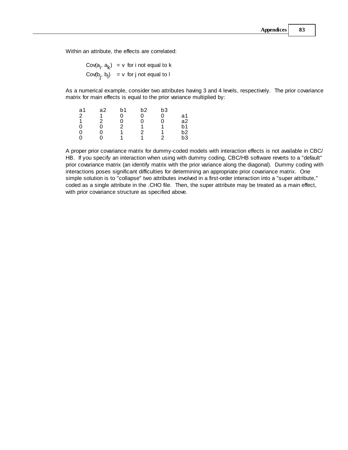Within an attribute, the effects are correlated:

 $Cov(a_{j}, a_{k}) = v$  for i not equal to k Cov(b<sub>j</sub>, b<sub>l</sub>) = v for j not equal to l

As a numerical example, consider two attributes having 3 and 4 levels, respectively. The prior covariance matrix for main effects is equal to the prior variance multiplied by:

| a1 | a2 | h1 | b2 | b3 |    |
|----|----|----|----|----|----|
| 2  |    | ი  | ი  | ი  | a1 |
| 1  | 2  | ი  | ი  | n  | a2 |
| 0  | n  | 2  |    |    | b1 |
| 0  |    |    | 2  |    | b2 |
| 0  |    |    |    | 2  | b3 |

A proper prior covariance matrix for dummy-coded models with interaction effects is not available in CBC/ HB. If you specify an interaction when using with dummy coding, CBC/HB software reverts to a "default" prior covariance matrix (an identify matrix with the prior variance along the diagonal). Dummy coding with interactions poses significant difficulties for determining an appropriate prior covariance matrix. One simple solution is to "collapse" two attributes involved in a first-order interaction into a "super attribute," coded as a single attribute in the .CHO file. Then, the super attribute may be treated as a main effect, with prior covariance structure as specified above.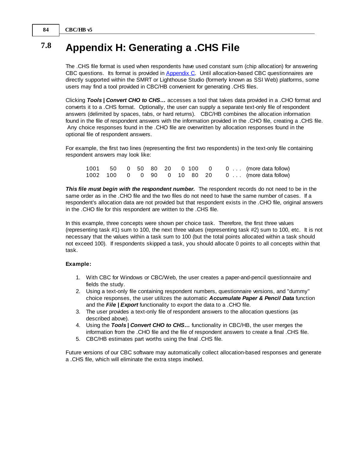# **7.8 Appendix H: Generating a .CHS File**

The .CHS file format is used when respondents have used constant sum (chip allocation) for answering CBC questions. Its format is provided in [Appendix](#page-72-0) C. Until allocation-based CBC questionnaires are directly supported within the SMRT or Lighthouse Studio (formerly known as SSI Web) platforms, some users may find a tool provided in CBC/HB convenient for generating .CHS files.

Clicking *Tools | Convert CHO to CHS…* accesses a tool that takes data provided in a .CHO format and converts it to a .CHS format. Optionally, the user can supply a separate text-only file of respondent answers (delimited by spaces, tabs, or hard returns). CBC/HB combines the allocation information found in the file of respondent answers with the information provided in the .CHO file, creating a .CHS file. Any choice responses found in the .CHO file are overwritten by allocation responses found in the optional file of respondent answers.

For example, the first two lines (representing the first two respondents) in the text-only file containing respondent answers may look like:

|  |  |  |  |  | 1001 50 0 50 80 20 0 100 0 0  (more data follow) |
|--|--|--|--|--|--------------------------------------------------|
|  |  |  |  |  | 1002 100 0 0 90 0 10 80 20 0  (more data follow) |

*This file must begin with the respondent number.* The respondent records do not need to be in the same order as in the .CHO file and the two files do not need to have the same number of cases. If a respondent's allocation data are not provided but that respondent exists in the .CHO file, original answers in the .CHO file for this respondent are written to the .CHS file.

In this example, three concepts were shown per choice task. Therefore, the first three values (representing task #1) sum to 100, the next three values (representing task #2) sum to 100, etc. It is not necessary that the values within a task sum to 100 (but the total points allocated within a task should not exceed 100). If respondents skipped a task, you should allocate 0 points to all concepts within that task.

# **Example:**

- 1. With CBC for Windows or CBC/Web, the user creates a paper-and-pencil questionnaire and fields the study.
- 2. Using a text-only file containing respondent numbers, questionnaire versions, and "dummy" choice responses, the user utilizes the automatic *Accumulate Paper & Pencil Data* function and the *File | Export* functionality to export the data to a .CHO file.
- 3. The user provides a text-only file of respondent answers to the allocation questions (as described above).
- 4. Using the *Tools | Convert CHO to CHS…* functionality in CBC/HB, the user merges the information from the .CHO file and the file of respondent answers to create a final .CHS file.
- 5. CBC/HB estimates part worths using the final .CHS file.

Future versions of our CBC software may automatically collect allocation-based responses and generate a .CHS file, which will eliminate the extra steps involved.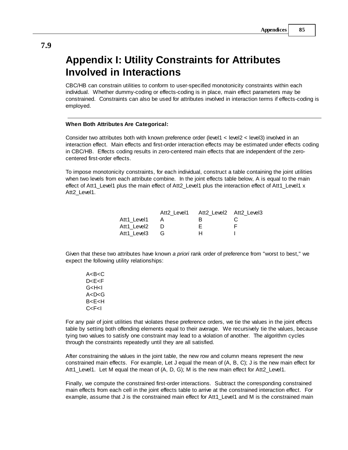# **Appendix I: Utility Constraints for Attributes Involved in Interactions**

CBC/HB can constrain utilities to conform to user-specified monotonicity constraints within each individual. Whether dummy-coding or effects-coding is in place, main effect parameters may be constrained. Constraints can also be used for attributes involved in interaction terms if effects-coding is employed.

### **When Both Attributes Are Categorical:**

Consider two attributes both with known preference order (level1 < level2 < level3) involved in an interaction effect. Main effects and first-order interaction effects may be estimated under effects coding in CBC/HB. Effects coding results in zero-centered main effects that are independent of the zerocentered first-order effects.

To impose monotonicity constraints, for each individual, construct a table containing the joint utilities when two levels from each attribute combine. In the joint effects table below, A is equal to the main effect of Att1\_Level1 plus the main effect of Att2\_Level1 plus the interaction effect of Att1\_Level1 x Att2\_Level1.

|             |   | Att2 Level1 Att2 Level2 Att2 Level3 |            |
|-------------|---|-------------------------------------|------------|
| Att1 Level1 |   | к                                   | <b>C</b> : |
| Att1 Level2 |   |                                     |            |
| Att1 Level3 | G | н                                   |            |

Given that these two attributes have known *a priori* rank order of preference from "worst to best," we expect the following utility relationships:

 $A < B < C$ D<E<F G<H<I  $A < D < G$ B<E<H C<F<I

For any pair of joint utilities that violates these preference orders, we tie the values in the joint effects table by setting both offending elements equal to their average. We recursively tie the values, because tying two values to satisfy one constraint may lead to a violation of another. The algorithm cycles through the constraints repeatedly until they are all satisfied.

After constraining the values in the joint table, the new row and column means represent the new constrained main effects. For example, Let J equal the mean of (A, B, C); J is the new main effect for Att1\_Level1. Let M equal the mean of (A, D, G); M is the new main effect for Att2\_Level1.

Finally, we compute the constrained first-order interactions. Subtract the corresponding constrained main effects from each cell in the joint effects table to arrive at the constrained interaction effect. For example, assume that J is the constrained main effect for Att1\_Level1 and M is the constrained main

# **7.9**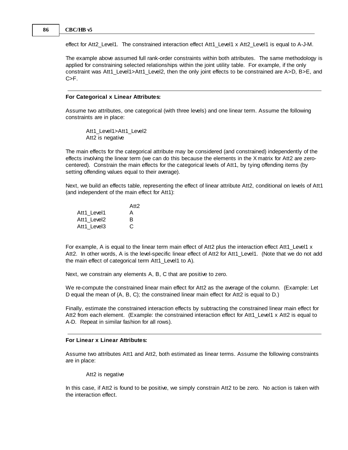effect for Att2\_Level1. The constrained interaction effect Att1\_Level1 x Att2\_Level1 is equal to A-J-M.

The example above assumed full rank-order constraints within both attributes. The same methodology is applied for constraining selected relationships within the joint utility table. For example, if the only constraint was Att1\_Level1>Att1\_Level2, then the only joint effects to be constrained are A>D, B>E, and C>F.

### **For Categorical x Linear Attributes:**

Assume two attributes, one categorical (with three levels) and one linear term. Assume the following constraints are in place:

Att1\_Level1>Att1\_Level2 Att2 is negative

The main effects for the categorical attribute may be considered (and constrained) independently of the effects involving the linear term (we can do this because the elements in the X matrix for Att2 are zerocentered). Constrain the main effects for the categorical levels of Att1, by tying offending items (by setting offending values equal to their average).

Next, we build an effects table, representing the effect of linear attribute Att2, conditional on levels of Att1 (and independent of the main effect for Att1):

|             | Att <sub>2</sub> |
|-------------|------------------|
| Att1 Level1 | А                |
| Att1 Level2 | в                |
| Att1 Level3 | C                |

For example, A is equal to the linear term main effect of Att2 plus the interaction effect Att1\_Level1 x Att2. In other words, A is the level-specific linear effect of Att2 for Att1 Level1. (Note that we do not add the main effect of categorical term Att1 Level1 to A).

Next, we constrain any elements A, B, C that are positive to zero.

We re-compute the constrained linear main effect for Att2 as the average of the column. (Example: Let D equal the mean of (A, B, C); the constrained linear main effect for Att2 is equal to D.)

Finally, estimate the constrained interaction effects by subtracting the constrained linear main effect for Att2 from each element. (Example: the constrained interaction effect for Att1\_Level1 x Att2 is equal to A-D. Repeat in similar fashion for all rows).

### **For Linear x Linear Attributes:**

Assume two attributes Att1 and Att2, both estimated as linear terms. Assume the following constraints are in place:

Att2 is negative

In this case, if Att2 is found to be positive, we simply constrain Att2 to be zero. No action is taken with the interaction effect.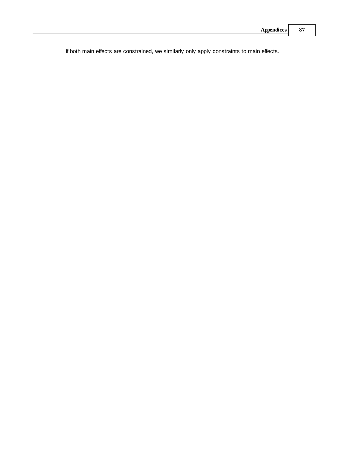If both main effects are constrained, we similarly only apply constraints to main effects.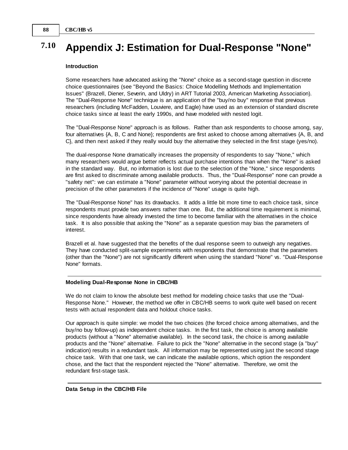# **7.10 Appendix J: Estimation for Dual-Response "None"**

### **Introduction**

Some researchers have advocated asking the "None" choice as a second-stage question in discrete choice questionnaires (see "Beyond the Basics: Choice Modelling Methods and Implementation Issues" (Brazell, Diener, Severin, and Uldry) in ART Tutorial 2003, American Marketing Association). The "Dual-Response None" technique is an application of the "buy/no buy" response that previous researchers (including McFadden, Louviere, and Eagle) have used as an extension of standard discrete choice tasks since at least the early 1990s, and have modeled with nested logit.

The "Dual-Response None" approach is as follows. Rather than ask respondents to choose among, say, four alternatives {A, B, C and None}; respondents are first asked to choose among alternatives {A, B, and C}, and then next asked if they really would buy the alternative they selected in the first stage (yes/no).

The dual-response None dramatically increases the propensity of respondents to say "None," which many researchers would argue better reflects actual purchase intentions than when the "None" is asked in the standard way. But, no information is lost due to the selection of the "None," since respondents are first asked to discriminate among available products. Thus, the "Dual-Response" none can provide a "safety net": we can estimate a "None" parameter without worrying about the potential decrease in precision of the other parameters if the incidence of "None" usage is quite high.

The "Dual-Response None" has its drawbacks. It adds a little bit more time to each choice task, since respondents must provide two answers rather than one. But, the additional time requirement is minimal, since respondents have already invested the time to become familiar with the alternatives in the choice task. It is also possible that asking the "None" as a separate question may bias the parameters of interest.

Brazell et al. have suggested that the benefits of the dual response seem to outweigh any negatives. They have conducted split-sample experiments with respondents that demonstrate that the parameters (other than the "None") are not significantly different when using the standard "None" vs. "Dual-Response None" formats.

### **Modeling Dual-Response None in CBC/HB**

We do not claim to know the absolute best method for modeling choice tasks that use the "Dual-Response None." However, the method we offer in CBC/HB seems to work quite well based on recent tests with actual respondent data and holdout choice tasks.

Our approach is quite simple: we model the two choices (the forced choice among alternatives, and the buy/no buy follow-up) as independent choice tasks. In the first task, the choice is among available products (without a "None" alternative available). In the second task, the choice is among available products and the "None" alternative. Failure to pick the "None" alternative in the second stage (a "buy" indication) results in a redundant task. All information may be represented using just the second stage choice task. With that one task, we can indicate the available options, which option the respondent chose, and the fact that the respondent rejected the "None" alternative. Therefore, we omit the redundant first-stage task.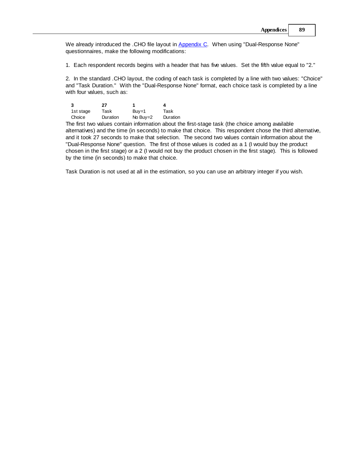We already introduced the .CHO file layout in [Appendix](#page-72-0) C. When using "Dual-Response None" questionnaires, make the following modifications:

1. Each respondent records begins with a header that has five values. Set the fifth value equal to "2."

2. In the standard .CHO layout, the coding of each task is completed by a line with two values: "Choice" and "Task Duration." With the "Dual-Response None" format, each choice task is completed by a line with four values, such as:

| -3        | 27       |             | 4        |
|-----------|----------|-------------|----------|
| 1st stage | Task     | $Buy=1$     | Task     |
| Choice    | Duration | No Buy= $2$ | Duration |

The first two values contain information about the first-stage task (the choice among available alternatives) and the time (in seconds) to make that choice. This respondent chose the third alternative, and it took 27 seconds to make that selection. The second two values contain information about the "Dual-Response None" question. The first of those values is coded as a 1 (I would buy the product chosen in the first stage) or a 2 (I would not buy the product chosen in the first stage). This is followed by the time (in seconds) to make that choice.

Task Duration is not used at all in the estimation, so you can use an arbitrary integer if you wish.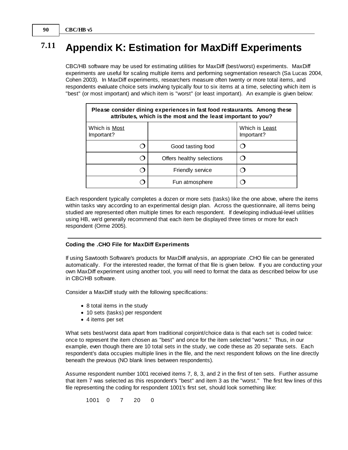# **7.11 Appendix K: Estimation for MaxDiff Experiments**

CBC/HB software may be used for estimating utilities for MaxDiff (best/worst) experiments. MaxDiff experiments are useful for scaling multiple items and performing segmentation research (Sa Lucas 2004, Cohen 2003). In MaxDiff experiments, researchers measure often twenty or more total items, and respondents evaluate choice sets involving typically four to six items at a time, selecting which item is "best" (or most important) and which item is "worst" (or least important). An example is given below:

| Please consider dining experiences in fast food restaurants. Among these<br>attributes, which is the most and the least important to you? |                           |                              |  |
|-------------------------------------------------------------------------------------------------------------------------------------------|---------------------------|------------------------------|--|
| Which is Most<br>Important?                                                                                                               |                           | Which is Least<br>Important? |  |
|                                                                                                                                           | Good tasting food         |                              |  |
|                                                                                                                                           | Offers healthy selections |                              |  |
|                                                                                                                                           | Friendly service          |                              |  |
|                                                                                                                                           | Fun atmosphere            |                              |  |

Each respondent typically completes a dozen or more sets (tasks) like the one above, where the items within tasks vary according to an experimental design plan. Across the questionnaire, all items being studied are represented often multiple times for each respondent. If developing individual-level utilities using HB, we'd generally recommend that each item be displayed three times or more for each respondent (Orme 2005).

### **Coding the .CHO File for MaxDiff Experiments**

If using Sawtooth Software's products for MaxDiff analysis, an appropriate .CHO file can be generated automatically. For the interested reader, the format of that file is given below. If you are conducting your own MaxDiff experiment using another tool, you will need to format the data as described below for use in CBC/HB software.

Consider a MaxDiff study with the following specifications:

- · 8 total items in the study
- · 10 sets (tasks) per respondent
- · 4 items per set

What sets best/worst data apart from traditional conjoint/choice data is that each set is coded twice: once to represent the item chosen as "best" and once for the item selected "worst." Thus, in our example, even though there are 10 total sets in the study, we code these as 20 separate sets. Each respondent's data occupies multiple lines in the file, and the next respondent follows on the line directly beneath the previous (NO blank lines between respondents).

Assume respondent number 1001 received items 7, 8, 3, and 2 in the first of ten sets. Further assume that item 7 was selected as this respondent's "best" and item 3 as the "worst." The first few lines of this file representing the coding for respondent 1001's first set, should look something like:

1001 0 7 20 0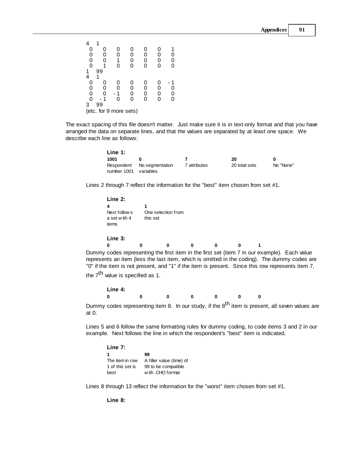|                        |    |   |  | O |   |  |
|------------------------|----|---|--|---|---|--|
| 0                      |    |   |  |   | 0 |  |
| 0                      |    | 1 |  |   |   |  |
|                        | 1  |   |  |   |   |  |
| 1                      | 99 |   |  |   |   |  |
|                        | 1  |   |  |   |   |  |
|                        |    |   |  |   |   |  |
| 0                      |    |   |  | ი |   |  |
| 0                      | 0  |   |  | O |   |  |
| $\Omega$               |    |   |  |   |   |  |
| 3                      | 99 |   |  |   |   |  |
| (etc. for 9 more sets) |    |   |  |   |   |  |

The exact spacing of this file doesn't matter. Just make sure it is in text-only format and that you have arranged the data on separate lines, and that the values are separated by at least one space. We describe each line as follows:

| Line $1:$   |                            |              |               |           |
|-------------|----------------------------|--------------|---------------|-----------|
| 1001        |                            |              | 20            | o         |
|             | Respondent No segmentation | 7 attributes | 20 total sets | No "None" |
| number 1001 | variables                  |              |               |           |

Lines 2 through 7 reflect the information for the "best" item chosen from set #1.

| Line 2:                                |                                     |   |   |                                                             |   |   |
|----------------------------------------|-------------------------------------|---|---|-------------------------------------------------------------|---|---|
| Next follow s<br>a set with 4<br>items | 1<br>One selection from<br>this set |   |   |                                                             |   |   |
| Line 3:                                |                                     |   |   |                                                             |   |   |
| Ω                                      | 0                                   | 0 | 0 | and a subject from the action fact of an except of the com- | 0 | 1 |

Dummy codes representing the first item in the first set (item 7 in our example). Each value represents an item (less the last item, which is omitted in the coding). The dummy codes are "0" if the item is not present, and "1" if the item is present. Since this row represents item 7,

the 7<sup>th</sup> value is specified as 1.

**Line 4: 0 0 0 0 0 0 0**

Dummy codes representing item 8. In our study, if the 8<sup>th</sup> item is present, all seven values are at 0.

Lines 5 and 6 follow the same formatting rules for dummy coding, to code items 3 and 2 in our example. Next follows the line in which the respondent's "best" item is indicated.

| Line $7:$        |                          |
|------------------|--------------------------|
| 1                | 99                       |
| The item in row  | A filler value (time) of |
| 1 of this set is | 99 to be compatible      |
| hest             | with .CHO format         |

Lines 8 through 13 reflect the information for the "worst" item chosen from set #1.

## **Line 8:**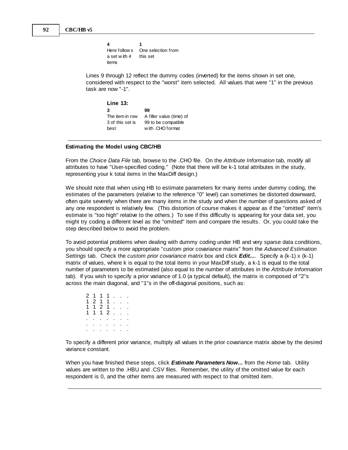**4** Here follow s One selection from a set w ith 4 items **1** this set

Lines 9 through 12 reflect the dummy codes (inverted) for the items shown in set one, considered with respect to the "worst" item selected. All values that were "1" in the previous task are now "-1".

**Line 13: 3** The item in row A filler value (time) of 3 of this set is best **99** 99 to be compatible w ith .CHO format

### **Estimating the Model using CBC/HB**

From the *Choice Data File* tab, browse to the .CHO file. On the *Attribute Information* tab, modify all attributes to have "User-specified coding." (Note that there will be k-1 total attributes in the study, representing your k total items in the MaxDiff design.)

We should note that when using HB to estimate parameters for many items under dummy coding, the estimates of the parameters (relative to the reference "0" level) can sometimes be distorted downward, often quite severely when there are many items in the study and when the number of questions asked of any one respondent is relatively few. (This distortion of course makes it appear as if the "omitted" item's estimate is "too high" relative to the others.) To see if this difficulty is appearing for your data set, you might try coding a different level as the "omitted" item and compare the results. Or, you could take the step described below to avoid the problem.

To avoid potential problems when dealing with dummy coding under HB and very sparse data conditions, you should specify a more appropriate "custom prior covariance matrix" from the *Advanced Estimation Settings* tab. Check the *custom prior covariance matrix* box and click *Edit...*. Specify a (k-1) x (k-1) matrix of values, where k is equal to the total items in your MaxDiff study, a k-1 is equal to the total number of parameters to be estimated (also equal to the number of attributes in the *Attribute Information* tab). If you wish to specify a prior variance of 1.0 (a typical default), the matrix is composed of "2"s across the main diagonal, and "1"s in the off-diagonal positions, such as:

2 1 1 1 . . . 1 2 1 1 . . . 1 1 2 1 . . . 1 1 1 2 . . . . . . . . . . . . . . . . . . . . . . . .

To specify a different prior variance, multiply all values in the prior covariance matrix above by the desired variance constant.

When you have finished these steps, click *Estimate Parameters Now...* from the *Home* tab. Utility values are written to the .HBU and .CSV files. Remember, the utility of the omitted value for each respondent is 0, and the other items are measured with respect to that omitted item.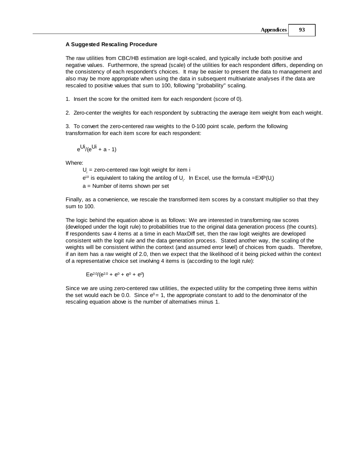### **A Suggested Rescaling Procedure**

The raw utilities from CBC/HB estimation are logit-scaled, and typically include both positive and negative values. Furthermore, the spread (scale) of the utilities for each respondent differs, depending on the consistency of each respondent's choices. It may be easier to present the data to management and also may be more appropriate when using the data in subsequent multivariate analyses if the data are rescaled to positive values that sum to 100, following "probability" scaling.

1. Insert the score for the omitted item for each respondent (score of 0).

2. Zero-center the weights for each respondent by subtracting the average item weight from each weight.

3. To convert the zero-centered raw weights to the 0-100 point scale, perform the following transformation for each item score for each respondent:

$$
e^{Ui}/(e^{Ui} + a - 1)
$$

Where:

 $U_i$  = zero-centered raw logit weight for item i

- e<sup>∪i</sup> is equivalent to taking the antilog of U<sub>i</sub>. In Excel, use the formula =EXP(U<sub>i</sub>)
- a = Number of items shown per set

Finally, as a convenience, we rescale the transformed item scores by a constant multiplier so that they sum to 100.

The logic behind the equation above is as follows: We are interested in transforming raw scores (developed under the logit rule) to probabilities true to the original data generation process (the counts). If respondents saw 4 items at a time in each MaxDiff set, then the raw logit weights are developed consistent with the logit rule and the data generation process. Stated another way, the scaling of the weights will be consistent within the context (and assumed error level) of choices from quads. Therefore, if an item has a raw weight of 2.0, then we expect that the likelihood of it being picked within the context of a representative choice set involving 4 items is (according to the logit rule):

$$
Ee^{2.0}/(e^{2.0} + e^0 + e^0 + e^0)
$$

Since we are using zero-centered raw utilities, the expected utility for the competing three items within the set would each be 0.0. Since  $e^0 = 1$ , the appropriate constant to add to the denominator of the rescaling equation above is the number of alternatives minus 1.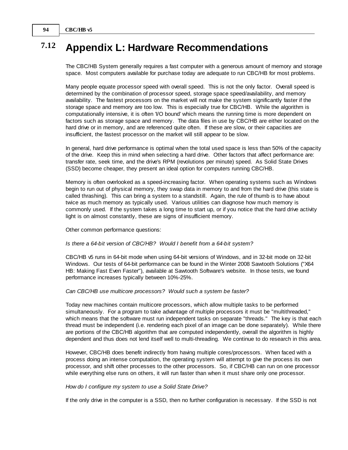# **7.12 Appendix L: Hardware Recommendations**

The CBC/HB System generally requires a fast computer with a generous amount of memory and storage space. Most computers available for purchase today are adequate to run CBC/HB for most problems.

Many people equate processor speed with overall speed. This is not the only factor. Overall speed is determined by the combination of processor speed, storage space speed/availability, and memory availability. The fastest processors on the market will not make the system significantly faster if the storage space and memory are too low. This is especially true for CBC/HB. While the algorithm is computationally intensive, it is often 'I/O bound' which means the running time is more dependent on factors such as storage space and memory. The data files in use by CBC/HB are either located on the hard drive or in memory, and are referenced quite often. If these are slow, or their capacities are insufficient, the fastest processor on the market will still appear to be slow.

In general, hard drive performance is optimal when the total used space is less than 50% of the capacity of the drive. Keep this in mind when selecting a hard drive. Other factors that affect performance are: transfer rate, seek time, and the drive's RPM (revolutions per minute) speed. As Solid State Drives (SSD) become cheaper, they present an ideal option for computers running CBC/HB.

Memory is often overlooked as a speed-increasing factor. When operating systems such as Windows begin to run out of physical memory, they swap data in memory to and from the hard drive (this state is called thrashing). This can bring a system to a standstill. Again, the rule of thumb is to have about twice as much memory as typically used. Various utilities can diagnose how much memory is commonly used. If the system takes a long time to start up, or if you notice that the hard drive activity light is on almost constantly, these are signs of insufficient memory.

Other common performance questions:

### *Is there a 64-bit version of CBC/HB? Would I benefit from a 64-bit system?*

CBC/HB v5 runs in 64-bit mode when using 64-bit versions of Windows, and in 32-bit mode on 32-bit Windows. Our tests of 64-bit performance can be found in the Winter 2008 Sawtooth Solutions ("X64 HB: Making Fast Even Faster"), available at Sawtooth Software's website. In those tests, we found performance increases typically between 10%-25%.

### *Can CBC/HB use multicore processors? Would such a system be faster?*

Today new machines contain multicore processors, which allow multiple tasks to be performed simultaneously. For a program to take advantage of multiple processors it must be "multithreaded," which means that the software must run independent tasks on separate "threads." The key is that each thread must be independent (i.e. rendering each pixel of an image can be done separately). While there are portions of the CBC/HB algorithm that are computed independently, overall the algorithm is highly dependent and thus does not lend itself well to multi-threading. We continue to do research in this area.

However, CBC/HB does benefit indirectly from having multiple cores/processors. When faced with a process doing an intense computation, the operating system will attempt to give the process its own processor, and shift other processes to the other processors. So, if CBC/HB can run on one processor while everything else runs on others, it will run faster than when it must share only one processor.

### *How do I configure my system to use a Solid State Drive?*

If the only drive in the computer is a SSD, then no further configuration is necessary. If the SSD is not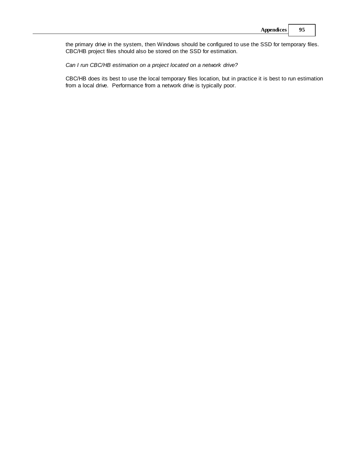| $\sim$<br>. . |  |
|---------------|--|
|               |  |

the primary drive in the system, then Windows should be configured to use the SSD for temporary files. CBC/HB project files should also be stored on the SSD for estimation.

*Can I run CBC/HB estimation on a project located on a network drive?*

CBC/HB does its best to use the local temporary files location, but in practice it is best to run estimation from a local drive. Performance from a network drive is typically poor.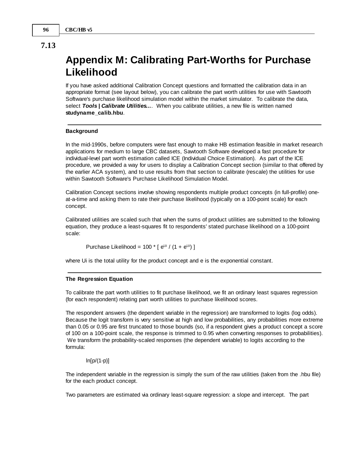# **7.13**

# **Appendix M: Calibrating Part-Worths for Purchase Likelihood**

If you have asked additional Calibration Concept questions and formatted the calibration data in an appropriate format (see layout below), you can calibrate the part worth utilities for use with Sawtooth Software's purchase likelihood simulation model within the market simulator. To calibrate the data, select *Tools | Calibrate Utilities...*. When you calibrate utilities, a new file is written named **studyname\_calib.hbu**.

# **Background**

In the mid-1990s, before computers were fast enough to make HB estimation feasible in market research applications for medium to large CBC datasets, Sawtooth Software developed a fast procedure for individual-level part worth estimation called ICE (Individual Choice Estimation). As part of the ICE procedure, we provided a way for users to display a Calibration Concept section (similar to that offered by the earlier ACA system), and to use results from that section to calibrate (rescale) the utilities for use within Sawtooth Software's Purchase Likelihood Simulation Model.

Calibration Concept sections involve showing respondents multiple product concepts (in full-profile) oneat-a-time and asking them to rate their purchase likelihood (typically on a 100-point scale) for each concept.

Calibrated utilities are scaled such that when the sums of product utilities are submitted to the following equation, they produce a least-squares fit to respondents' stated purchase likelihood on a 100-point scale:

Purchase Likelihood = 100  $*$  [ e<sup>Ui</sup> / (1 + e<sup>Ui</sup>) ]

where Ui is the total utility for the product concept and e is the exponential constant.

# **The Regression Equation**

To calibrate the part worth utilities to fit purchase likelihood, we fit an ordinary least squares regression (for each respondent) relating part worth utilities to purchase likelihood scores.

The respondent answers (the dependent variable in the regression) are transformed to logits (log odds). Because the logit transform is very sensitive at high and low probabilities, any probabilities more extreme than 0.05 or 0.95 are first truncated to those bounds (so, if a respondent gives a product concept a score of 100 on a 100-point scale, the response is trimmed to 0.95 when converting responses to probabilities). We transform the probability-scaled responses (the dependent variable) to logits according to the formula:

ln[p/(1-p)]

The independent variable in the regression is simply the sum of the raw utilities (taken from the .hbu file) for the each product concept.

Two parameters are estimated via ordinary least-square regression: a slope and intercept. The part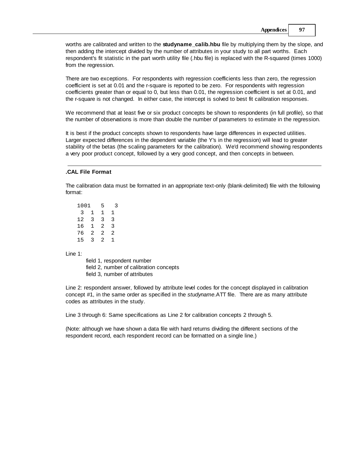worths are calibrated and written to the **studyname** calib.hbu file by multiplying them by the slope, and then adding the intercept divided by the number of attributes in your study to all part worths. Each respondent's fit statistic in the part worth utility file (.hbu file) is replaced with the R-squared (times 1000) from the regression.

There are two exceptions. For respondents with regression coefficients less than zero, the regression coefficient is set at 0.01 and the r-square is reported to be zero. For respondents with regression coefficients greater than or equal to 0, but less than 0.01, the regression coefficient is set at 0.01, and the r-square is not changed. In either case, the intercept is solved to best fit calibration responses.

We recommend that at least five or six product concepts be shown to respondents (in full profile), so that the number of observations is more than double the number of parameters to estimate in the regression.

It is best if the product concepts shown to respondents have large differences in expected utilities. Larger expected differences in the dependent variable (the Y's in the regression) will lead to greater stability of the betas (the scaling parameters for the calibration). We'd recommend showing respondents a very poor product concept, followed by a very good concept, and then concepts in between.

# **.CAL File Format**

The calibration data must be formatted in an appropriate text-only (blank-delimited) file with the following format:

1001 5 3 3 1 1 1 12 3 3 3 16 1 2 3 76 2 2 2 15 3 2 1

### Line 1:

field 1, respondent number field 2, number of calibration concepts field 3, number of attributes

Line 2: respondent answer, followed by attribute level codes for the concept displayed in calibration concept #1, in the same order as specified in the *studyname*.ATT file. There are as many attribute codes as attributes in the study.

Line 3 through 6: Same specifications as Line 2 for calibration concepts 2 through 5.

(Note: although we have shown a data file with hard returns dividing the different sections of the respondent record, each respondent record can be formatted on a single line.)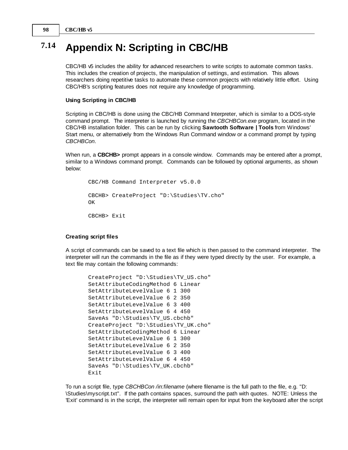# **7.14 Appendix N: Scripting in CBC/HB**

CBC/HB v5 includes the ability for advanced researchers to write scripts to automate common tasks. This includes the creation of projects, the manipulation of settings, and estimation. This allows researchers doing repetitive tasks to automate these common projects with relatively little effort. Using CBC/HB's scripting features does not require any knowledge of programming.

### **Using Scripting in CBC/HB**

Scripting in CBC/HB is done using the CBC/HB Command Interpreter, which is similar to a DOS-style command prompt. The interpreter is launched by running the *CBCHBCon.exe* program, located in the CBC/HB installation folder. This can be run by clicking **Sawtooth Software | Tools** from Windows' Start menu, or alternatively from the Windows Run Command window or a command prompt by typing *CBCHBCon*.

When run, a **CBCHB>** prompt appears in a console window. Commands may be entered after a prompt, similar to a Windows command prompt. Commands can be followed by optional arguments, as shown below:

```
CBC/HB Command Interpreter v5.0.0
CBCHB> CreateProject "D:\Studies\TV.cho"
OK
CBCHB> Exit
```
### **Creating script files**

A script of commands can be saved to a text file which is then passed to the command interpreter. The interpreter will run the commands in the file as if they were typed directly by the user. For example, a text file may contain the following commands:

```
CreateProject "D:\Studies\TV_US.cho"
SetAttributeCodingMethod 6 Linear
SetAttributeLevelValue 6 1 300
SetAttributeLevelValue 6 2 350
SetAttributeLevelValue 6 3 400
SetAttributeLevelValue 6 4 450
SaveAs "D:\Studies\TV_US.cbchb"
CreateProject "D:\Studies\TV_UK.cho"
SetAttributeCodingMethod 6 Linear
SetAttributeLevelValue 6 1 300
SetAttributeLevelValue 6 2 350
SetAttributeLevelValue 6 3 400
SetAttributeLevelValue 6 4 450
SaveAs "D:\Studies\TV_UK.cbchb"
Exit
```
To run a script file, type *CBCHBCon /in:filename* (where filename is the full path to the file, e.g. "D: \Studies\myscript.txt". If the path contains spaces, surround the path with quotes. NOTE: Unless the 'Exit' command is in the script, the interpreter will remain open for input from the keyboard after the script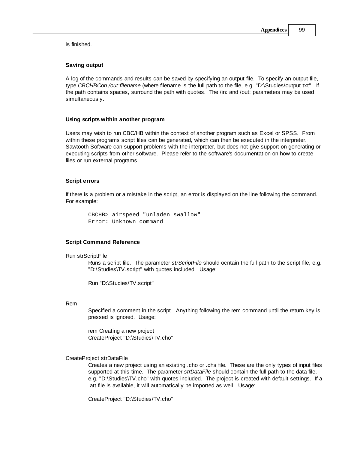is finished.

## **Saving output**

A log of the commands and results can be saved by specifying an output file. To specify an output file, type *CBCHBCon /out:filename* (where filename is the full path to the file, e.g. "D:\Studies\output.txt". If the path contains spaces, surround the path with quotes. The /in: and /out: parameters may be used simultaneously.

### **Using scripts within another program**

Users may wish to run CBC/HB within the context of another program such as Excel or SPSS. From within these programs script files can be generated, which can then be executed in the interpreter. Sawtooth Software can support problems with the interpreter, but does not give support on generating or executing scripts from other software. Please refer to the software's documentation on how to create files or run external programs.

### **Script errors**

If there is a problem or a mistake in the script, an error is displayed on the line following the command. For example:

CBCHB> airspeed "unladen swallow" Error: Unknown command

### **Script Command Reference**

Run strScriptFile

Runs a script file. The parameter *strScriptFile* should ocntain the full path to the script file, e.g. "D:\Studies\TV.script" with quotes included. Usage:

Run "D:\Studies\TV.script"

# Rem

Specified a comment in the script. Anything following the rem command until the return key is pressed is ignored. Usage:

rem Creating a new project CreateProject "D:\Studies\TV.cho"

### CreateProject strDataFile

Creates a new project using an existing .cho or .chs file. These are the only types of input files supported at this time. The parameter *strDataFile* should contain the full path to the data file, e.g. "D:\Studies\TV.cho" with quotes included. The project is created with default settings. If a .att file is available, it will automatically be imported as well. Usage:

CreateProject "D:\Studies\TV.cho"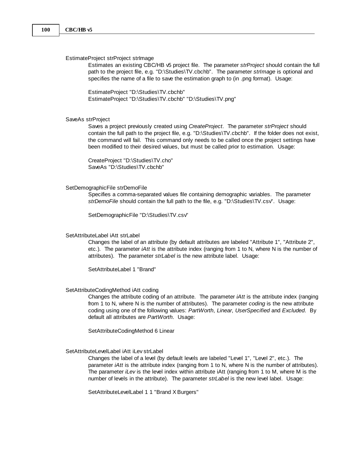### EstimateProject strProject strImage

Estimates an existing CBC/HB v5 project file. The parameter *strProject* should contain the full path to the project file, e.g. "D:\Studies\TV.cbchb". The parameter *strImage* is optional and specifies the name of a file to save the estimation graph to (in .png format). Usage:

EstimateProject "D:\Studies\TV.cbchb" EstimateProject "D:\Studies\TV.cbchb" "D:\Studies\TV.png"

### SaveAs strProject

Saves a project previously created using *CreateProject*. The parameter *strProject* should contain the full path to the project file, e.g. "D:\Studies\TV.cbchb". If the folder does not exist, the command will fail. This command only needs to be called once the project settings have been modified to their desired values, but must be called prior to estimation. Usage:

CreateProject "D:\Studies\TV.cho" SaveAs "D:\Studies\TV.cbchb"

SetDemographicFile strDemoFile

Specifies a comma-separated values file containing demographic variables. The parameter *strDemoFile* should contain the full path to the file, e.g. "D:\Studies\TV.csv". Usage:

SetDemographicFile "D:\Studies\TV.csv"

# SetAttributeLabel iAtt strLabel

Changes the label of an attribute (by default attributes are labeled "Attribute 1", "Attribute 2", etc.). The parameter *iAtt* is the attribute index (ranging from 1 to N, where N is the number of attributes). The parameter *strLabel* is the new attribute label. Usage:

SetAttributeLabel 1 "Brand"

## SetAttributeCodingMethod iAtt coding

Changes the attribute coding of an attribute. The parameter *iAtt* is the attribute index (ranging from 1 to N, where N is the number of attributes). The parameter *coding* is the new attribute coding using one of the following values: *PartWorth*, *Linear*, *UserSpecified* and *Excluded*. By default all attributes are *PartWorth*. Usage:

SetAttributeCodingMethod 6 Linear

## SetAttributeLevelLabel iAtt iLev strLabel

Changes the label of a level (by default levels are labeled "Level 1", "Level 2", etc.). The parameter *iAtt* is the attribute index (ranging from 1 to N, where N is the number of attributes). The parameter *iLev* is the level index within attribute iAtt (ranging from 1 to M, where M is the number of levels in the attribute). The parameter *strLabel* is the new level label. Usage:

SetAttributeLevelLabel 1 1 "Brand X Burgers"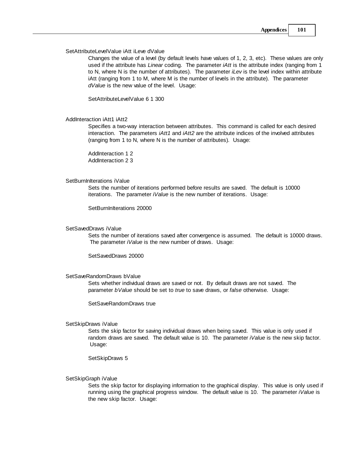### SetAttributeLevelValue iAtt iLeve dValue

Changes the value of a level (by default levels have values of 1, 2, 3, etc). These values are only used if the attribute has *Linear* coding. The parameter *iAtt* is the attribute index (ranging from 1 to N, where N is the number of attributes). The parameter *iLev* is the level index within attribute iAtt (ranging from 1 to M, where M is the number of levels in the attribute). The parameter *dValue* is the new value of the level. Usage:

SetAttributeLevelValue 6 1 300

## AddInteraction iAtt1 iAtt2

Specifies a two-way interaction between attributes. This command is called for each desired interaction. The parameters *iAtt1* and *iAtt2* are the attribute indices of the involved attributes (ranging from 1 to N, where N is the number of attributes). Usage:

AddInteraction 1 2 AddInteraction 2 3

# SetBurnInIterations iValue

Sets the number of iterations performed before results are saved. The default is 10000 iterations. The parameter *iValue* is the new number of iterations. Usage:

SetBurnInIterations 20000

### SetSavedDraws iValue

Sets the number of iterations saved after convergence is assumed. The default is 10000 draws. The parameter *iValue* is the new number of draws. Usage:

SetSavedDraws 20000

### SetSaveRandomDraws bValue

Sets whether individual draws are saved or not. By default draws are not saved. The parameter *bValue* should be set to *true* to save draws, or *false* otherwise. Usage:

SetSaveRandomDraws true

#### SetSkipDraws iValue

Sets the skip factor for saving individual draws when being saved. This value is only used if random draws are saved. The default value is 10. The parameter *iValue* is the new skip factor. Usage:

### SetSkipDraws 5

### SetSkipGraph iValue

Sets the skip factor for displaying information to the graphical display. This value is only used if running using the graphical progress window. The default value is 10. The parameter *iValue* is the new skip factor. Usage: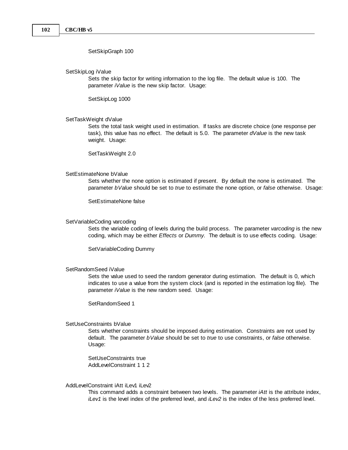### SetSkipGraph 100

### SetSkipLog iValue

Sets the skip factor for writing information to the log file. The default value is 100. The parameter *iValue* is the new skip factor. Usage:

SetSkipLog 1000

### SetTaskWeight dValue

Sets the total task weight used in estimation. If tasks are discrete choice (one response per task), this value has no effect. The default is 5.0. The parameter *dValue* is the new task weight. Usage:

SetTaskWeight 2.0

### SetEstimateNone bValue

Sets whether the none option is estimated if present. By default the none is estimated. The parameter *bValue* should be set to *true* to estimate the none option, or *false* otherwise. Usage:

SetEstimateNone false

### SetVariableCoding varcoding

Sets the variable coding of levels during the build process. The parameter *varcoding* is the new coding, which may be either *Effects* or *Dummy*. The default is to use effects coding. Usage:

SetVariableCoding Dummy

# SetRandomSeed iValue

Sets the value used to seed the random generator during estimation. The default is 0, which indicates to use a value from the system clock (and is reported in the estimation log file). The parameter *iValue* is the new random seed. Usage:

SetRandomSeed 1

### SetUseConstraints bValue

Sets whether constraints should be imposed during estimation. Constraints are not used by default. The parameter *bValue* should be set to *true* to use constraints, or *false* otherwise. Usage:

SetUseConstraints true AddLevelConstraint 1 1 2

AddLevelConstraint iAtt iLev1 iLev2

This command adds a constraint between two levels. The parameter *iAtt* is the attribute index, *iLev1* is the level index of the preferred level, and *iLev2* is the index of the less preferred level.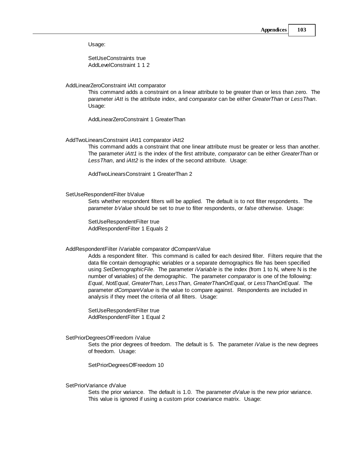Usage:

SetUseConstraints true AddLevelConstraint 1 1 2

AddLinearZeroConstraint iAtt comparator

This command adds a constraint on a linear attribute to be greater than or less than zero. The parameter *iAtt* is the attribute index, and *comparator* can be either *GreaterThan* or *LessThan*. Usage:

AddLinearZeroConstraint 1 GreaterThan

#### AddTwoLinearsConstraint iAtt1 comparator iAtt2

This command adds a constraint that one linear attribute must be greater or less than another. The parameter *iAtt1* is the index of the first attribute, *comparator* can be either *GreaterThan* or *LessThan*, and *iAtt2* is the index of the second attribute. Usage:

AddTwoLinearsConstraint 1 GreaterThan 2

#### SetUseRespondentFilter bValue

Sets whether respondent filters will be applied. The default is to not filter respondents. The parameter *bValue* should be set to *true* to filter respondents, or *false* otherwise. Usage:

SetUseRespondentFilter true AddRespondentFilter 1 Equals 2

#### AddRespondentFilter iVariable comparator dCompareValue

Adds a respondent filter. This command is called for each desired filter. Filters require that the data file contain demographic variables or a separate demographics file has been specified using *SetDemographicFile*. The parameter *iVariable* is the index (from 1 to N, where N is the number of variables) of the demographic. The parameter *comparator* is one of the following: *Equal*, *NotEqual*, *GreaterThan*, *LessThan*, *GreaterThanOrEqual*, or *LessThanOrEqual*. The parameter *dCompareValue* is the value to compare against. Respondents are included in analysis if they meet the criteria of all filters. Usage:

SetUseRespondentFilter true AddRespondentFilter 1 Equal 2

SetPriorDegreesOfFreedom iValue

Sets the prior degrees of freedom. The default is 5. The parameter *iValue* is the new degrees of freedom. Usage:

SetPriorDegreesOfFreedom 10

SetPriorVariance dValue

Sets the prior variance. The default is 1.0. The parameter *dValue* is the new prior variance. This value is ignored if using a custom prior covariance matrix. Usage: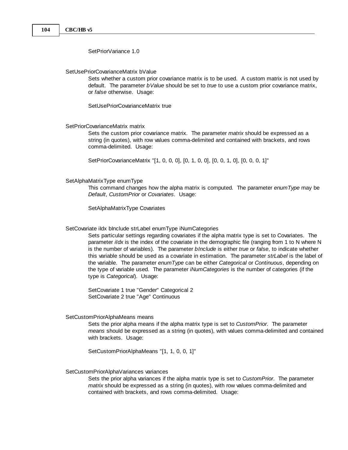SetPriorVariance 1.0

SetUsePriorCovarianceMatrix bValue

Sets whether a custom prior covariance matrix is to be used. A custom matrix is not used by default. The parameter *bValue* should be set to *true* to use a custom prior covariance matrix, or *false* otherwise. Usage:

SetUsePriorCovarianceMatrix true

SetPriorCovarianceMatrix matrix

Sets the custom prior covariance matrix. The parameter *matrix* should be expressed as a string (in quotes), with row values comma-delimited and contained with brackets, and rows comma-delimited. Usage:

SetPriorCovarianceMatrix "[1, 0, 0, 0], [0, 1, 0, 0], [0, 0, 1, 0], [0, 0, 0, 1]"

SetAlphaMatrixType enumType

This command changes how the alpha matrix is computed. The parameter *enumType* may be *Default*, *CustomPrior* or *Covariates*. Usage:

SetAlphaMatrixType Covariates

SetCovariate ildx blnclude strLabel enumType iNumCategories

Sets particular settings regarding covariates if the alpha matrix type is set to Covariates. The parameter *iIdx* is the index of the covariate in the demographic file (ranging from 1 to N where N is the number of variables). The parameter *bInclude* is either *true* or *false*, to indicate whether this variable should be used as a covariate in estimation. The parameter *strLabel* is the label of the variable. The parameter *enumType* can be either *Categorical* or *Continuous*, depending on the type of variable used. The parameter *iNumCategories* is the number of categories (if the type is *Categorical*). Usage:

SetCovariate 1 true "Gender" Categorical 2 SetCovariate 2 true "Age" Continuous

SetCustomPriorAlphaMeans means

Sets the prior alpha means if the alpha matrix type is set to *CustomPrior*. The parameter *means* should be expressed as a string (in quotes), with values comma-delimited and contained with brackets. Usage:

SetCustomPriorAlphaMeans "[1, 1, 0, 0, 1]"

SetCustomPriorAlphaVariances variances

Sets the prior alpha variances if the alpha matrix type is set to *CustomPrior*. The parameter *matrix* should be expressed as a string (in quotes), with row values comma-delimited and contained with brackets, and rows comma-delimited. Usage: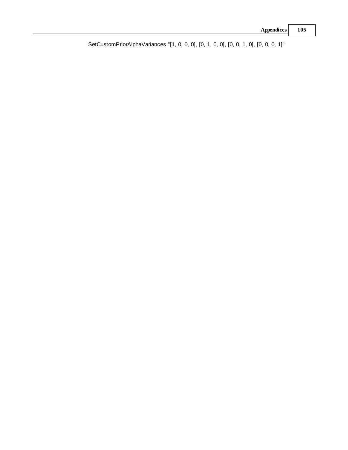| <b>Appendices</b>                                                                     | 105 |
|---------------------------------------------------------------------------------------|-----|
| SetCustomPriorAlphaVariances "[1, 0, 0, 0], [0, 1, 0, 0], [0, 0, 1, 0], [0, 0, 0, 1]" |     |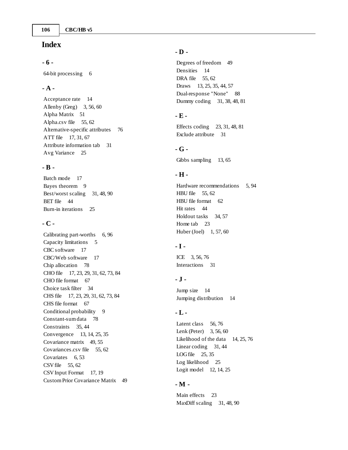# **Index**

## **- 6 -**

64-bit processing [6](#page-11-0)

### **- A -**

Acceptance rate [14](#page-19-0) Allenby (Greg)  $3, 56, 60$  $3, 56, 60$  $3, 56, 60$  $3, 56, 60$  $3, 56, 60$ Alpha Matrix [51](#page-56-0) Alpha.csv file [55,](#page-60-0) [62](#page-67-0) Alternative-specific attributes [76](#page-81-0) ATT file [17,](#page-22-0) [31,](#page-36-0) [67](#page-72-0) Attribute information tab [31](#page-36-0) Avg Variance [25](#page-30-0)

#### **- B -**

Batch mode [17](#page-22-0) Bayes theorem [9](#page-14-0) Best/worst scaling [31,](#page-36-0) [48,](#page-53-0) [90](#page-95-0) BET file [44](#page-49-0) Burn-in iterations [25](#page-30-0)

#### **- C -**

Calibrating part-worths [6,](#page-11-0) [96](#page-101-0) Capacity limitations [5](#page-10-0) CBC software [17](#page-22-0) CBC/Web software [17](#page-22-0) Chip allocation [78](#page-83-0) CHO file [17,](#page-22-0) [23,](#page-28-0) [29,](#page-34-0) [31,](#page-36-0) [62,](#page-67-0) [73,](#page-78-0) [84](#page-89-0) CHO file format [67](#page-72-0) Choice task filter [34](#page-39-0) CHS file [17,](#page-22-0) [23,](#page-28-0) [29,](#page-34-0) [31,](#page-36-0) [62,](#page-67-0) [73,](#page-78-0) [84](#page-89-0) CHS file format [67](#page-72-0) Conditional probability [9](#page-14-0) Constant-sumdata [78](#page-83-0) Constraints [35,](#page-40-0) [44](#page-49-0) Convergence [13,](#page-18-0) [14,](#page-19-0) [25,](#page-30-0) [35](#page-40-0) Covariance matrix [49,](#page-54-0) [55](#page-60-0) Covariances.csv file [55,](#page-60-0) [62](#page-67-0) Covariates [6,](#page-11-0) [53](#page-58-0) CSVfile [55,](#page-60-0) [62](#page-67-0) CSVInput Format [17,](#page-22-0) [19](#page-24-0) CustomPrior Covariance Matrix [49](#page-54-0)

#### **- D -**

Degrees of freedom [49](#page-54-0) Densities [14](#page-19-0) DRA file [55,](#page-60-0) [62](#page-67-0) Draws [13,](#page-18-0) [25,](#page-30-0) [35,](#page-40-0) [44,](#page-49-0) [57](#page-62-0) Dual-response "None" [88](#page-93-0) Dummy coding [31,](#page-36-0) [38,](#page-43-0) [48,](#page-53-0) [81](#page-86-0)

### **- E -**

Effects coding [23,](#page-28-0) [31,](#page-36-0) [48,](#page-53-0) [81](#page-86-0) Exclude attribute [31](#page-36-0)

#### **- G -**

Gibbs sampling [13,](#page-18-0) [65](#page-70-0)

### **- H -**

Hardware recommendations [5,](#page-10-0) [94](#page-99-0) HBU file [55,](#page-60-0) [62](#page-67-0) HBU file format [62](#page-67-0) Hit rates [44](#page-49-0) Holdout tasks [34,](#page-39-0) [57](#page-62-0) Home tab [23](#page-28-0) Huber (Joel) [1,](#page-6-0) [57,](#page-62-0) [60](#page-65-0)

#### **- I -**

ICE [3,](#page-8-0) [56,](#page-61-0) [76](#page-81-0) Interactions [31](#page-36-0)

### **- J -**

Jump size [14](#page-19-0) Jumping distribution [14](#page-19-0)

## **- L -**

Latent class [56,](#page-61-0) [76](#page-81-0) Lenk (Peter) [3,](#page-8-0) [56,](#page-61-0) [60](#page-65-0) Likelihood of the data [14,](#page-19-0) [25,](#page-30-0) [76](#page-81-0) Linear coding [31,](#page-36-0) [44](#page-49-0) LOGfile [25,](#page-30-0) [35](#page-40-0) Log likelihood [25](#page-30-0) Logit model [12,](#page-17-0) [14,](#page-19-0) [25](#page-30-0)

#### **- M -**

Main effects [23](#page-28-0) MaxDiff scaling [31,](#page-36-0) [48,](#page-53-0) [90](#page-95-0)